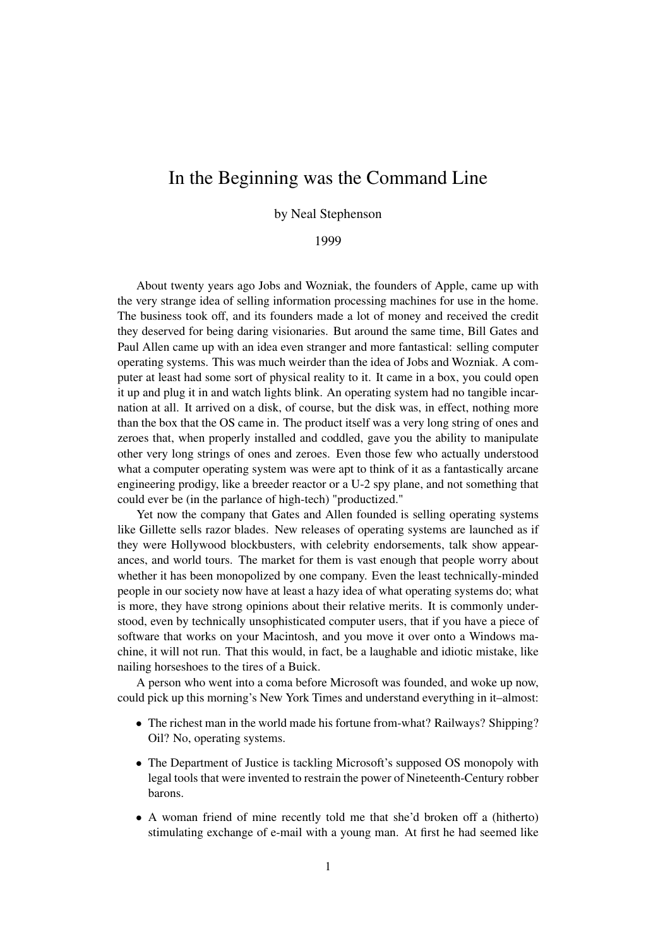# In the Beginning was the Command Line

by Neal Stephenson

1999

About twenty years ago Jobs and Wozniak, the founders of Apple, came up with the very strange idea of selling information processing machines for use in the home. The business took off, and its founders made a lot of money and received the credit they deserved for being daring visionaries. But around the same time, Bill Gates and Paul Allen came up with an idea even stranger and more fantastical: selling computer operating systems. This was much weirder than the idea of Jobs and Wozniak. A computer at least had some sort of physical reality to it. It came in a box, you could open it up and plug it in and watch lights blink. An operating system had no tangible incarnation at all. It arrived on a disk, of course, but the disk was, in effect, nothing more than the box that the OS came in. The product itself was a very long string of ones and zeroes that, when properly installed and coddled, gave you the ability to manipulate other very long strings of ones and zeroes. Even those few who actually understood what a computer operating system was were apt to think of it as a fantastically arcane engineering prodigy, like a breeder reactor or a U-2 spy plane, and not something that could ever be (in the parlance of high-tech) "productized."

Yet now the company that Gates and Allen founded is selling operating systems like Gillette sells razor blades. New releases of operating systems are launched as if they were Hollywood blockbusters, with celebrity endorsements, talk show appearances, and world tours. The market for them is vast enough that people worry about whether it has been monopolized by one company. Even the least technically-minded people in our society now have at least a hazy idea of what operating systems do; what is more, they have strong opinions about their relative merits. It is commonly understood, even by technically unsophisticated computer users, that if you have a piece of software that works on your Macintosh, and you move it over onto a Windows machine, it will not run. That this would, in fact, be a laughable and idiotic mistake, like nailing horseshoes to the tires of a Buick.

A person who went into a coma before Microsoft was founded, and woke up now, could pick up this morning's New York Times and understand everything in it–almost:

- The richest man in the world made his fortune from-what? Railways? Shipping? Oil? No, operating systems.
- The Department of Justice is tackling Microsoft's supposed OS monopoly with legal tools that were invented to restrain the power of Nineteenth-Century robber barons.
- A woman friend of mine recently told me that she'd broken off a (hitherto) stimulating exchange of e-mail with a young man. At first he had seemed like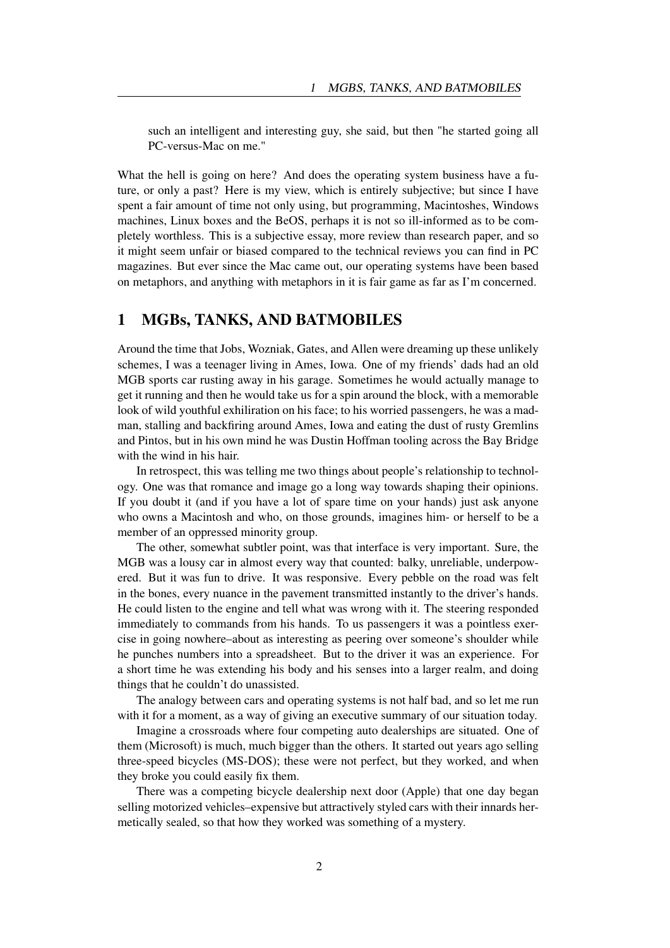such an intelligent and interesting guy, she said, but then "he started going all PC-versus-Mac on me."

What the hell is going on here? And does the operating system business have a future, or only a past? Here is my view, which is entirely subjective; but since I have spent a fair amount of time not only using, but programming, Macintoshes, Windows machines, Linux boxes and the BeOS, perhaps it is not so ill-informed as to be completely worthless. This is a subjective essay, more review than research paper, and so it might seem unfair or biased compared to the technical reviews you can find in PC magazines. But ever since the Mac came out, our operating systems have been based on metaphors, and anything with metaphors in it is fair game as far as I'm concerned.

### 1 MGBs, TANKS, AND BATMOBILES

Around the time that Jobs, Wozniak, Gates, and Allen were dreaming up these unlikely schemes, I was a teenager living in Ames, Iowa. One of my friends' dads had an old MGB sports car rusting away in his garage. Sometimes he would actually manage to get it running and then he would take us for a spin around the block, with a memorable look of wild youthful exhiliration on his face; to his worried passengers, he was a madman, stalling and backfiring around Ames, Iowa and eating the dust of rusty Gremlins and Pintos, but in his own mind he was Dustin Hoffman tooling across the Bay Bridge with the wind in his hair.

In retrospect, this was telling me two things about people's relationship to technology. One was that romance and image go a long way towards shaping their opinions. If you doubt it (and if you have a lot of spare time on your hands) just ask anyone who owns a Macintosh and who, on those grounds, imagines him- or herself to be a member of an oppressed minority group.

The other, somewhat subtler point, was that interface is very important. Sure, the MGB was a lousy car in almost every way that counted: balky, unreliable, underpowered. But it was fun to drive. It was responsive. Every pebble on the road was felt in the bones, every nuance in the pavement transmitted instantly to the driver's hands. He could listen to the engine and tell what was wrong with it. The steering responded immediately to commands from his hands. To us passengers it was a pointless exercise in going nowhere–about as interesting as peering over someone's shoulder while he punches numbers into a spreadsheet. But to the driver it was an experience. For a short time he was extending his body and his senses into a larger realm, and doing things that he couldn't do unassisted.

The analogy between cars and operating systems is not half bad, and so let me run with it for a moment, as a way of giving an executive summary of our situation today.

Imagine a crossroads where four competing auto dealerships are situated. One of them (Microsoft) is much, much bigger than the others. It started out years ago selling three-speed bicycles (MS-DOS); these were not perfect, but they worked, and when they broke you could easily fix them.

There was a competing bicycle dealership next door (Apple) that one day began selling motorized vehicles–expensive but attractively styled cars with their innards hermetically sealed, so that how they worked was something of a mystery.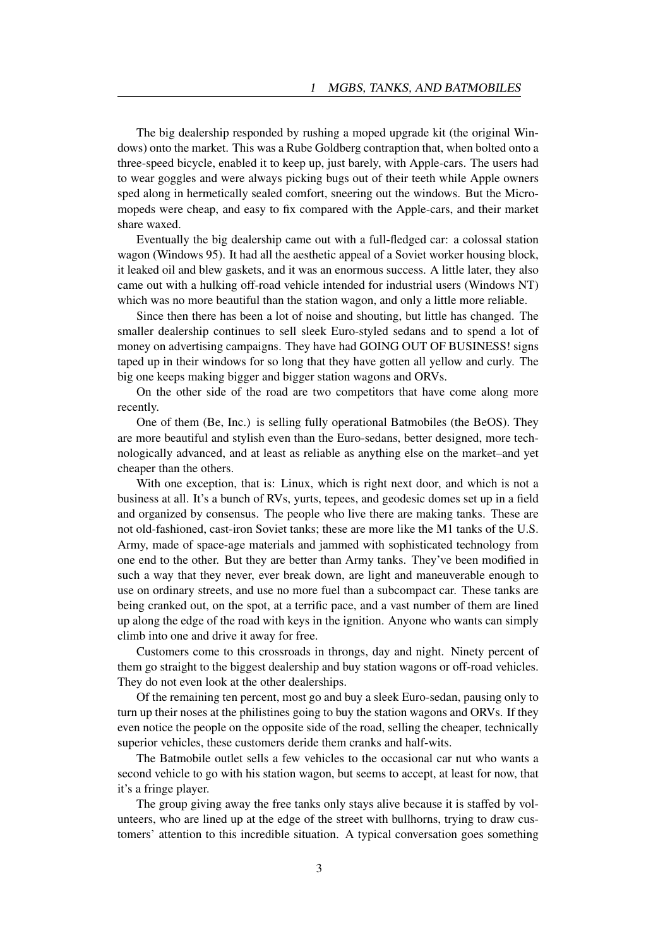The big dealership responded by rushing a moped upgrade kit (the original Windows) onto the market. This was a Rube Goldberg contraption that, when bolted onto a three-speed bicycle, enabled it to keep up, just barely, with Apple-cars. The users had to wear goggles and were always picking bugs out of their teeth while Apple owners sped along in hermetically sealed comfort, sneering out the windows. But the Micromopeds were cheap, and easy to fix compared with the Apple-cars, and their market share waxed.

Eventually the big dealership came out with a full-fledged car: a colossal station wagon (Windows 95). It had all the aesthetic appeal of a Soviet worker housing block, it leaked oil and blew gaskets, and it was an enormous success. A little later, they also came out with a hulking off-road vehicle intended for industrial users (Windows NT) which was no more beautiful than the station wagon, and only a little more reliable.

Since then there has been a lot of noise and shouting, but little has changed. The smaller dealership continues to sell sleek Euro-styled sedans and to spend a lot of money on advertising campaigns. They have had GOING OUT OF BUSINESS! signs taped up in their windows for so long that they have gotten all yellow and curly. The big one keeps making bigger and bigger station wagons and ORVs.

On the other side of the road are two competitors that have come along more recently.

One of them (Be, Inc.) is selling fully operational Batmobiles (the BeOS). They are more beautiful and stylish even than the Euro-sedans, better designed, more technologically advanced, and at least as reliable as anything else on the market–and yet cheaper than the others.

With one exception, that is: Linux, which is right next door, and which is not a business at all. It's a bunch of RVs, yurts, tepees, and geodesic domes set up in a field and organized by consensus. The people who live there are making tanks. These are not old-fashioned, cast-iron Soviet tanks; these are more like the M1 tanks of the U.S. Army, made of space-age materials and jammed with sophisticated technology from one end to the other. But they are better than Army tanks. They've been modified in such a way that they never, ever break down, are light and maneuverable enough to use on ordinary streets, and use no more fuel than a subcompact car. These tanks are being cranked out, on the spot, at a terrific pace, and a vast number of them are lined up along the edge of the road with keys in the ignition. Anyone who wants can simply climb into one and drive it away for free.

Customers come to this crossroads in throngs, day and night. Ninety percent of them go straight to the biggest dealership and buy station wagons or off-road vehicles. They do not even look at the other dealerships.

Of the remaining ten percent, most go and buy a sleek Euro-sedan, pausing only to turn up their noses at the philistines going to buy the station wagons and ORVs. If they even notice the people on the opposite side of the road, selling the cheaper, technically superior vehicles, these customers deride them cranks and half-wits.

The Batmobile outlet sells a few vehicles to the occasional car nut who wants a second vehicle to go with his station wagon, but seems to accept, at least for now, that it's a fringe player.

The group giving away the free tanks only stays alive because it is staffed by volunteers, who are lined up at the edge of the street with bullhorns, trying to draw customers' attention to this incredible situation. A typical conversation goes something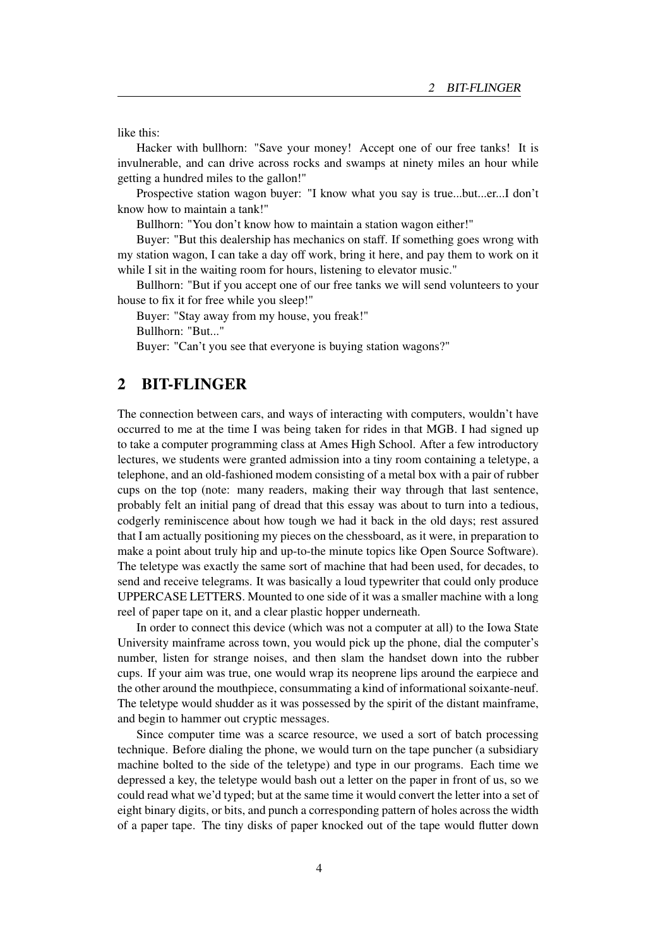like this:

Hacker with bullhorn: "Save your money! Accept one of our free tanks! It is invulnerable, and can drive across rocks and swamps at ninety miles an hour while getting a hundred miles to the gallon!"

Prospective station wagon buyer: "I know what you say is true...but...er...I don't know how to maintain a tank!"

Bullhorn: "You don't know how to maintain a station wagon either!"

Buyer: "But this dealership has mechanics on staff. If something goes wrong with my station wagon, I can take a day off work, bring it here, and pay them to work on it while I sit in the waiting room for hours, listening to elevator music."

Bullhorn: "But if you accept one of our free tanks we will send volunteers to your house to fix it for free while you sleep!"

Buyer: "Stay away from my house, you freak!"

Bullhorn: "But..."

Buyer: "Can't you see that everyone is buying station wagons?"

#### 2 BIT-FLINGER

The connection between cars, and ways of interacting with computers, wouldn't have occurred to me at the time I was being taken for rides in that MGB. I had signed up to take a computer programming class at Ames High School. After a few introductory lectures, we students were granted admission into a tiny room containing a teletype, a telephone, and an old-fashioned modem consisting of a metal box with a pair of rubber cups on the top (note: many readers, making their way through that last sentence, probably felt an initial pang of dread that this essay was about to turn into a tedious, codgerly reminiscence about how tough we had it back in the old days; rest assured that I am actually positioning my pieces on the chessboard, as it were, in preparation to make a point about truly hip and up-to-the minute topics like Open Source Software). The teletype was exactly the same sort of machine that had been used, for decades, to send and receive telegrams. It was basically a loud typewriter that could only produce UPPERCASE LETTERS. Mounted to one side of it was a smaller machine with a long reel of paper tape on it, and a clear plastic hopper underneath.

In order to connect this device (which was not a computer at all) to the Iowa State University mainframe across town, you would pick up the phone, dial the computer's number, listen for strange noises, and then slam the handset down into the rubber cups. If your aim was true, one would wrap its neoprene lips around the earpiece and the other around the mouthpiece, consummating a kind of informational soixante-neuf. The teletype would shudder as it was possessed by the spirit of the distant mainframe, and begin to hammer out cryptic messages.

Since computer time was a scarce resource, we used a sort of batch processing technique. Before dialing the phone, we would turn on the tape puncher (a subsidiary machine bolted to the side of the teletype) and type in our programs. Each time we depressed a key, the teletype would bash out a letter on the paper in front of us, so we could read what we'd typed; but at the same time it would convert the letter into a set of eight binary digits, or bits, and punch a corresponding pattern of holes across the width of a paper tape. The tiny disks of paper knocked out of the tape would flutter down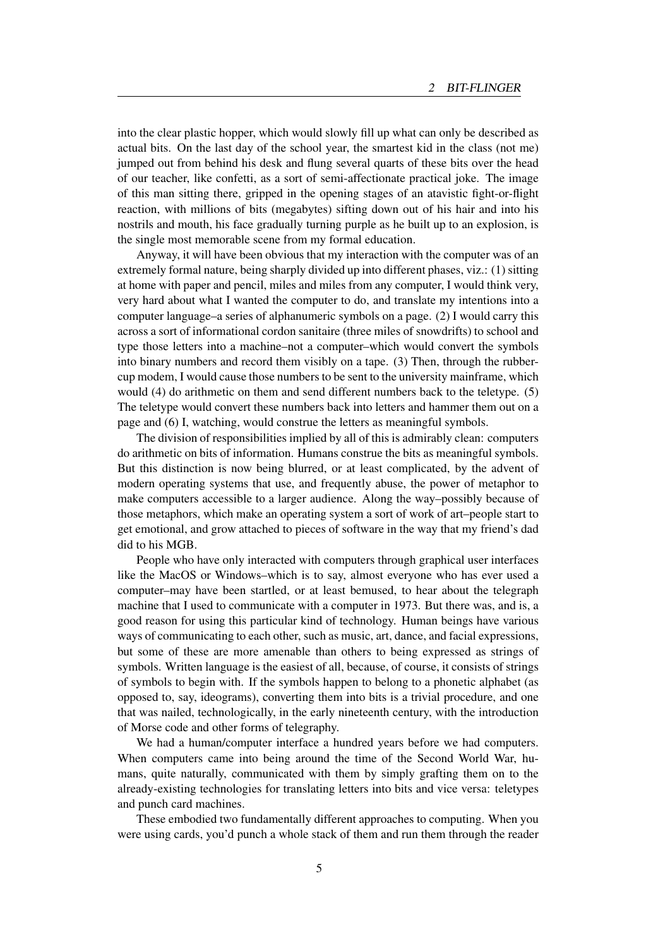into the clear plastic hopper, which would slowly fill up what can only be described as actual bits. On the last day of the school year, the smartest kid in the class (not me) jumped out from behind his desk and flung several quarts of these bits over the head of our teacher, like confetti, as a sort of semi-affectionate practical joke. The image of this man sitting there, gripped in the opening stages of an atavistic fight-or-flight reaction, with millions of bits (megabytes) sifting down out of his hair and into his nostrils and mouth, his face gradually turning purple as he built up to an explosion, is the single most memorable scene from my formal education.

Anyway, it will have been obvious that my interaction with the computer was of an extremely formal nature, being sharply divided up into different phases, viz.: (1) sitting at home with paper and pencil, miles and miles from any computer, I would think very, very hard about what I wanted the computer to do, and translate my intentions into a computer language–a series of alphanumeric symbols on a page. (2) I would carry this across a sort of informational cordon sanitaire (three miles of snowdrifts) to school and type those letters into a machine–not a computer–which would convert the symbols into binary numbers and record them visibly on a tape. (3) Then, through the rubbercup modem, I would cause those numbers to be sent to the university mainframe, which would (4) do arithmetic on them and send different numbers back to the teletype. (5) The teletype would convert these numbers back into letters and hammer them out on a page and (6) I, watching, would construe the letters as meaningful symbols.

The division of responsibilities implied by all of this is admirably clean: computers do arithmetic on bits of information. Humans construe the bits as meaningful symbols. But this distinction is now being blurred, or at least complicated, by the advent of modern operating systems that use, and frequently abuse, the power of metaphor to make computers accessible to a larger audience. Along the way–possibly because of those metaphors, which make an operating system a sort of work of art–people start to get emotional, and grow attached to pieces of software in the way that my friend's dad did to his MGB.

People who have only interacted with computers through graphical user interfaces like the MacOS or Windows–which is to say, almost everyone who has ever used a computer–may have been startled, or at least bemused, to hear about the telegraph machine that I used to communicate with a computer in 1973. But there was, and is, a good reason for using this particular kind of technology. Human beings have various ways of communicating to each other, such as music, art, dance, and facial expressions, but some of these are more amenable than others to being expressed as strings of symbols. Written language is the easiest of all, because, of course, it consists of strings of symbols to begin with. If the symbols happen to belong to a phonetic alphabet (as opposed to, say, ideograms), converting them into bits is a trivial procedure, and one that was nailed, technologically, in the early nineteenth century, with the introduction of Morse code and other forms of telegraphy.

We had a human/computer interface a hundred years before we had computers. When computers came into being around the time of the Second World War, humans, quite naturally, communicated with them by simply grafting them on to the already-existing technologies for translating letters into bits and vice versa: teletypes and punch card machines.

These embodied two fundamentally different approaches to computing. When you were using cards, you'd punch a whole stack of them and run them through the reader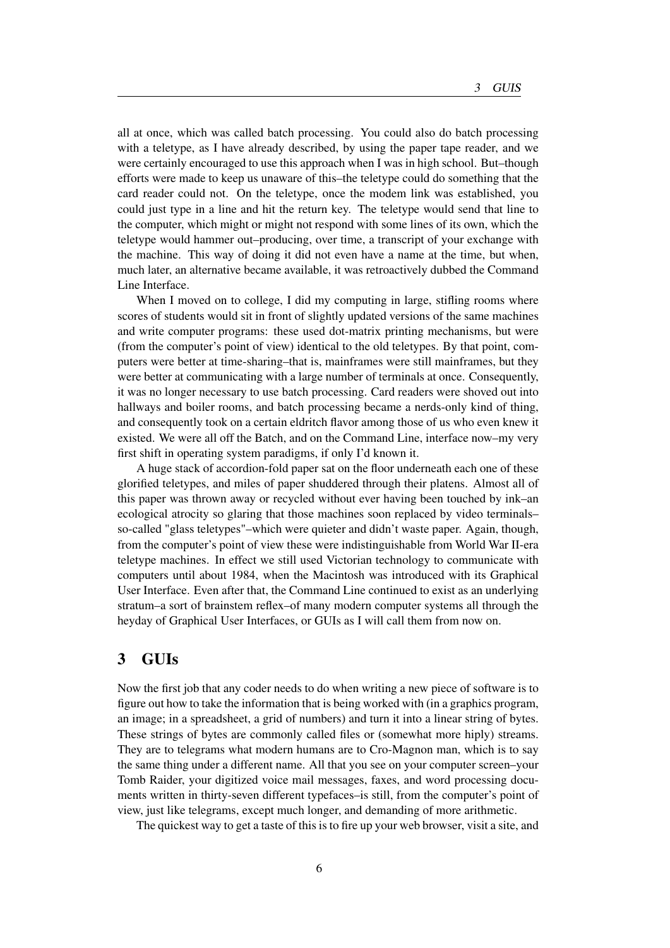all at once, which was called batch processing. You could also do batch processing with a teletype, as I have already described, by using the paper tape reader, and we were certainly encouraged to use this approach when I was in high school. But–though efforts were made to keep us unaware of this–the teletype could do something that the card reader could not. On the teletype, once the modem link was established, you could just type in a line and hit the return key. The teletype would send that line to the computer, which might or might not respond with some lines of its own, which the teletype would hammer out–producing, over time, a transcript of your exchange with the machine. This way of doing it did not even have a name at the time, but when, much later, an alternative became available, it was retroactively dubbed the Command Line Interface.

When I moved on to college, I did my computing in large, stifling rooms where scores of students would sit in front of slightly updated versions of the same machines and write computer programs: these used dot-matrix printing mechanisms, but were (from the computer's point of view) identical to the old teletypes. By that point, computers were better at time-sharing–that is, mainframes were still mainframes, but they were better at communicating with a large number of terminals at once. Consequently, it was no longer necessary to use batch processing. Card readers were shoved out into hallways and boiler rooms, and batch processing became a nerds-only kind of thing, and consequently took on a certain eldritch flavor among those of us who even knew it existed. We were all off the Batch, and on the Command Line, interface now–my very first shift in operating system paradigms, if only I'd known it.

A huge stack of accordion-fold paper sat on the floor underneath each one of these glorified teletypes, and miles of paper shuddered through their platens. Almost all of this paper was thrown away or recycled without ever having been touched by ink–an ecological atrocity so glaring that those machines soon replaced by video terminals– so-called "glass teletypes"–which were quieter and didn't waste paper. Again, though, from the computer's point of view these were indistinguishable from World War II-era teletype machines. In effect we still used Victorian technology to communicate with computers until about 1984, when the Macintosh was introduced with its Graphical User Interface. Even after that, the Command Line continued to exist as an underlying stratum–a sort of brainstem reflex–of many modern computer systems all through the heyday of Graphical User Interfaces, or GUIs as I will call them from now on.

## 3 GUIs

Now the first job that any coder needs to do when writing a new piece of software is to figure out how to take the information that is being worked with (in a graphics program, an image; in a spreadsheet, a grid of numbers) and turn it into a linear string of bytes. These strings of bytes are commonly called files or (somewhat more hiply) streams. They are to telegrams what modern humans are to Cro-Magnon man, which is to say the same thing under a different name. All that you see on your computer screen–your Tomb Raider, your digitized voice mail messages, faxes, and word processing documents written in thirty-seven different typefaces–is still, from the computer's point of view, just like telegrams, except much longer, and demanding of more arithmetic.

The quickest way to get a taste of this is to fire up your web browser, visit a site, and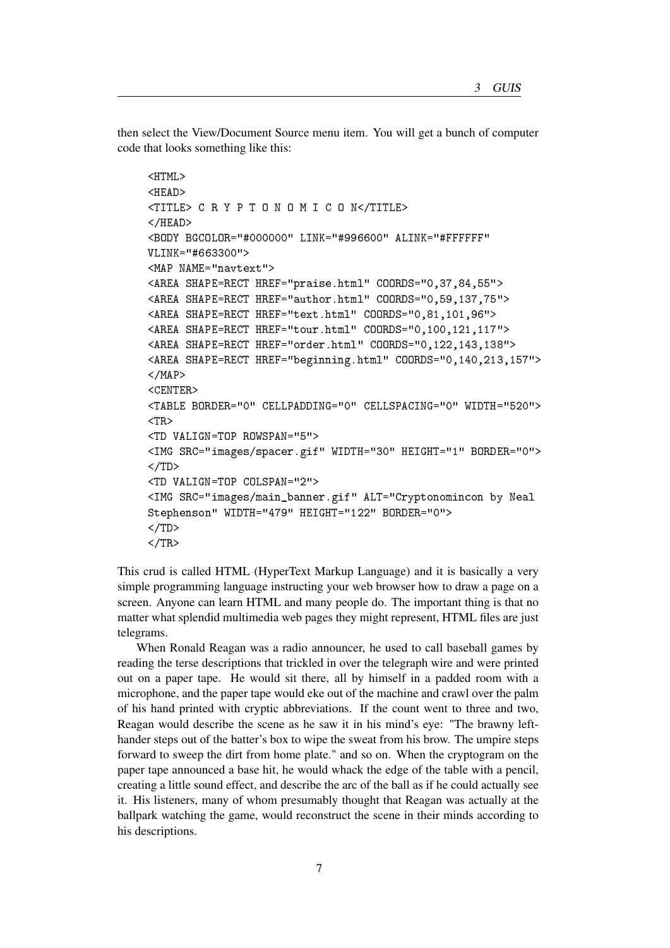then select the View/Document Source menu item. You will get a bunch of computer code that looks something like this:

```
<HTML>
<HEAD>
<TITLE> C R Y P T O N O M I C O N</TITLE>
</HEAD>
<BODY BGCOLOR="#000000" LINK="#996600" ALINK="#FFFFFF"
VLINK="#663300">
<MAP NAME="navtext">
<AREA SHAPE=RECT HREF="praise.html" COORDS="0,37,84,55">
<AREA SHAPE=RECT HREF="author.html" COORDS="0,59,137,75">
<AREA SHAPE=RECT HREF="text.html" COORDS="0,81,101,96">
<AREA SHAPE=RECT HREF="tour.html" COORDS="0,100,121,117">
<AREA SHAPE=RECT HREF="order.html" COORDS="0,122,143,138">
<AREA SHAPE=RECT HREF="beginning.html" COORDS="0,140,213,157">
</MAP>
<CENTER>
<TABLE BORDER="0" CELLPADDING="0" CELLSPACING="0" WIDTH="520">
<TR><TD VALIGN=TOP ROWSPAN="5">
<IMG SRC="images/spacer.gif" WIDTH="30" HEIGHT="1" BORDER="0">
\langle/TD\rangle<TD VALIGN=TOP COLSPAN="2">
<IMG SRC="images/main_banner.gif" ALT="Cryptonomincon by Neal
Stephenson" WIDTH="479" HEIGHT="122" BORDER="0">
</TD>
\langle/TR>
```
This crud is called HTML (HyperText Markup Language) and it is basically a very simple programming language instructing your web browser how to draw a page on a screen. Anyone can learn HTML and many people do. The important thing is that no matter what splendid multimedia web pages they might represent, HTML files are just telegrams.

When Ronald Reagan was a radio announcer, he used to call baseball games by reading the terse descriptions that trickled in over the telegraph wire and were printed out on a paper tape. He would sit there, all by himself in a padded room with a microphone, and the paper tape would eke out of the machine and crawl over the palm of his hand printed with cryptic abbreviations. If the count went to three and two, Reagan would describe the scene as he saw it in his mind's eye: "The brawny lefthander steps out of the batter's box to wipe the sweat from his brow. The umpire steps forward to sweep the dirt from home plate." and so on. When the cryptogram on the paper tape announced a base hit, he would whack the edge of the table with a pencil, creating a little sound effect, and describe the arc of the ball as if he could actually see it. His listeners, many of whom presumably thought that Reagan was actually at the ballpark watching the game, would reconstruct the scene in their minds according to his descriptions.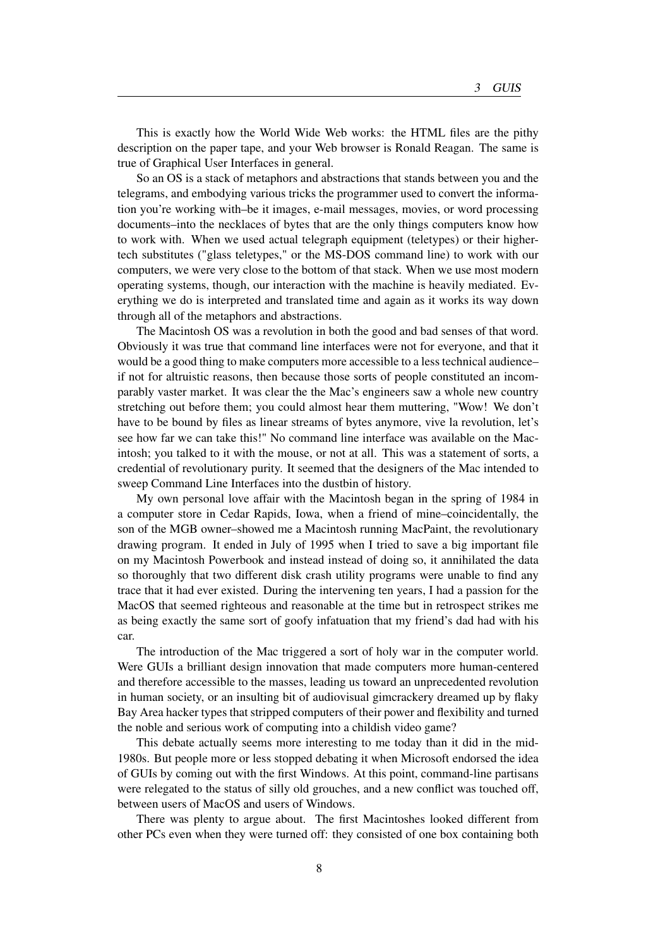This is exactly how the World Wide Web works: the HTML files are the pithy description on the paper tape, and your Web browser is Ronald Reagan. The same is true of Graphical User Interfaces in general.

So an OS is a stack of metaphors and abstractions that stands between you and the telegrams, and embodying various tricks the programmer used to convert the information you're working with–be it images, e-mail messages, movies, or word processing documents–into the necklaces of bytes that are the only things computers know how to work with. When we used actual telegraph equipment (teletypes) or their highertech substitutes ("glass teletypes," or the MS-DOS command line) to work with our computers, we were very close to the bottom of that stack. When we use most modern operating systems, though, our interaction with the machine is heavily mediated. Everything we do is interpreted and translated time and again as it works its way down through all of the metaphors and abstractions.

The Macintosh OS was a revolution in both the good and bad senses of that word. Obviously it was true that command line interfaces were not for everyone, and that it would be a good thing to make computers more accessible to a less technical audience– if not for altruistic reasons, then because those sorts of people constituted an incomparably vaster market. It was clear the the Mac's engineers saw a whole new country stretching out before them; you could almost hear them muttering, "Wow! We don't have to be bound by files as linear streams of bytes anymore, vive la revolution, let's see how far we can take this!" No command line interface was available on the Macintosh; you talked to it with the mouse, or not at all. This was a statement of sorts, a credential of revolutionary purity. It seemed that the designers of the Mac intended to sweep Command Line Interfaces into the dustbin of history.

My own personal love affair with the Macintosh began in the spring of 1984 in a computer store in Cedar Rapids, Iowa, when a friend of mine–coincidentally, the son of the MGB owner–showed me a Macintosh running MacPaint, the revolutionary drawing program. It ended in July of 1995 when I tried to save a big important file on my Macintosh Powerbook and instead instead of doing so, it annihilated the data so thoroughly that two different disk crash utility programs were unable to find any trace that it had ever existed. During the intervening ten years, I had a passion for the MacOS that seemed righteous and reasonable at the time but in retrospect strikes me as being exactly the same sort of goofy infatuation that my friend's dad had with his car.

The introduction of the Mac triggered a sort of holy war in the computer world. Were GUIs a brilliant design innovation that made computers more human-centered and therefore accessible to the masses, leading us toward an unprecedented revolution in human society, or an insulting bit of audiovisual gimcrackery dreamed up by flaky Bay Area hacker types that stripped computers of their power and flexibility and turned the noble and serious work of computing into a childish video game?

This debate actually seems more interesting to me today than it did in the mid-1980s. But people more or less stopped debating it when Microsoft endorsed the idea of GUIs by coming out with the first Windows. At this point, command-line partisans were relegated to the status of silly old grouches, and a new conflict was touched off, between users of MacOS and users of Windows.

There was plenty to argue about. The first Macintoshes looked different from other PCs even when they were turned off: they consisted of one box containing both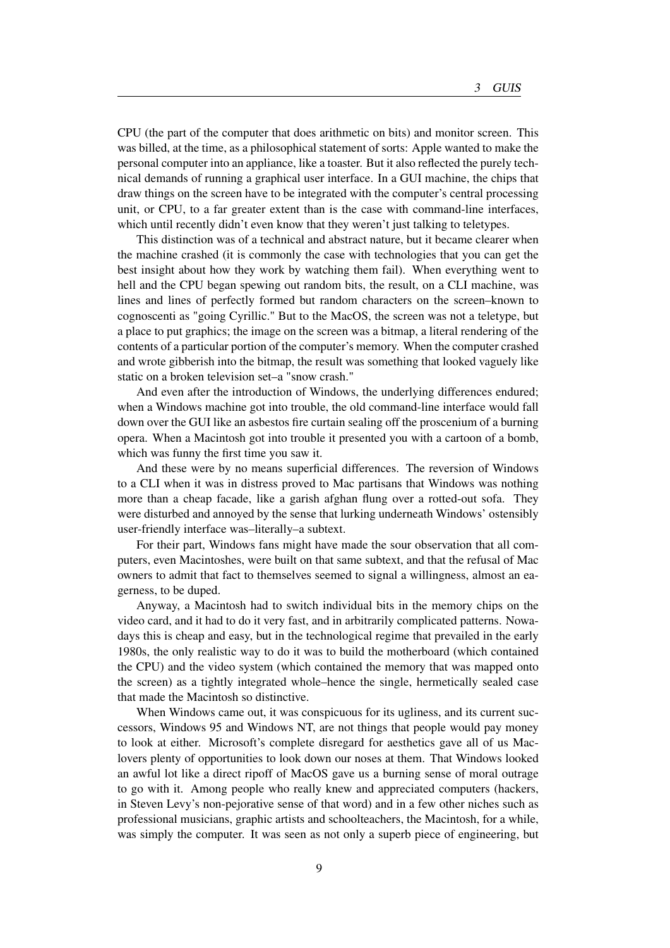CPU (the part of the computer that does arithmetic on bits) and monitor screen. This was billed, at the time, as a philosophical statement of sorts: Apple wanted to make the personal computer into an appliance, like a toaster. But it also reflected the purely technical demands of running a graphical user interface. In a GUI machine, the chips that draw things on the screen have to be integrated with the computer's central processing unit, or CPU, to a far greater extent than is the case with command-line interfaces, which until recently didn't even know that they weren't just talking to teletypes.

This distinction was of a technical and abstract nature, but it became clearer when the machine crashed (it is commonly the case with technologies that you can get the best insight about how they work by watching them fail). When everything went to hell and the CPU began spewing out random bits, the result, on a CLI machine, was lines and lines of perfectly formed but random characters on the screen–known to cognoscenti as "going Cyrillic." But to the MacOS, the screen was not a teletype, but a place to put graphics; the image on the screen was a bitmap, a literal rendering of the contents of a particular portion of the computer's memory. When the computer crashed and wrote gibberish into the bitmap, the result was something that looked vaguely like static on a broken television set–a "snow crash."

And even after the introduction of Windows, the underlying differences endured; when a Windows machine got into trouble, the old command-line interface would fall down over the GUI like an asbestos fire curtain sealing off the proscenium of a burning opera. When a Macintosh got into trouble it presented you with a cartoon of a bomb, which was funny the first time you saw it.

And these were by no means superficial differences. The reversion of Windows to a CLI when it was in distress proved to Mac partisans that Windows was nothing more than a cheap facade, like a garish afghan flung over a rotted-out sofa. They were disturbed and annoyed by the sense that lurking underneath Windows' ostensibly user-friendly interface was–literally–a subtext.

For their part, Windows fans might have made the sour observation that all computers, even Macintoshes, were built on that same subtext, and that the refusal of Mac owners to admit that fact to themselves seemed to signal a willingness, almost an eagerness, to be duped.

Anyway, a Macintosh had to switch individual bits in the memory chips on the video card, and it had to do it very fast, and in arbitrarily complicated patterns. Nowadays this is cheap and easy, but in the technological regime that prevailed in the early 1980s, the only realistic way to do it was to build the motherboard (which contained the CPU) and the video system (which contained the memory that was mapped onto the screen) as a tightly integrated whole–hence the single, hermetically sealed case that made the Macintosh so distinctive.

When Windows came out, it was conspicuous for its ugliness, and its current successors, Windows 95 and Windows NT, are not things that people would pay money to look at either. Microsoft's complete disregard for aesthetics gave all of us Maclovers plenty of opportunities to look down our noses at them. That Windows looked an awful lot like a direct ripoff of MacOS gave us a burning sense of moral outrage to go with it. Among people who really knew and appreciated computers (hackers, in Steven Levy's non-pejorative sense of that word) and in a few other niches such as professional musicians, graphic artists and schoolteachers, the Macintosh, for a while, was simply the computer. It was seen as not only a superb piece of engineering, but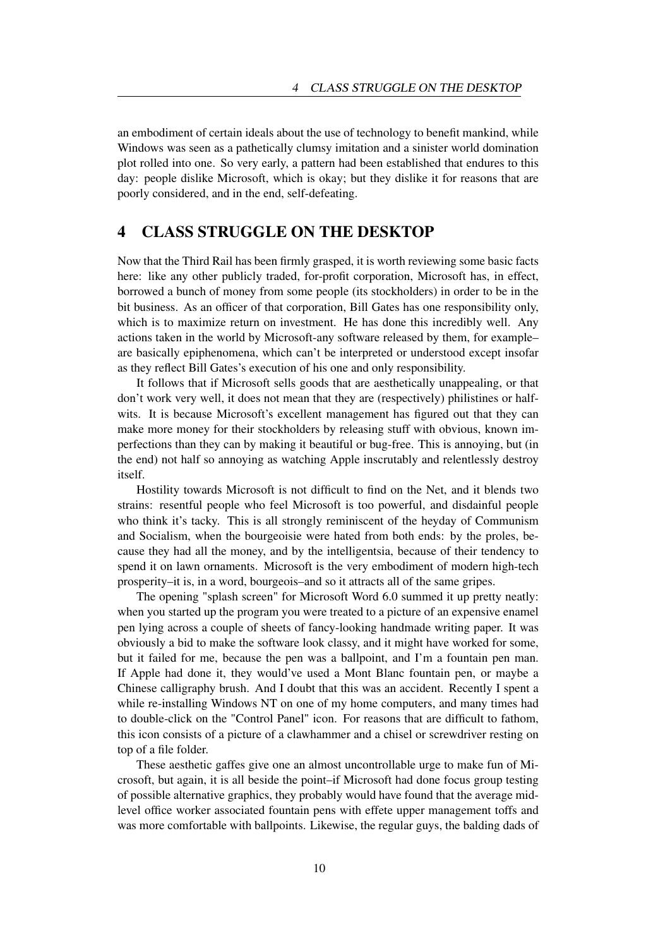an embodiment of certain ideals about the use of technology to benefit mankind, while Windows was seen as a pathetically clumsy imitation and a sinister world domination plot rolled into one. So very early, a pattern had been established that endures to this day: people dislike Microsoft, which is okay; but they dislike it for reasons that are poorly considered, and in the end, self-defeating.

## 4 CLASS STRUGGLE ON THE DESKTOP

Now that the Third Rail has been firmly grasped, it is worth reviewing some basic facts here: like any other publicly traded, for-profit corporation, Microsoft has, in effect, borrowed a bunch of money from some people (its stockholders) in order to be in the bit business. As an officer of that corporation, Bill Gates has one responsibility only, which is to maximize return on investment. He has done this incredibly well. Any actions taken in the world by Microsoft-any software released by them, for example– are basically epiphenomena, which can't be interpreted or understood except insofar as they reflect Bill Gates's execution of his one and only responsibility.

It follows that if Microsoft sells goods that are aesthetically unappealing, or that don't work very well, it does not mean that they are (respectively) philistines or halfwits. It is because Microsoft's excellent management has figured out that they can make more money for their stockholders by releasing stuff with obvious, known imperfections than they can by making it beautiful or bug-free. This is annoying, but (in the end) not half so annoying as watching Apple inscrutably and relentlessly destroy itself.

Hostility towards Microsoft is not difficult to find on the Net, and it blends two strains: resentful people who feel Microsoft is too powerful, and disdainful people who think it's tacky. This is all strongly reminiscent of the heyday of Communism and Socialism, when the bourgeoisie were hated from both ends: by the proles, because they had all the money, and by the intelligentsia, because of their tendency to spend it on lawn ornaments. Microsoft is the very embodiment of modern high-tech prosperity–it is, in a word, bourgeois–and so it attracts all of the same gripes.

The opening "splash screen" for Microsoft Word 6.0 summed it up pretty neatly: when you started up the program you were treated to a picture of an expensive enamel pen lying across a couple of sheets of fancy-looking handmade writing paper. It was obviously a bid to make the software look classy, and it might have worked for some, but it failed for me, because the pen was a ballpoint, and I'm a fountain pen man. If Apple had done it, they would've used a Mont Blanc fountain pen, or maybe a Chinese calligraphy brush. And I doubt that this was an accident. Recently I spent a while re-installing Windows NT on one of my home computers, and many times had to double-click on the "Control Panel" icon. For reasons that are difficult to fathom, this icon consists of a picture of a clawhammer and a chisel or screwdriver resting on top of a file folder.

These aesthetic gaffes give one an almost uncontrollable urge to make fun of Microsoft, but again, it is all beside the point–if Microsoft had done focus group testing of possible alternative graphics, they probably would have found that the average midlevel office worker associated fountain pens with effete upper management toffs and was more comfortable with ballpoints. Likewise, the regular guys, the balding dads of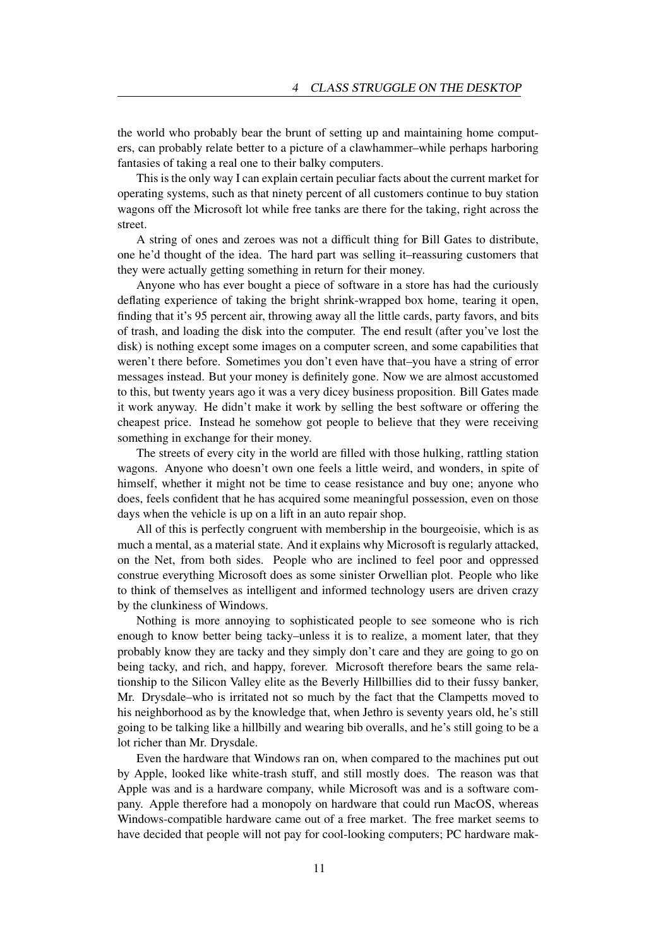the world who probably bear the brunt of setting up and maintaining home computers, can probably relate better to a picture of a clawhammer–while perhaps harboring fantasies of taking a real one to their balky computers.

This is the only way I can explain certain peculiar facts about the current market for operating systems, such as that ninety percent of all customers continue to buy station wagons off the Microsoft lot while free tanks are there for the taking, right across the street.

A string of ones and zeroes was not a difficult thing for Bill Gates to distribute, one he'd thought of the idea. The hard part was selling it–reassuring customers that they were actually getting something in return for their money.

Anyone who has ever bought a piece of software in a store has had the curiously deflating experience of taking the bright shrink-wrapped box home, tearing it open, finding that it's 95 percent air, throwing away all the little cards, party favors, and bits of trash, and loading the disk into the computer. The end result (after you've lost the disk) is nothing except some images on a computer screen, and some capabilities that weren't there before. Sometimes you don't even have that–you have a string of error messages instead. But your money is definitely gone. Now we are almost accustomed to this, but twenty years ago it was a very dicey business proposition. Bill Gates made it work anyway. He didn't make it work by selling the best software or offering the cheapest price. Instead he somehow got people to believe that they were receiving something in exchange for their money.

The streets of every city in the world are filled with those hulking, rattling station wagons. Anyone who doesn't own one feels a little weird, and wonders, in spite of himself, whether it might not be time to cease resistance and buy one; anyone who does, feels confident that he has acquired some meaningful possession, even on those days when the vehicle is up on a lift in an auto repair shop.

All of this is perfectly congruent with membership in the bourgeoisie, which is as much a mental, as a material state. And it explains why Microsoft is regularly attacked, on the Net, from both sides. People who are inclined to feel poor and oppressed construe everything Microsoft does as some sinister Orwellian plot. People who like to think of themselves as intelligent and informed technology users are driven crazy by the clunkiness of Windows.

Nothing is more annoying to sophisticated people to see someone who is rich enough to know better being tacky–unless it is to realize, a moment later, that they probably know they are tacky and they simply don't care and they are going to go on being tacky, and rich, and happy, forever. Microsoft therefore bears the same relationship to the Silicon Valley elite as the Beverly Hillbillies did to their fussy banker, Mr. Drysdale–who is irritated not so much by the fact that the Clampetts moved to his neighborhood as by the knowledge that, when Jethro is seventy years old, he's still going to be talking like a hillbilly and wearing bib overalls, and he's still going to be a lot richer than Mr. Drysdale.

Even the hardware that Windows ran on, when compared to the machines put out by Apple, looked like white-trash stuff, and still mostly does. The reason was that Apple was and is a hardware company, while Microsoft was and is a software company. Apple therefore had a monopoly on hardware that could run MacOS, whereas Windows-compatible hardware came out of a free market. The free market seems to have decided that people will not pay for cool-looking computers; PC hardware mak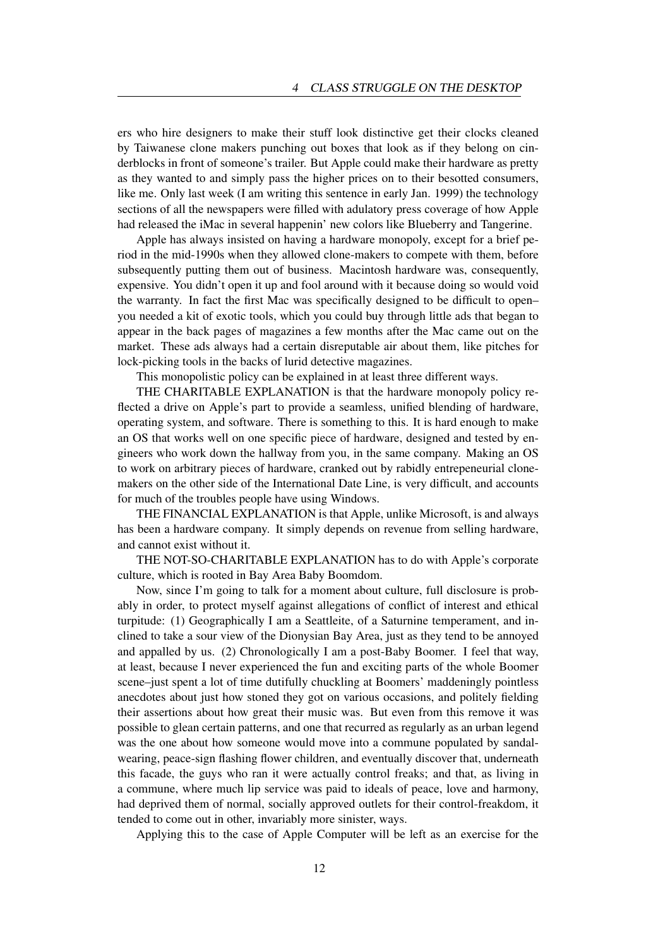ers who hire designers to make their stuff look distinctive get their clocks cleaned by Taiwanese clone makers punching out boxes that look as if they belong on cinderblocks in front of someone's trailer. But Apple could make their hardware as pretty as they wanted to and simply pass the higher prices on to their besotted consumers, like me. Only last week (I am writing this sentence in early Jan. 1999) the technology sections of all the newspapers were filled with adulatory press coverage of how Apple had released the iMac in several happenin' new colors like Blueberry and Tangerine.

Apple has always insisted on having a hardware monopoly, except for a brief period in the mid-1990s when they allowed clone-makers to compete with them, before subsequently putting them out of business. Macintosh hardware was, consequently, expensive. You didn't open it up and fool around with it because doing so would void the warranty. In fact the first Mac was specifically designed to be difficult to open– you needed a kit of exotic tools, which you could buy through little ads that began to appear in the back pages of magazines a few months after the Mac came out on the market. These ads always had a certain disreputable air about them, like pitches for lock-picking tools in the backs of lurid detective magazines.

This monopolistic policy can be explained in at least three different ways.

THE CHARITABLE EXPLANATION is that the hardware monopoly policy reflected a drive on Apple's part to provide a seamless, unified blending of hardware, operating system, and software. There is something to this. It is hard enough to make an OS that works well on one specific piece of hardware, designed and tested by engineers who work down the hallway from you, in the same company. Making an OS to work on arbitrary pieces of hardware, cranked out by rabidly entrepeneurial clonemakers on the other side of the International Date Line, is very difficult, and accounts for much of the troubles people have using Windows.

THE FINANCIAL EXPLANATION is that Apple, unlike Microsoft, is and always has been a hardware company. It simply depends on revenue from selling hardware, and cannot exist without it.

THE NOT-SO-CHARITABLE EXPLANATION has to do with Apple's corporate culture, which is rooted in Bay Area Baby Boomdom.

Now, since I'm going to talk for a moment about culture, full disclosure is probably in order, to protect myself against allegations of conflict of interest and ethical turpitude: (1) Geographically I am a Seattleite, of a Saturnine temperament, and inclined to take a sour view of the Dionysian Bay Area, just as they tend to be annoyed and appalled by us. (2) Chronologically I am a post-Baby Boomer. I feel that way, at least, because I never experienced the fun and exciting parts of the whole Boomer scene–just spent a lot of time dutifully chuckling at Boomers' maddeningly pointless anecdotes about just how stoned they got on various occasions, and politely fielding their assertions about how great their music was. But even from this remove it was possible to glean certain patterns, and one that recurred as regularly as an urban legend was the one about how someone would move into a commune populated by sandalwearing, peace-sign flashing flower children, and eventually discover that, underneath this facade, the guys who ran it were actually control freaks; and that, as living in a commune, where much lip service was paid to ideals of peace, love and harmony, had deprived them of normal, socially approved outlets for their control-freakdom, it tended to come out in other, invariably more sinister, ways.

Applying this to the case of Apple Computer will be left as an exercise for the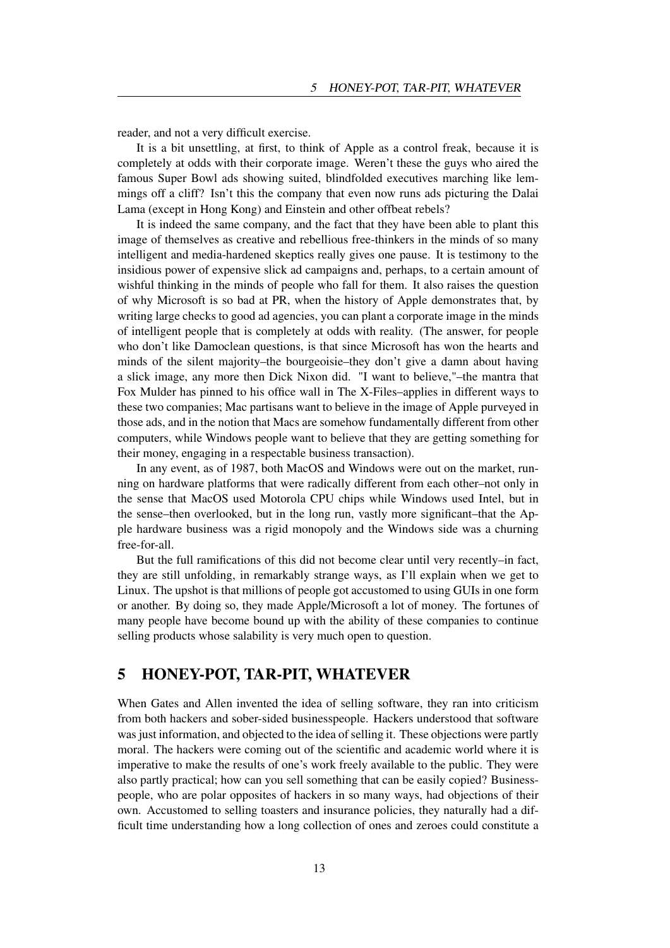reader, and not a very difficult exercise.

It is a bit unsettling, at first, to think of Apple as a control freak, because it is completely at odds with their corporate image. Weren't these the guys who aired the famous Super Bowl ads showing suited, blindfolded executives marching like lemmings off a cliff? Isn't this the company that even now runs ads picturing the Dalai Lama (except in Hong Kong) and Einstein and other offbeat rebels?

It is indeed the same company, and the fact that they have been able to plant this image of themselves as creative and rebellious free-thinkers in the minds of so many intelligent and media-hardened skeptics really gives one pause. It is testimony to the insidious power of expensive slick ad campaigns and, perhaps, to a certain amount of wishful thinking in the minds of people who fall for them. It also raises the question of why Microsoft is so bad at PR, when the history of Apple demonstrates that, by writing large checks to good ad agencies, you can plant a corporate image in the minds of intelligent people that is completely at odds with reality. (The answer, for people who don't like Damoclean questions, is that since Microsoft has won the hearts and minds of the silent majority–the bourgeoisie–they don't give a damn about having a slick image, any more then Dick Nixon did. "I want to believe,"–the mantra that Fox Mulder has pinned to his office wall in The X-Files–applies in different ways to these two companies; Mac partisans want to believe in the image of Apple purveyed in those ads, and in the notion that Macs are somehow fundamentally different from other computers, while Windows people want to believe that they are getting something for their money, engaging in a respectable business transaction).

In any event, as of 1987, both MacOS and Windows were out on the market, running on hardware platforms that were radically different from each other–not only in the sense that MacOS used Motorola CPU chips while Windows used Intel, but in the sense–then overlooked, but in the long run, vastly more significant–that the Apple hardware business was a rigid monopoly and the Windows side was a churning free-for-all.

But the full ramifications of this did not become clear until very recently–in fact, they are still unfolding, in remarkably strange ways, as I'll explain when we get to Linux. The upshot is that millions of people got accustomed to using GUIs in one form or another. By doing so, they made Apple/Microsoft a lot of money. The fortunes of many people have become bound up with the ability of these companies to continue selling products whose salability is very much open to question.

## 5 HONEY-POT, TAR-PIT, WHATEVER

When Gates and Allen invented the idea of selling software, they ran into criticism from both hackers and sober-sided businesspeople. Hackers understood that software was just information, and objected to the idea of selling it. These objections were partly moral. The hackers were coming out of the scientific and academic world where it is imperative to make the results of one's work freely available to the public. They were also partly practical; how can you sell something that can be easily copied? Businesspeople, who are polar opposites of hackers in so many ways, had objections of their own. Accustomed to selling toasters and insurance policies, they naturally had a difficult time understanding how a long collection of ones and zeroes could constitute a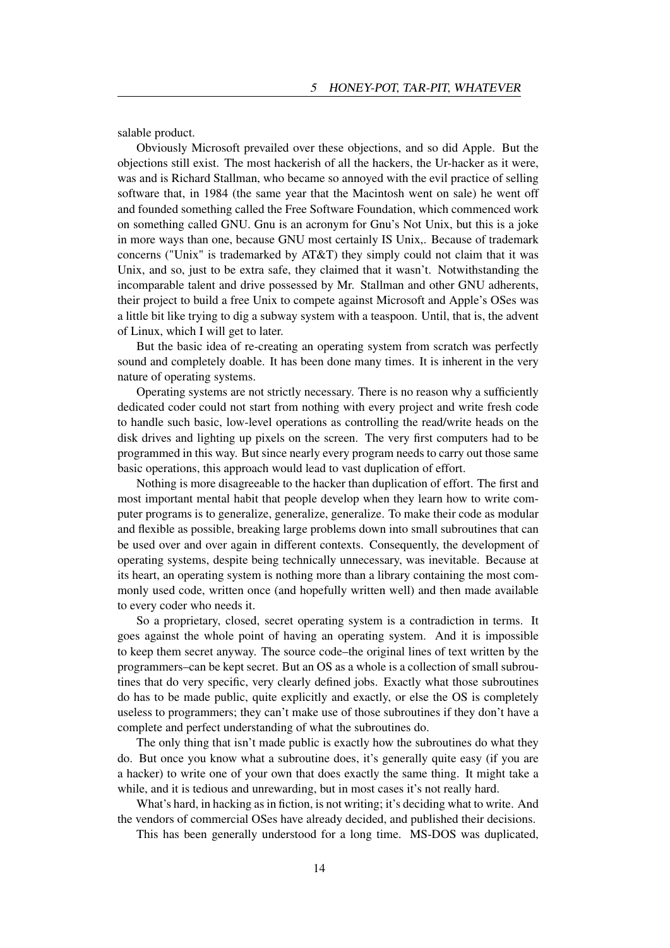salable product.

Obviously Microsoft prevailed over these objections, and so did Apple. But the objections still exist. The most hackerish of all the hackers, the Ur-hacker as it were, was and is Richard Stallman, who became so annoyed with the evil practice of selling software that, in 1984 (the same year that the Macintosh went on sale) he went off and founded something called the Free Software Foundation, which commenced work on something called GNU. Gnu is an acronym for Gnu's Not Unix, but this is a joke in more ways than one, because GNU most certainly IS Unix,. Because of trademark concerns ("Unix" is trademarked by AT&T) they simply could not claim that it was Unix, and so, just to be extra safe, they claimed that it wasn't. Notwithstanding the incomparable talent and drive possessed by Mr. Stallman and other GNU adherents, their project to build a free Unix to compete against Microsoft and Apple's OSes was a little bit like trying to dig a subway system with a teaspoon. Until, that is, the advent of Linux, which I will get to later.

But the basic idea of re-creating an operating system from scratch was perfectly sound and completely doable. It has been done many times. It is inherent in the very nature of operating systems.

Operating systems are not strictly necessary. There is no reason why a sufficiently dedicated coder could not start from nothing with every project and write fresh code to handle such basic, low-level operations as controlling the read/write heads on the disk drives and lighting up pixels on the screen. The very first computers had to be programmed in this way. But since nearly every program needs to carry out those same basic operations, this approach would lead to vast duplication of effort.

Nothing is more disagreeable to the hacker than duplication of effort. The first and most important mental habit that people develop when they learn how to write computer programs is to generalize, generalize, generalize. To make their code as modular and flexible as possible, breaking large problems down into small subroutines that can be used over and over again in different contexts. Consequently, the development of operating systems, despite being technically unnecessary, was inevitable. Because at its heart, an operating system is nothing more than a library containing the most commonly used code, written once (and hopefully written well) and then made available to every coder who needs it.

So a proprietary, closed, secret operating system is a contradiction in terms. It goes against the whole point of having an operating system. And it is impossible to keep them secret anyway. The source code–the original lines of text written by the programmers–can be kept secret. But an OS as a whole is a collection of small subroutines that do very specific, very clearly defined jobs. Exactly what those subroutines do has to be made public, quite explicitly and exactly, or else the OS is completely useless to programmers; they can't make use of those subroutines if they don't have a complete and perfect understanding of what the subroutines do.

The only thing that isn't made public is exactly how the subroutines do what they do. But once you know what a subroutine does, it's generally quite easy (if you are a hacker) to write one of your own that does exactly the same thing. It might take a while, and it is tedious and unrewarding, but in most cases it's not really hard.

What's hard, in hacking as in fiction, is not writing; it's deciding what to write. And the vendors of commercial OSes have already decided, and published their decisions.

This has been generally understood for a long time. MS-DOS was duplicated,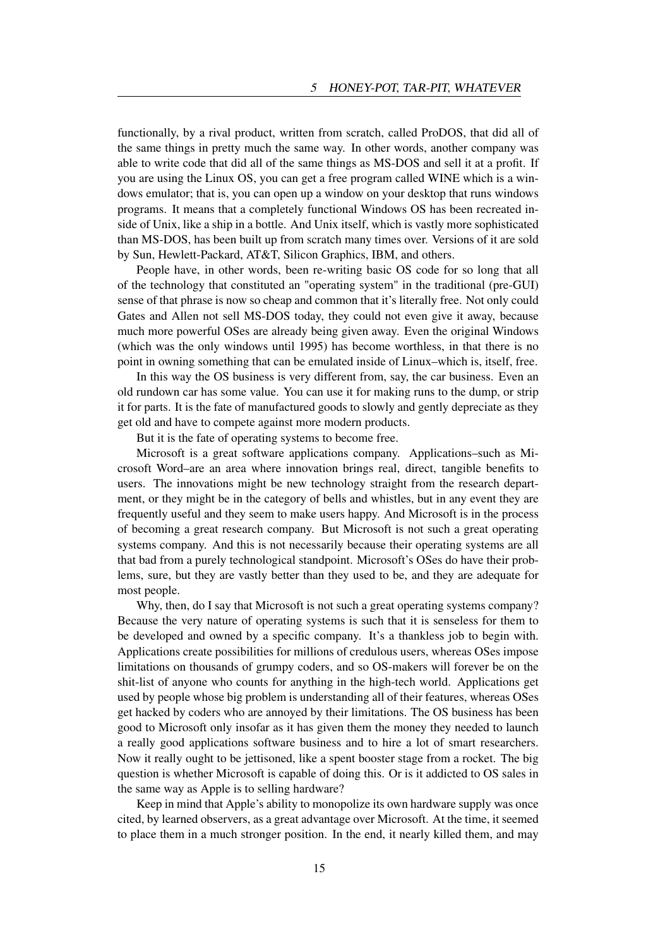functionally, by a rival product, written from scratch, called ProDOS, that did all of the same things in pretty much the same way. In other words, another company was able to write code that did all of the same things as MS-DOS and sell it at a profit. If you are using the Linux OS, you can get a free program called WINE which is a windows emulator; that is, you can open up a window on your desktop that runs windows programs. It means that a completely functional Windows OS has been recreated inside of Unix, like a ship in a bottle. And Unix itself, which is vastly more sophisticated than MS-DOS, has been built up from scratch many times over. Versions of it are sold by Sun, Hewlett-Packard, AT&T, Silicon Graphics, IBM, and others.

People have, in other words, been re-writing basic OS code for so long that all of the technology that constituted an "operating system" in the traditional (pre-GUI) sense of that phrase is now so cheap and common that it's literally free. Not only could Gates and Allen not sell MS-DOS today, they could not even give it away, because much more powerful OSes are already being given away. Even the original Windows (which was the only windows until 1995) has become worthless, in that there is no point in owning something that can be emulated inside of Linux–which is, itself, free.

In this way the OS business is very different from, say, the car business. Even an old rundown car has some value. You can use it for making runs to the dump, or strip it for parts. It is the fate of manufactured goods to slowly and gently depreciate as they get old and have to compete against more modern products.

But it is the fate of operating systems to become free.

Microsoft is a great software applications company. Applications–such as Microsoft Word–are an area where innovation brings real, direct, tangible benefits to users. The innovations might be new technology straight from the research department, or they might be in the category of bells and whistles, but in any event they are frequently useful and they seem to make users happy. And Microsoft is in the process of becoming a great research company. But Microsoft is not such a great operating systems company. And this is not necessarily because their operating systems are all that bad from a purely technological standpoint. Microsoft's OSes do have their problems, sure, but they are vastly better than they used to be, and they are adequate for most people.

Why, then, do I say that Microsoft is not such a great operating systems company? Because the very nature of operating systems is such that it is senseless for them to be developed and owned by a specific company. It's a thankless job to begin with. Applications create possibilities for millions of credulous users, whereas OSes impose limitations on thousands of grumpy coders, and so OS-makers will forever be on the shit-list of anyone who counts for anything in the high-tech world. Applications get used by people whose big problem is understanding all of their features, whereas OSes get hacked by coders who are annoyed by their limitations. The OS business has been good to Microsoft only insofar as it has given them the money they needed to launch a really good applications software business and to hire a lot of smart researchers. Now it really ought to be jettisoned, like a spent booster stage from a rocket. The big question is whether Microsoft is capable of doing this. Or is it addicted to OS sales in the same way as Apple is to selling hardware?

Keep in mind that Apple's ability to monopolize its own hardware supply was once cited, by learned observers, as a great advantage over Microsoft. At the time, it seemed to place them in a much stronger position. In the end, it nearly killed them, and may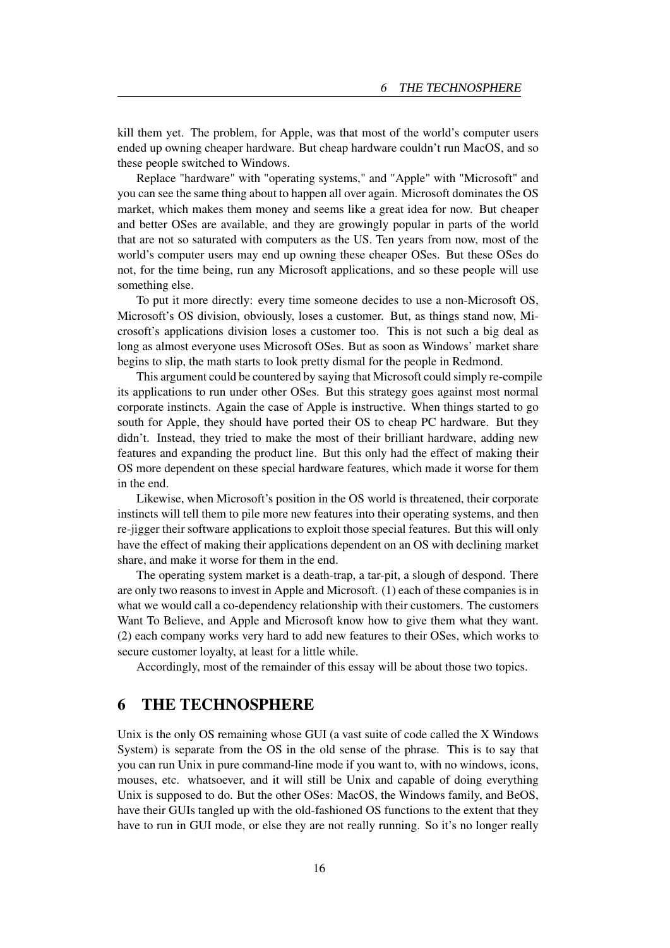kill them yet. The problem, for Apple, was that most of the world's computer users ended up owning cheaper hardware. But cheap hardware couldn't run MacOS, and so these people switched to Windows.

Replace "hardware" with "operating systems," and "Apple" with "Microsoft" and you can see the same thing about to happen all over again. Microsoft dominates the OS market, which makes them money and seems like a great idea for now. But cheaper and better OSes are available, and they are growingly popular in parts of the world that are not so saturated with computers as the US. Ten years from now, most of the world's computer users may end up owning these cheaper OSes. But these OSes do not, for the time being, run any Microsoft applications, and so these people will use something else.

To put it more directly: every time someone decides to use a non-Microsoft OS, Microsoft's OS division, obviously, loses a customer. But, as things stand now, Microsoft's applications division loses a customer too. This is not such a big deal as long as almost everyone uses Microsoft OSes. But as soon as Windows' market share begins to slip, the math starts to look pretty dismal for the people in Redmond.

This argument could be countered by saying that Microsoft could simply re-compile its applications to run under other OSes. But this strategy goes against most normal corporate instincts. Again the case of Apple is instructive. When things started to go south for Apple, they should have ported their OS to cheap PC hardware. But they didn't. Instead, they tried to make the most of their brilliant hardware, adding new features and expanding the product line. But this only had the effect of making their OS more dependent on these special hardware features, which made it worse for them in the end.

Likewise, when Microsoft's position in the OS world is threatened, their corporate instincts will tell them to pile more new features into their operating systems, and then re-jigger their software applications to exploit those special features. But this will only have the effect of making their applications dependent on an OS with declining market share, and make it worse for them in the end.

The operating system market is a death-trap, a tar-pit, a slough of despond. There are only two reasons to invest in Apple and Microsoft. (1) each of these companies is in what we would call a co-dependency relationship with their customers. The customers Want To Believe, and Apple and Microsoft know how to give them what they want. (2) each company works very hard to add new features to their OSes, which works to secure customer loyalty, at least for a little while.

Accordingly, most of the remainder of this essay will be about those two topics.

### 6 THE TECHNOSPHERE

Unix is the only OS remaining whose GUI (a vast suite of code called the X Windows System) is separate from the OS in the old sense of the phrase. This is to say that you can run Unix in pure command-line mode if you want to, with no windows, icons, mouses, etc. whatsoever, and it will still be Unix and capable of doing everything Unix is supposed to do. But the other OSes: MacOS, the Windows family, and BeOS, have their GUIs tangled up with the old-fashioned OS functions to the extent that they have to run in GUI mode, or else they are not really running. So it's no longer really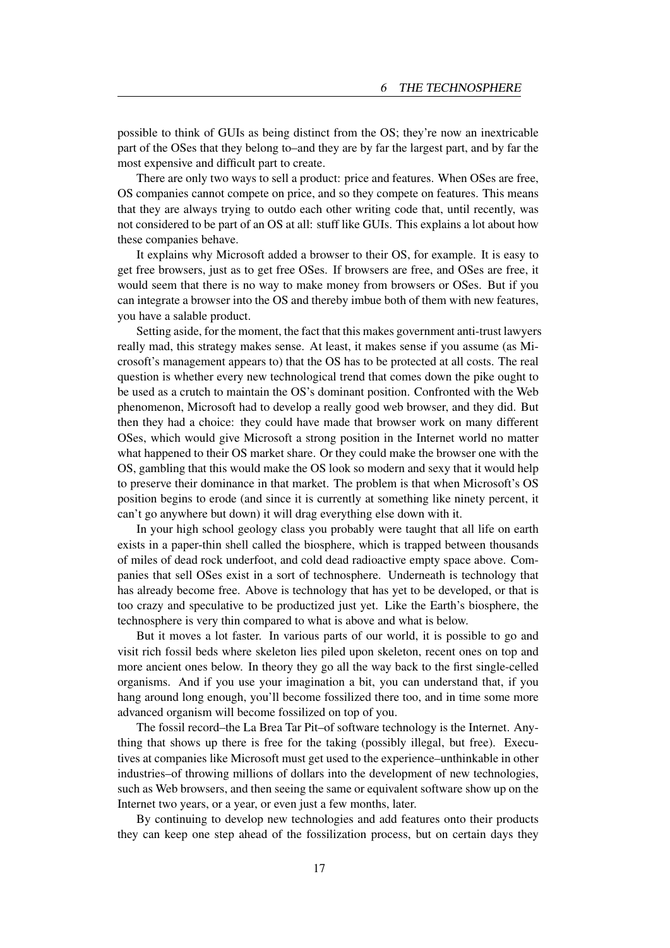possible to think of GUIs as being distinct from the OS; they're now an inextricable part of the OSes that they belong to–and they are by far the largest part, and by far the most expensive and difficult part to create.

There are only two ways to sell a product: price and features. When OSes are free, OS companies cannot compete on price, and so they compete on features. This means that they are always trying to outdo each other writing code that, until recently, was not considered to be part of an OS at all: stuff like GUIs. This explains a lot about how these companies behave.

It explains why Microsoft added a browser to their OS, for example. It is easy to get free browsers, just as to get free OSes. If browsers are free, and OSes are free, it would seem that there is no way to make money from browsers or OSes. But if you can integrate a browser into the OS and thereby imbue both of them with new features, you have a salable product.

Setting aside, for the moment, the fact that this makes government anti-trust lawyers really mad, this strategy makes sense. At least, it makes sense if you assume (as Microsoft's management appears to) that the OS has to be protected at all costs. The real question is whether every new technological trend that comes down the pike ought to be used as a crutch to maintain the OS's dominant position. Confronted with the Web phenomenon, Microsoft had to develop a really good web browser, and they did. But then they had a choice: they could have made that browser work on many different OSes, which would give Microsoft a strong position in the Internet world no matter what happened to their OS market share. Or they could make the browser one with the OS, gambling that this would make the OS look so modern and sexy that it would help to preserve their dominance in that market. The problem is that when Microsoft's OS position begins to erode (and since it is currently at something like ninety percent, it can't go anywhere but down) it will drag everything else down with it.

In your high school geology class you probably were taught that all life on earth exists in a paper-thin shell called the biosphere, which is trapped between thousands of miles of dead rock underfoot, and cold dead radioactive empty space above. Companies that sell OSes exist in a sort of technosphere. Underneath is technology that has already become free. Above is technology that has yet to be developed, or that is too crazy and speculative to be productized just yet. Like the Earth's biosphere, the technosphere is very thin compared to what is above and what is below.

But it moves a lot faster. In various parts of our world, it is possible to go and visit rich fossil beds where skeleton lies piled upon skeleton, recent ones on top and more ancient ones below. In theory they go all the way back to the first single-celled organisms. And if you use your imagination a bit, you can understand that, if you hang around long enough, you'll become fossilized there too, and in time some more advanced organism will become fossilized on top of you.

The fossil record–the La Brea Tar Pit–of software technology is the Internet. Anything that shows up there is free for the taking (possibly illegal, but free). Executives at companies like Microsoft must get used to the experience–unthinkable in other industries–of throwing millions of dollars into the development of new technologies, such as Web browsers, and then seeing the same or equivalent software show up on the Internet two years, or a year, or even just a few months, later.

By continuing to develop new technologies and add features onto their products they can keep one step ahead of the fossilization process, but on certain days they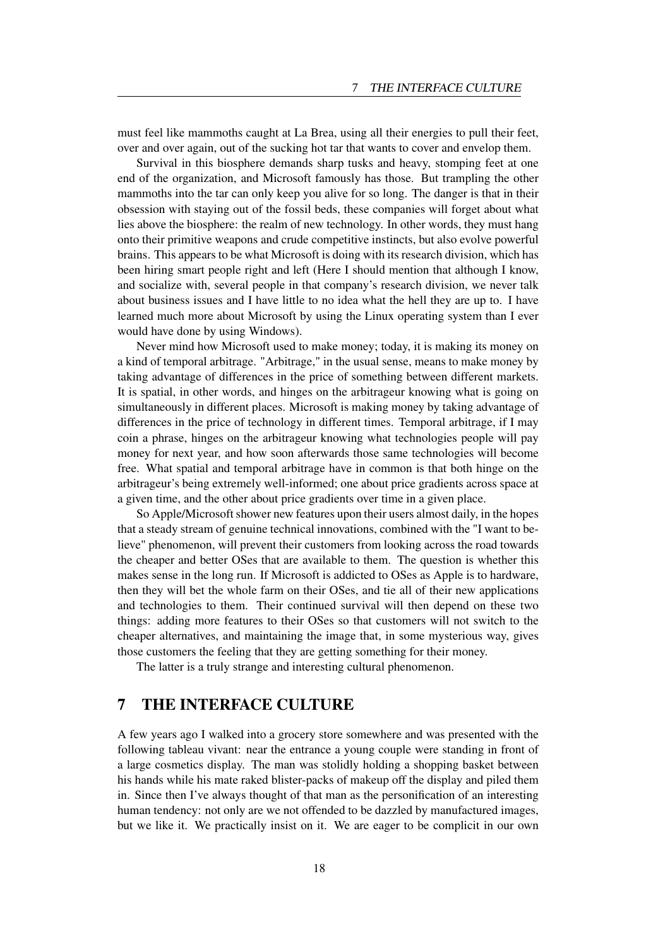must feel like mammoths caught at La Brea, using all their energies to pull their feet, over and over again, out of the sucking hot tar that wants to cover and envelop them.

Survival in this biosphere demands sharp tusks and heavy, stomping feet at one end of the organization, and Microsoft famously has those. But trampling the other mammoths into the tar can only keep you alive for so long. The danger is that in their obsession with staying out of the fossil beds, these companies will forget about what lies above the biosphere: the realm of new technology. In other words, they must hang onto their primitive weapons and crude competitive instincts, but also evolve powerful brains. This appears to be what Microsoft is doing with its research division, which has been hiring smart people right and left (Here I should mention that although I know, and socialize with, several people in that company's research division, we never talk about business issues and I have little to no idea what the hell they are up to. I have learned much more about Microsoft by using the Linux operating system than I ever would have done by using Windows).

Never mind how Microsoft used to make money; today, it is making its money on a kind of temporal arbitrage. "Arbitrage," in the usual sense, means to make money by taking advantage of differences in the price of something between different markets. It is spatial, in other words, and hinges on the arbitrageur knowing what is going on simultaneously in different places. Microsoft is making money by taking advantage of differences in the price of technology in different times. Temporal arbitrage, if I may coin a phrase, hinges on the arbitrageur knowing what technologies people will pay money for next year, and how soon afterwards those same technologies will become free. What spatial and temporal arbitrage have in common is that both hinge on the arbitrageur's being extremely well-informed; one about price gradients across space at a given time, and the other about price gradients over time in a given place.

So Apple/Microsoft shower new features upon their users almost daily, in the hopes that a steady stream of genuine technical innovations, combined with the "I want to believe" phenomenon, will prevent their customers from looking across the road towards the cheaper and better OSes that are available to them. The question is whether this makes sense in the long run. If Microsoft is addicted to OSes as Apple is to hardware, then they will bet the whole farm on their OSes, and tie all of their new applications and technologies to them. Their continued survival will then depend on these two things: adding more features to their OSes so that customers will not switch to the cheaper alternatives, and maintaining the image that, in some mysterious way, gives those customers the feeling that they are getting something for their money.

The latter is a truly strange and interesting cultural phenomenon.

### 7 THE INTERFACE CULTURE

A few years ago I walked into a grocery store somewhere and was presented with the following tableau vivant: near the entrance a young couple were standing in front of a large cosmetics display. The man was stolidly holding a shopping basket between his hands while his mate raked blister-packs of makeup off the display and piled them in. Since then I've always thought of that man as the personification of an interesting human tendency: not only are we not offended to be dazzled by manufactured images, but we like it. We practically insist on it. We are eager to be complicit in our own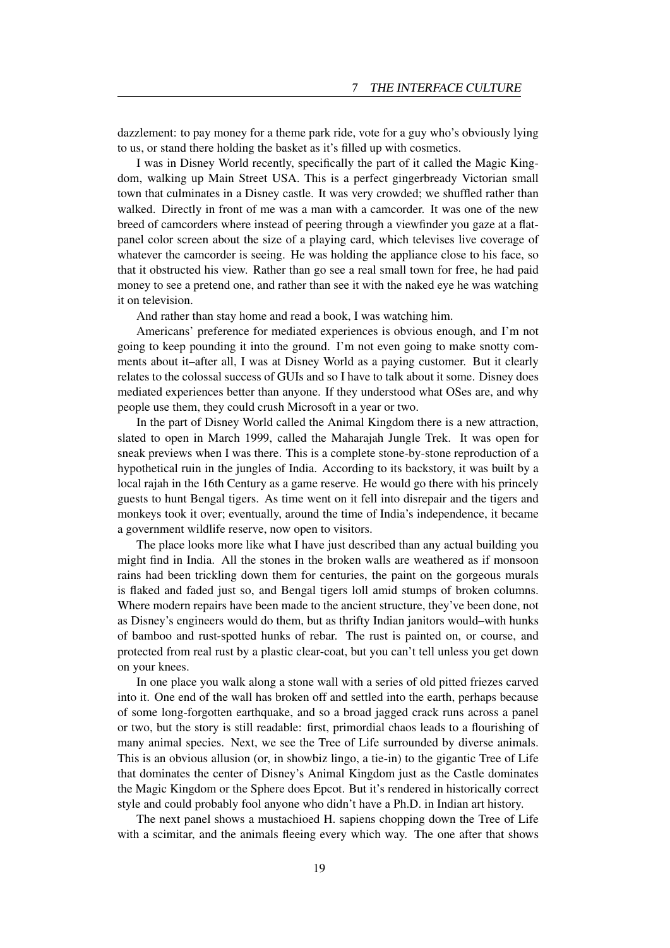dazzlement: to pay money for a theme park ride, vote for a guy who's obviously lying to us, or stand there holding the basket as it's filled up with cosmetics.

I was in Disney World recently, specifically the part of it called the Magic Kingdom, walking up Main Street USA. This is a perfect gingerbready Victorian small town that culminates in a Disney castle. It was very crowded; we shuffled rather than walked. Directly in front of me was a man with a camcorder. It was one of the new breed of camcorders where instead of peering through a viewfinder you gaze at a flatpanel color screen about the size of a playing card, which televises live coverage of whatever the camcorder is seeing. He was holding the appliance close to his face, so that it obstructed his view. Rather than go see a real small town for free, he had paid money to see a pretend one, and rather than see it with the naked eye he was watching it on television.

And rather than stay home and read a book, I was watching him.

Americans' preference for mediated experiences is obvious enough, and I'm not going to keep pounding it into the ground. I'm not even going to make snotty comments about it–after all, I was at Disney World as a paying customer. But it clearly relates to the colossal success of GUIs and so I have to talk about it some. Disney does mediated experiences better than anyone. If they understood what OSes are, and why people use them, they could crush Microsoft in a year or two.

In the part of Disney World called the Animal Kingdom there is a new attraction, slated to open in March 1999, called the Maharajah Jungle Trek. It was open for sneak previews when I was there. This is a complete stone-by-stone reproduction of a hypothetical ruin in the jungles of India. According to its backstory, it was built by a local rajah in the 16th Century as a game reserve. He would go there with his princely guests to hunt Bengal tigers. As time went on it fell into disrepair and the tigers and monkeys took it over; eventually, around the time of India's independence, it became a government wildlife reserve, now open to visitors.

The place looks more like what I have just described than any actual building you might find in India. All the stones in the broken walls are weathered as if monsoon rains had been trickling down them for centuries, the paint on the gorgeous murals is flaked and faded just so, and Bengal tigers loll amid stumps of broken columns. Where modern repairs have been made to the ancient structure, they've been done, not as Disney's engineers would do them, but as thrifty Indian janitors would–with hunks of bamboo and rust-spotted hunks of rebar. The rust is painted on, or course, and protected from real rust by a plastic clear-coat, but you can't tell unless you get down on your knees.

In one place you walk along a stone wall with a series of old pitted friezes carved into it. One end of the wall has broken off and settled into the earth, perhaps because of some long-forgotten earthquake, and so a broad jagged crack runs across a panel or two, but the story is still readable: first, primordial chaos leads to a flourishing of many animal species. Next, we see the Tree of Life surrounded by diverse animals. This is an obvious allusion (or, in showbiz lingo, a tie-in) to the gigantic Tree of Life that dominates the center of Disney's Animal Kingdom just as the Castle dominates the Magic Kingdom or the Sphere does Epcot. But it's rendered in historically correct style and could probably fool anyone who didn't have a Ph.D. in Indian art history.

The next panel shows a mustachioed H. sapiens chopping down the Tree of Life with a scimitar, and the animals fleeing every which way. The one after that shows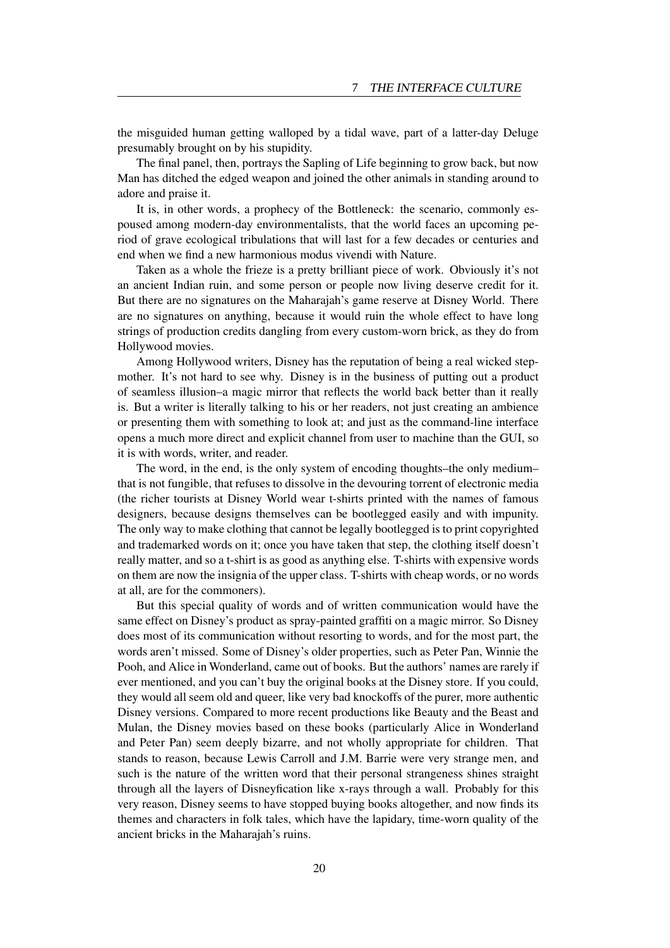the misguided human getting walloped by a tidal wave, part of a latter-day Deluge presumably brought on by his stupidity.

The final panel, then, portrays the Sapling of Life beginning to grow back, but now Man has ditched the edged weapon and joined the other animals in standing around to adore and praise it.

It is, in other words, a prophecy of the Bottleneck: the scenario, commonly espoused among modern-day environmentalists, that the world faces an upcoming period of grave ecological tribulations that will last for a few decades or centuries and end when we find a new harmonious modus vivendi with Nature.

Taken as a whole the frieze is a pretty brilliant piece of work. Obviously it's not an ancient Indian ruin, and some person or people now living deserve credit for it. But there are no signatures on the Maharajah's game reserve at Disney World. There are no signatures on anything, because it would ruin the whole effect to have long strings of production credits dangling from every custom-worn brick, as they do from Hollywood movies.

Among Hollywood writers, Disney has the reputation of being a real wicked stepmother. It's not hard to see why. Disney is in the business of putting out a product of seamless illusion–a magic mirror that reflects the world back better than it really is. But a writer is literally talking to his or her readers, not just creating an ambience or presenting them with something to look at; and just as the command-line interface opens a much more direct and explicit channel from user to machine than the GUI, so it is with words, writer, and reader.

The word, in the end, is the only system of encoding thoughts–the only medium– that is not fungible, that refuses to dissolve in the devouring torrent of electronic media (the richer tourists at Disney World wear t-shirts printed with the names of famous designers, because designs themselves can be bootlegged easily and with impunity. The only way to make clothing that cannot be legally bootlegged is to print copyrighted and trademarked words on it; once you have taken that step, the clothing itself doesn't really matter, and so a t-shirt is as good as anything else. T-shirts with expensive words on them are now the insignia of the upper class. T-shirts with cheap words, or no words at all, are for the commoners).

But this special quality of words and of written communication would have the same effect on Disney's product as spray-painted graffiti on a magic mirror. So Disney does most of its communication without resorting to words, and for the most part, the words aren't missed. Some of Disney's older properties, such as Peter Pan, Winnie the Pooh, and Alice in Wonderland, came out of books. But the authors' names are rarely if ever mentioned, and you can't buy the original books at the Disney store. If you could, they would all seem old and queer, like very bad knockoffs of the purer, more authentic Disney versions. Compared to more recent productions like Beauty and the Beast and Mulan, the Disney movies based on these books (particularly Alice in Wonderland and Peter Pan) seem deeply bizarre, and not wholly appropriate for children. That stands to reason, because Lewis Carroll and J.M. Barrie were very strange men, and such is the nature of the written word that their personal strangeness shines straight through all the layers of Disneyfication like x-rays through a wall. Probably for this very reason, Disney seems to have stopped buying books altogether, and now finds its themes and characters in folk tales, which have the lapidary, time-worn quality of the ancient bricks in the Maharajah's ruins.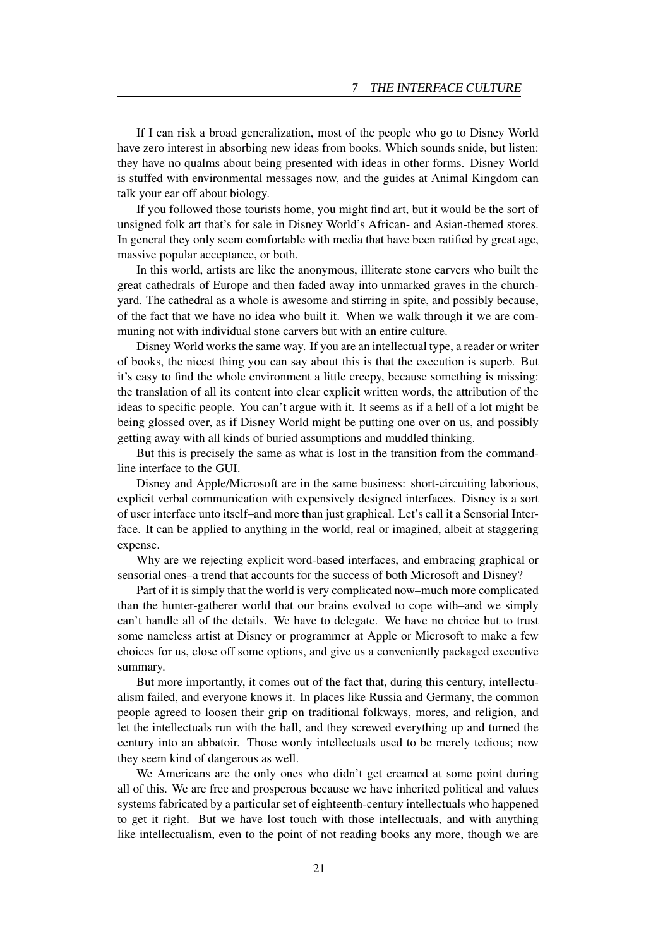If I can risk a broad generalization, most of the people who go to Disney World have zero interest in absorbing new ideas from books. Which sounds snide, but listen: they have no qualms about being presented with ideas in other forms. Disney World is stuffed with environmental messages now, and the guides at Animal Kingdom can talk your ear off about biology.

If you followed those tourists home, you might find art, but it would be the sort of unsigned folk art that's for sale in Disney World's African- and Asian-themed stores. In general they only seem comfortable with media that have been ratified by great age, massive popular acceptance, or both.

In this world, artists are like the anonymous, illiterate stone carvers who built the great cathedrals of Europe and then faded away into unmarked graves in the churchyard. The cathedral as a whole is awesome and stirring in spite, and possibly because, of the fact that we have no idea who built it. When we walk through it we are communing not with individual stone carvers but with an entire culture.

Disney World works the same way. If you are an intellectual type, a reader or writer of books, the nicest thing you can say about this is that the execution is superb. But it's easy to find the whole environment a little creepy, because something is missing: the translation of all its content into clear explicit written words, the attribution of the ideas to specific people. You can't argue with it. It seems as if a hell of a lot might be being glossed over, as if Disney World might be putting one over on us, and possibly getting away with all kinds of buried assumptions and muddled thinking.

But this is precisely the same as what is lost in the transition from the commandline interface to the GUI.

Disney and Apple/Microsoft are in the same business: short-circuiting laborious, explicit verbal communication with expensively designed interfaces. Disney is a sort of user interface unto itself–and more than just graphical. Let's call it a Sensorial Interface. It can be applied to anything in the world, real or imagined, albeit at staggering expense.

Why are we rejecting explicit word-based interfaces, and embracing graphical or sensorial ones–a trend that accounts for the success of both Microsoft and Disney?

Part of it is simply that the world is very complicated now–much more complicated than the hunter-gatherer world that our brains evolved to cope with–and we simply can't handle all of the details. We have to delegate. We have no choice but to trust some nameless artist at Disney or programmer at Apple or Microsoft to make a few choices for us, close off some options, and give us a conveniently packaged executive summary.

But more importantly, it comes out of the fact that, during this century, intellectualism failed, and everyone knows it. In places like Russia and Germany, the common people agreed to loosen their grip on traditional folkways, mores, and religion, and let the intellectuals run with the ball, and they screwed everything up and turned the century into an abbatoir. Those wordy intellectuals used to be merely tedious; now they seem kind of dangerous as well.

We Americans are the only ones who didn't get creamed at some point during all of this. We are free and prosperous because we have inherited political and values systems fabricated by a particular set of eighteenth-century intellectuals who happened to get it right. But we have lost touch with those intellectuals, and with anything like intellectualism, even to the point of not reading books any more, though we are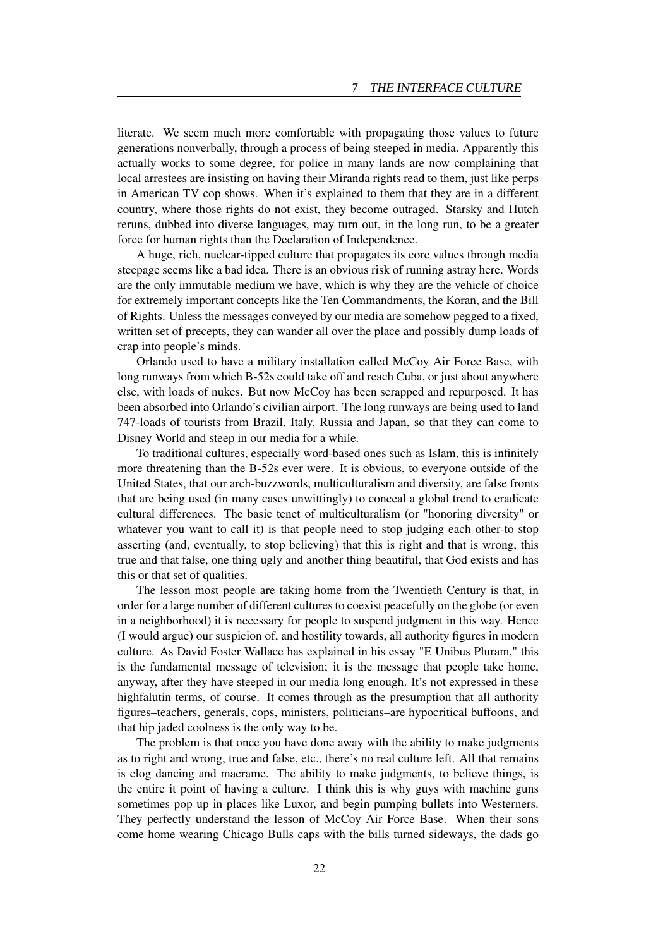literate. We seem much more comfortable with propagating those values to future generations nonverbally, through a process of being steeped in media. Apparently this actually works to some degree, for police in many lands are now complaining that local arrestees are insisting on having their Miranda rights read to them, just like perps in American TV cop shows. When it's explained to them that they are in a different country, where those rights do not exist, they become outraged. Starsky and Hutch reruns, dubbed into diverse languages, may turn out, in the long run, to be a greater force for human rights than the Declaration of Independence.

A huge, rich, nuclear-tipped culture that propagates its core values through media steepage seems like a bad idea. There is an obvious risk of running astray here. Words are the only immutable medium we have, which is why they are the vehicle of choice for extremely important concepts like the Ten Commandments, the Koran, and the Bill of Rights. Unless the messages conveyed by our media are somehow pegged to a fixed, written set of precepts, they can wander all over the place and possibly dump loads of crap into people's minds.

Orlando used to have a military installation called McCoy Air Force Base, with long runways from which B-52s could take off and reach Cuba, or just about anywhere else, with loads of nukes. But now McCoy has been scrapped and repurposed. It has been absorbed into Orlando's civilian airport. The long runways are being used to land 747-loads of tourists from Brazil, Italy, Russia and Japan, so that they can come to Disney World and steep in our media for a while.

To traditional cultures, especially word-based ones such as Islam, this is infinitely more threatening than the B-52s ever were. It is obvious, to everyone outside of the United States, that our arch-buzzwords, multiculturalism and diversity, are false fronts that are being used (in many cases unwittingly) to conceal a global trend to eradicate cultural differences. The basic tenet of multiculturalism (or "honoring diversity" or whatever you want to call it) is that people need to stop judging each other-to stop asserting (and, eventually, to stop believing) that this is right and that is wrong, this true and that false, one thing ugly and another thing beautiful, that God exists and has this or that set of qualities.

The lesson most people are taking home from the Twentieth Century is that, in order for a large number of different cultures to coexist peacefully on the globe (or even in a neighborhood) it is necessary for people to suspend judgment in this way. Hence (I would argue) our suspicion of, and hostility towards, all authority figures in modern culture. As David Foster Wallace has explained in his essay "E Unibus Pluram," this is the fundamental message of television; it is the message that people take home, anyway, after they have steeped in our media long enough. It's not expressed in these highfalutin terms, of course. It comes through as the presumption that all authority figures–teachers, generals, cops, ministers, politicians–are hypocritical buffoons, and that hip jaded coolness is the only way to be.

The problem is that once you have done away with the ability to make judgments as to right and wrong, true and false, etc., there's no real culture left. All that remains is clog dancing and macrame. The ability to make judgments, to believe things, is the entire it point of having a culture. I think this is why guys with machine guns sometimes pop up in places like Luxor, and begin pumping bullets into Westerners. They perfectly understand the lesson of McCoy Air Force Base. When their sons come home wearing Chicago Bulls caps with the bills turned sideways, the dads go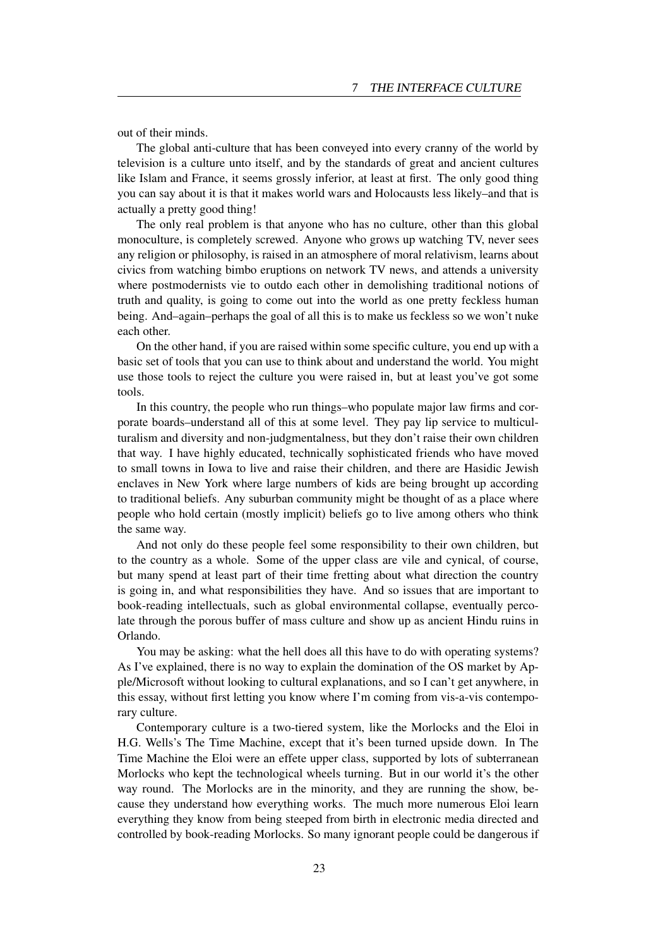out of their minds.

The global anti-culture that has been conveyed into every cranny of the world by television is a culture unto itself, and by the standards of great and ancient cultures like Islam and France, it seems grossly inferior, at least at first. The only good thing you can say about it is that it makes world wars and Holocausts less likely–and that is actually a pretty good thing!

The only real problem is that anyone who has no culture, other than this global monoculture, is completely screwed. Anyone who grows up watching TV, never sees any religion or philosophy, is raised in an atmosphere of moral relativism, learns about civics from watching bimbo eruptions on network TV news, and attends a university where postmodernists vie to outdo each other in demolishing traditional notions of truth and quality, is going to come out into the world as one pretty feckless human being. And–again–perhaps the goal of all this is to make us feckless so we won't nuke each other.

On the other hand, if you are raised within some specific culture, you end up with a basic set of tools that you can use to think about and understand the world. You might use those tools to reject the culture you were raised in, but at least you've got some tools.

In this country, the people who run things–who populate major law firms and corporate boards–understand all of this at some level. They pay lip service to multiculturalism and diversity and non-judgmentalness, but they don't raise their own children that way. I have highly educated, technically sophisticated friends who have moved to small towns in Iowa to live and raise their children, and there are Hasidic Jewish enclaves in New York where large numbers of kids are being brought up according to traditional beliefs. Any suburban community might be thought of as a place where people who hold certain (mostly implicit) beliefs go to live among others who think the same way.

And not only do these people feel some responsibility to their own children, but to the country as a whole. Some of the upper class are vile and cynical, of course, but many spend at least part of their time fretting about what direction the country is going in, and what responsibilities they have. And so issues that are important to book-reading intellectuals, such as global environmental collapse, eventually percolate through the porous buffer of mass culture and show up as ancient Hindu ruins in Orlando.

You may be asking: what the hell does all this have to do with operating systems? As I've explained, there is no way to explain the domination of the OS market by Apple/Microsoft without looking to cultural explanations, and so I can't get anywhere, in this essay, without first letting you know where I'm coming from vis-a-vis contemporary culture.

Contemporary culture is a two-tiered system, like the Morlocks and the Eloi in H.G. Wells's The Time Machine, except that it's been turned upside down. In The Time Machine the Eloi were an effete upper class, supported by lots of subterranean Morlocks who kept the technological wheels turning. But in our world it's the other way round. The Morlocks are in the minority, and they are running the show, because they understand how everything works. The much more numerous Eloi learn everything they know from being steeped from birth in electronic media directed and controlled by book-reading Morlocks. So many ignorant people could be dangerous if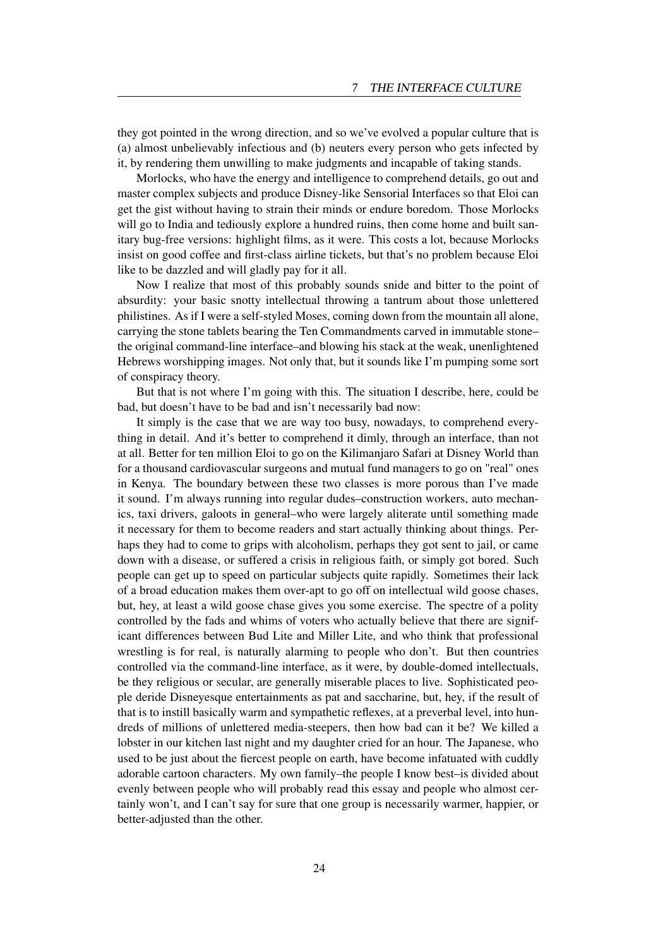they got pointed in the wrong direction, and so we've evolved a popular culture that is (a) almost unbelievably infectious and (b) neuters every person who gets infected by it, by rendering them unwilling to make judgments and incapable of taking stands.

Morlocks, who have the energy and intelligence to comprehend details, go out and master complex subjects and produce Disney-like Sensorial Interfaces so that Eloi can get the gist without having to strain their minds or endure boredom. Those Morlocks will go to India and tediously explore a hundred ruins, then come home and built sanitary bug-free versions: highlight films, as it were. This costs a lot, because Morlocks insist on good coffee and first-class airline tickets, but that's no problem because Eloi like to be dazzled and will gladly pay for it all.

Now I realize that most of this probably sounds snide and bitter to the point of absurdity: your basic snotty intellectual throwing a tantrum about those unlettered philistines. As if I were a self-styled Moses, coming down from the mountain all alone, carrying the stone tablets bearing the Ten Commandments carved in immutable stone– the original command-line interface–and blowing his stack at the weak, unenlightened Hebrews worshipping images. Not only that, but it sounds like I'm pumping some sort of conspiracy theory.

But that is not where I'm going with this. The situation I describe, here, could be bad, but doesn't have to be bad and isn't necessarily bad now:

It simply is the case that we are way too busy, nowadays, to comprehend everything in detail. And it's better to comprehend it dimly, through an interface, than not at all. Better for ten million Eloi to go on the Kilimanjaro Safari at Disney World than for a thousand cardiovascular surgeons and mutual fund managers to go on "real" ones in Kenya. The boundary between these two classes is more porous than I've made it sound. I'm always running into regular dudes–construction workers, auto mechanics, taxi drivers, galoots in general–who were largely aliterate until something made it necessary for them to become readers and start actually thinking about things. Perhaps they had to come to grips with alcoholism, perhaps they got sent to jail, or came down with a disease, or suffered a crisis in religious faith, or simply got bored. Such people can get up to speed on particular subjects quite rapidly. Sometimes their lack of a broad education makes them over-apt to go off on intellectual wild goose chases, but, hey, at least a wild goose chase gives you some exercise. The spectre of a polity controlled by the fads and whims of voters who actually believe that there are significant differences between Bud Lite and Miller Lite, and who think that professional wrestling is for real, is naturally alarming to people who don't. But then countries controlled via the command-line interface, as it were, by double-domed intellectuals, be they religious or secular, are generally miserable places to live. Sophisticated people deride Disneyesque entertainments as pat and saccharine, but, hey, if the result of that is to instill basically warm and sympathetic reflexes, at a preverbal level, into hundreds of millions of unlettered media-steepers, then how bad can it be? We killed a lobster in our kitchen last night and my daughter cried for an hour. The Japanese, who used to be just about the fiercest people on earth, have become infatuated with cuddly adorable cartoon characters. My own family–the people I know best–is divided about evenly between people who will probably read this essay and people who almost certainly won't, and I can't say for sure that one group is necessarily warmer, happier, or better-adjusted than the other.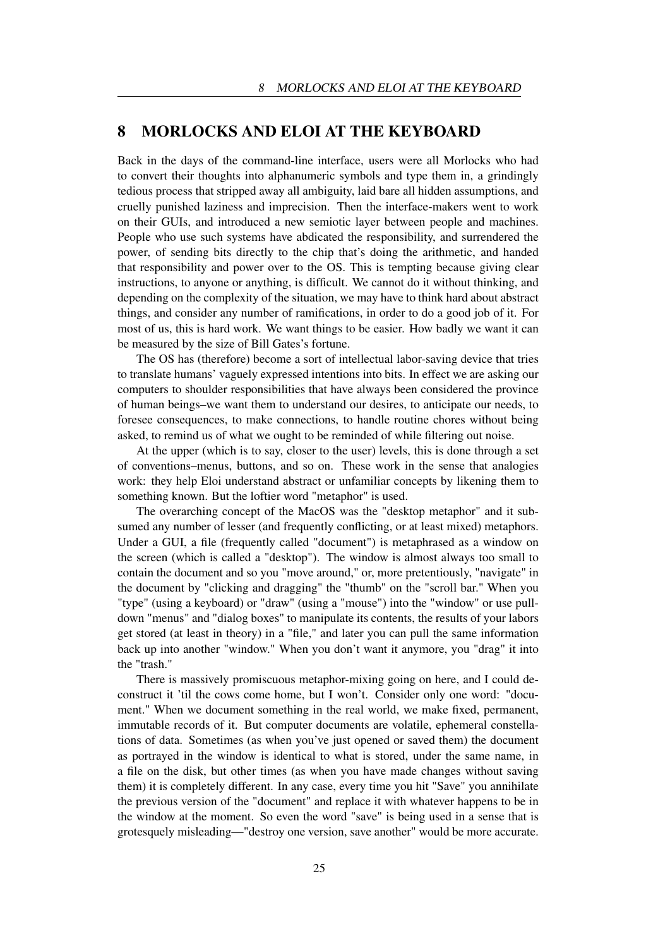### 8 MORLOCKS AND ELOI AT THE KEYBOARD

Back in the days of the command-line interface, users were all Morlocks who had to convert their thoughts into alphanumeric symbols and type them in, a grindingly tedious process that stripped away all ambiguity, laid bare all hidden assumptions, and cruelly punished laziness and imprecision. Then the interface-makers went to work on their GUIs, and introduced a new semiotic layer between people and machines. People who use such systems have abdicated the responsibility, and surrendered the power, of sending bits directly to the chip that's doing the arithmetic, and handed that responsibility and power over to the OS. This is tempting because giving clear instructions, to anyone or anything, is difficult. We cannot do it without thinking, and depending on the complexity of the situation, we may have to think hard about abstract things, and consider any number of ramifications, in order to do a good job of it. For most of us, this is hard work. We want things to be easier. How badly we want it can be measured by the size of Bill Gates's fortune.

The OS has (therefore) become a sort of intellectual labor-saving device that tries to translate humans' vaguely expressed intentions into bits. In effect we are asking our computers to shoulder responsibilities that have always been considered the province of human beings–we want them to understand our desires, to anticipate our needs, to foresee consequences, to make connections, to handle routine chores without being asked, to remind us of what we ought to be reminded of while filtering out noise.

At the upper (which is to say, closer to the user) levels, this is done through a set of conventions–menus, buttons, and so on. These work in the sense that analogies work: they help Eloi understand abstract or unfamiliar concepts by likening them to something known. But the loftier word "metaphor" is used.

The overarching concept of the MacOS was the "desktop metaphor" and it subsumed any number of lesser (and frequently conflicting, or at least mixed) metaphors. Under a GUI, a file (frequently called "document") is metaphrased as a window on the screen (which is called a "desktop"). The window is almost always too small to contain the document and so you "move around," or, more pretentiously, "navigate" in the document by "clicking and dragging" the "thumb" on the "scroll bar." When you "type" (using a keyboard) or "draw" (using a "mouse") into the "window" or use pulldown "menus" and "dialog boxes" to manipulate its contents, the results of your labors get stored (at least in theory) in a "file," and later you can pull the same information back up into another "window." When you don't want it anymore, you "drag" it into the "trash."

There is massively promiscuous metaphor-mixing going on here, and I could deconstruct it 'til the cows come home, but I won't. Consider only one word: "document." When we document something in the real world, we make fixed, permanent, immutable records of it. But computer documents are volatile, ephemeral constellations of data. Sometimes (as when you've just opened or saved them) the document as portrayed in the window is identical to what is stored, under the same name, in a file on the disk, but other times (as when you have made changes without saving them) it is completely different. In any case, every time you hit "Save" you annihilate the previous version of the "document" and replace it with whatever happens to be in the window at the moment. So even the word "save" is being used in a sense that is grotesquely misleading—"destroy one version, save another" would be more accurate.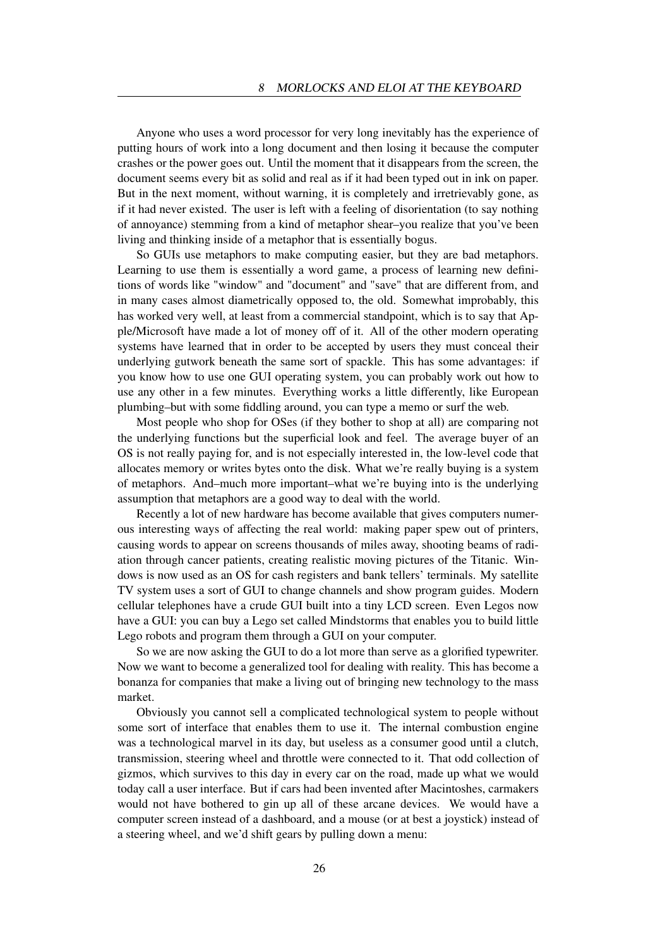Anyone who uses a word processor for very long inevitably has the experience of putting hours of work into a long document and then losing it because the computer crashes or the power goes out. Until the moment that it disappears from the screen, the document seems every bit as solid and real as if it had been typed out in ink on paper. But in the next moment, without warning, it is completely and irretrievably gone, as if it had never existed. The user is left with a feeling of disorientation (to say nothing of annoyance) stemming from a kind of metaphor shear–you realize that you've been living and thinking inside of a metaphor that is essentially bogus.

So GUIs use metaphors to make computing easier, but they are bad metaphors. Learning to use them is essentially a word game, a process of learning new definitions of words like "window" and "document" and "save" that are different from, and in many cases almost diametrically opposed to, the old. Somewhat improbably, this has worked very well, at least from a commercial standpoint, which is to say that Apple/Microsoft have made a lot of money off of it. All of the other modern operating systems have learned that in order to be accepted by users they must conceal their underlying gutwork beneath the same sort of spackle. This has some advantages: if you know how to use one GUI operating system, you can probably work out how to use any other in a few minutes. Everything works a little differently, like European plumbing–but with some fiddling around, you can type a memo or surf the web.

Most people who shop for OSes (if they bother to shop at all) are comparing not the underlying functions but the superficial look and feel. The average buyer of an OS is not really paying for, and is not especially interested in, the low-level code that allocates memory or writes bytes onto the disk. What we're really buying is a system of metaphors. And–much more important–what we're buying into is the underlying assumption that metaphors are a good way to deal with the world.

Recently a lot of new hardware has become available that gives computers numerous interesting ways of affecting the real world: making paper spew out of printers, causing words to appear on screens thousands of miles away, shooting beams of radiation through cancer patients, creating realistic moving pictures of the Titanic. Windows is now used as an OS for cash registers and bank tellers' terminals. My satellite TV system uses a sort of GUI to change channels and show program guides. Modern cellular telephones have a crude GUI built into a tiny LCD screen. Even Legos now have a GUI: you can buy a Lego set called Mindstorms that enables you to build little Lego robots and program them through a GUI on your computer.

So we are now asking the GUI to do a lot more than serve as a glorified typewriter. Now we want to become a generalized tool for dealing with reality. This has become a bonanza for companies that make a living out of bringing new technology to the mass market.

Obviously you cannot sell a complicated technological system to people without some sort of interface that enables them to use it. The internal combustion engine was a technological marvel in its day, but useless as a consumer good until a clutch, transmission, steering wheel and throttle were connected to it. That odd collection of gizmos, which survives to this day in every car on the road, made up what we would today call a user interface. But if cars had been invented after Macintoshes, carmakers would not have bothered to gin up all of these arcane devices. We would have a computer screen instead of a dashboard, and a mouse (or at best a joystick) instead of a steering wheel, and we'd shift gears by pulling down a menu: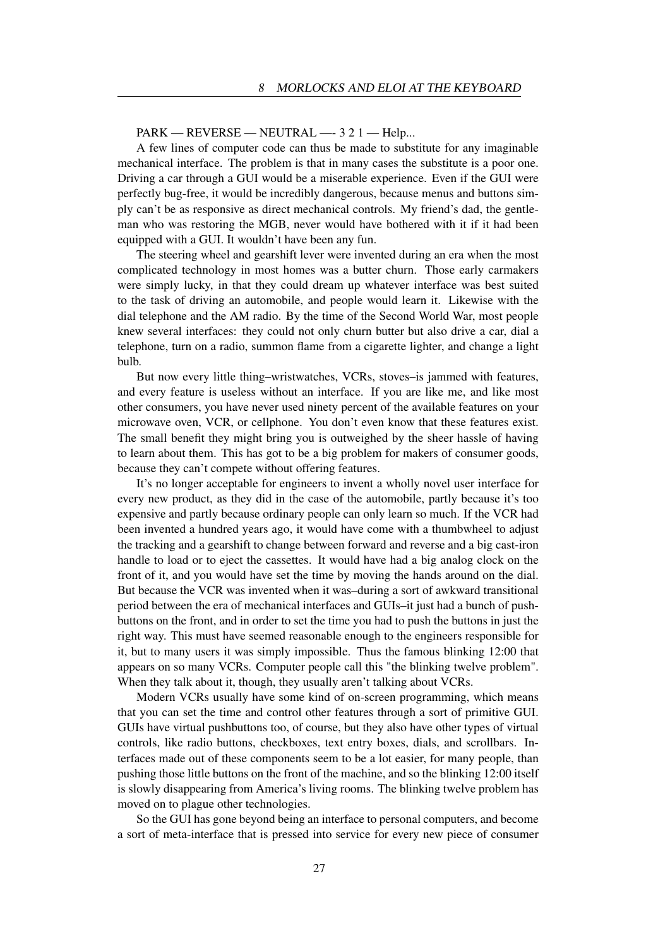#### PARK — REVERSE — NEUTRAL — 3 2 1 — Help...

A few lines of computer code can thus be made to substitute for any imaginable mechanical interface. The problem is that in many cases the substitute is a poor one. Driving a car through a GUI would be a miserable experience. Even if the GUI were perfectly bug-free, it would be incredibly dangerous, because menus and buttons simply can't be as responsive as direct mechanical controls. My friend's dad, the gentleman who was restoring the MGB, never would have bothered with it if it had been equipped with a GUI. It wouldn't have been any fun.

The steering wheel and gearshift lever were invented during an era when the most complicated technology in most homes was a butter churn. Those early carmakers were simply lucky, in that they could dream up whatever interface was best suited to the task of driving an automobile, and people would learn it. Likewise with the dial telephone and the AM radio. By the time of the Second World War, most people knew several interfaces: they could not only churn butter but also drive a car, dial a telephone, turn on a radio, summon flame from a cigarette lighter, and change a light bulb.

But now every little thing–wristwatches, VCRs, stoves–is jammed with features, and every feature is useless without an interface. If you are like me, and like most other consumers, you have never used ninety percent of the available features on your microwave oven, VCR, or cellphone. You don't even know that these features exist. The small benefit they might bring you is outweighed by the sheer hassle of having to learn about them. This has got to be a big problem for makers of consumer goods, because they can't compete without offering features.

It's no longer acceptable for engineers to invent a wholly novel user interface for every new product, as they did in the case of the automobile, partly because it's too expensive and partly because ordinary people can only learn so much. If the VCR had been invented a hundred years ago, it would have come with a thumbwheel to adjust the tracking and a gearshift to change between forward and reverse and a big cast-iron handle to load or to eject the cassettes. It would have had a big analog clock on the front of it, and you would have set the time by moving the hands around on the dial. But because the VCR was invented when it was–during a sort of awkward transitional period between the era of mechanical interfaces and GUIs–it just had a bunch of pushbuttons on the front, and in order to set the time you had to push the buttons in just the right way. This must have seemed reasonable enough to the engineers responsible for it, but to many users it was simply impossible. Thus the famous blinking 12:00 that appears on so many VCRs. Computer people call this "the blinking twelve problem". When they talk about it, though, they usually aren't talking about VCRs.

Modern VCRs usually have some kind of on-screen programming, which means that you can set the time and control other features through a sort of primitive GUI. GUIs have virtual pushbuttons too, of course, but they also have other types of virtual controls, like radio buttons, checkboxes, text entry boxes, dials, and scrollbars. Interfaces made out of these components seem to be a lot easier, for many people, than pushing those little buttons on the front of the machine, and so the blinking 12:00 itself is slowly disappearing from America's living rooms. The blinking twelve problem has moved on to plague other technologies.

So the GUI has gone beyond being an interface to personal computers, and become a sort of meta-interface that is pressed into service for every new piece of consumer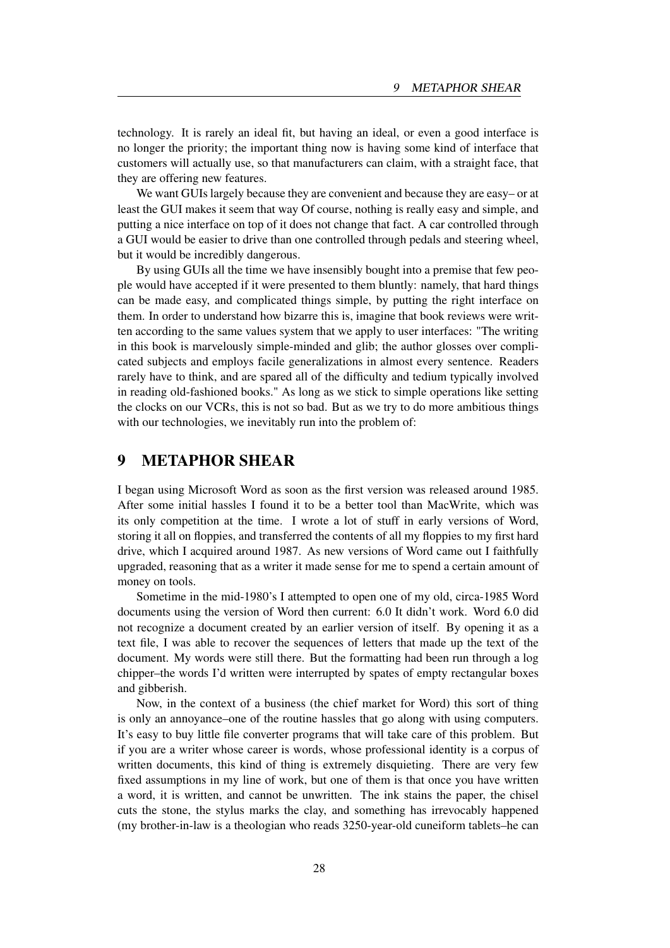technology. It is rarely an ideal fit, but having an ideal, or even a good interface is no longer the priority; the important thing now is having some kind of interface that customers will actually use, so that manufacturers can claim, with a straight face, that they are offering new features.

We want GUIs largely because they are convenient and because they are easy– or at least the GUI makes it seem that way Of course, nothing is really easy and simple, and putting a nice interface on top of it does not change that fact. A car controlled through a GUI would be easier to drive than one controlled through pedals and steering wheel, but it would be incredibly dangerous.

By using GUIs all the time we have insensibly bought into a premise that few people would have accepted if it were presented to them bluntly: namely, that hard things can be made easy, and complicated things simple, by putting the right interface on them. In order to understand how bizarre this is, imagine that book reviews were written according to the same values system that we apply to user interfaces: "The writing in this book is marvelously simple-minded and glib; the author glosses over complicated subjects and employs facile generalizations in almost every sentence. Readers rarely have to think, and are spared all of the difficulty and tedium typically involved in reading old-fashioned books." As long as we stick to simple operations like setting the clocks on our VCRs, this is not so bad. But as we try to do more ambitious things with our technologies, we inevitably run into the problem of:

### 9 METAPHOR SHEAR

I began using Microsoft Word as soon as the first version was released around 1985. After some initial hassles I found it to be a better tool than MacWrite, which was its only competition at the time. I wrote a lot of stuff in early versions of Word, storing it all on floppies, and transferred the contents of all my floppies to my first hard drive, which I acquired around 1987. As new versions of Word came out I faithfully upgraded, reasoning that as a writer it made sense for me to spend a certain amount of money on tools.

Sometime in the mid-1980's I attempted to open one of my old, circa-1985 Word documents using the version of Word then current: 6.0 It didn't work. Word 6.0 did not recognize a document created by an earlier version of itself. By opening it as a text file, I was able to recover the sequences of letters that made up the text of the document. My words were still there. But the formatting had been run through a log chipper–the words I'd written were interrupted by spates of empty rectangular boxes and gibberish.

Now, in the context of a business (the chief market for Word) this sort of thing is only an annoyance–one of the routine hassles that go along with using computers. It's easy to buy little file converter programs that will take care of this problem. But if you are a writer whose career is words, whose professional identity is a corpus of written documents, this kind of thing is extremely disquieting. There are very few fixed assumptions in my line of work, but one of them is that once you have written a word, it is written, and cannot be unwritten. The ink stains the paper, the chisel cuts the stone, the stylus marks the clay, and something has irrevocably happened (my brother-in-law is a theologian who reads 3250-year-old cuneiform tablets–he can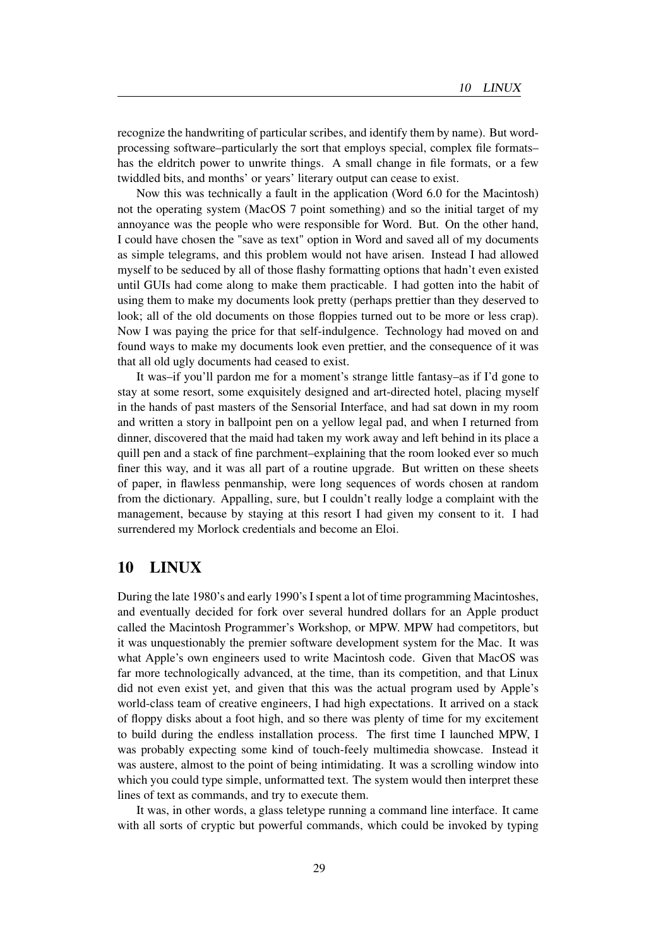recognize the handwriting of particular scribes, and identify them by name). But wordprocessing software–particularly the sort that employs special, complex file formats– has the eldritch power to unwrite things. A small change in file formats, or a few twiddled bits, and months' or years' literary output can cease to exist.

Now this was technically a fault in the application (Word 6.0 for the Macintosh) not the operating system (MacOS 7 point something) and so the initial target of my annoyance was the people who were responsible for Word. But. On the other hand, I could have chosen the "save as text" option in Word and saved all of my documents as simple telegrams, and this problem would not have arisen. Instead I had allowed myself to be seduced by all of those flashy formatting options that hadn't even existed until GUIs had come along to make them practicable. I had gotten into the habit of using them to make my documents look pretty (perhaps prettier than they deserved to look; all of the old documents on those floppies turned out to be more or less crap). Now I was paying the price for that self-indulgence. Technology had moved on and found ways to make my documents look even prettier, and the consequence of it was that all old ugly documents had ceased to exist.

It was–if you'll pardon me for a moment's strange little fantasy–as if I'd gone to stay at some resort, some exquisitely designed and art-directed hotel, placing myself in the hands of past masters of the Sensorial Interface, and had sat down in my room and written a story in ballpoint pen on a yellow legal pad, and when I returned from dinner, discovered that the maid had taken my work away and left behind in its place a quill pen and a stack of fine parchment–explaining that the room looked ever so much finer this way, and it was all part of a routine upgrade. But written on these sheets of paper, in flawless penmanship, were long sequences of words chosen at random from the dictionary. Appalling, sure, but I couldn't really lodge a complaint with the management, because by staying at this resort I had given my consent to it. I had surrendered my Morlock credentials and become an Eloi.

### 10 LINUX

During the late 1980's and early 1990's I spent a lot of time programming Macintoshes, and eventually decided for fork over several hundred dollars for an Apple product called the Macintosh Programmer's Workshop, or MPW. MPW had competitors, but it was unquestionably the premier software development system for the Mac. It was what Apple's own engineers used to write Macintosh code. Given that MacOS was far more technologically advanced, at the time, than its competition, and that Linux did not even exist yet, and given that this was the actual program used by Apple's world-class team of creative engineers, I had high expectations. It arrived on a stack of floppy disks about a foot high, and so there was plenty of time for my excitement to build during the endless installation process. The first time I launched MPW, I was probably expecting some kind of touch-feely multimedia showcase. Instead it was austere, almost to the point of being intimidating. It was a scrolling window into which you could type simple, unformatted text. The system would then interpret these lines of text as commands, and try to execute them.

It was, in other words, a glass teletype running a command line interface. It came with all sorts of cryptic but powerful commands, which could be invoked by typing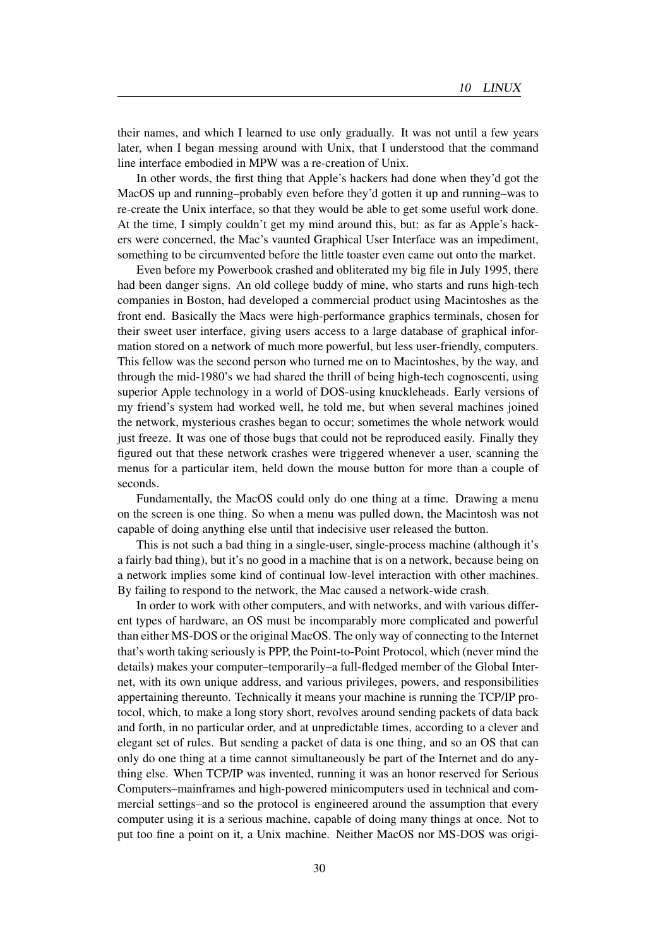their names, and which I learned to use only gradually. It was not until a few years later, when I began messing around with Unix, that I understood that the command line interface embodied in MPW was a re-creation of Unix.

In other words, the first thing that Apple's hackers had done when they'd got the MacOS up and running–probably even before they'd gotten it up and running–was to re-create the Unix interface, so that they would be able to get some useful work done. At the time, I simply couldn't get my mind around this, but: as far as Apple's hackers were concerned, the Mac's vaunted Graphical User Interface was an impediment, something to be circumvented before the little toaster even came out onto the market.

Even before my Powerbook crashed and obliterated my big file in July 1995, there had been danger signs. An old college buddy of mine, who starts and runs high-tech companies in Boston, had developed a commercial product using Macintoshes as the front end. Basically the Macs were high-performance graphics terminals, chosen for their sweet user interface, giving users access to a large database of graphical information stored on a network of much more powerful, but less user-friendly, computers. This fellow was the second person who turned me on to Macintoshes, by the way, and through the mid-1980's we had shared the thrill of being high-tech cognoscenti, using superior Apple technology in a world of DOS-using knuckleheads. Early versions of my friend's system had worked well, he told me, but when several machines joined the network, mysterious crashes began to occur; sometimes the whole network would just freeze. It was one of those bugs that could not be reproduced easily. Finally they figured out that these network crashes were triggered whenever a user, scanning the menus for a particular item, held down the mouse button for more than a couple of seconds.

Fundamentally, the MacOS could only do one thing at a time. Drawing a menu on the screen is one thing. So when a menu was pulled down, the Macintosh was not capable of doing anything else until that indecisive user released the button.

This is not such a bad thing in a single-user, single-process machine (although it's a fairly bad thing), but it's no good in a machine that is on a network, because being on a network implies some kind of continual low-level interaction with other machines. By failing to respond to the network, the Mac caused a network-wide crash.

In order to work with other computers, and with networks, and with various different types of hardware, an OS must be incomparably more complicated and powerful than either MS-DOS or the original MacOS. The only way of connecting to the Internet that's worth taking seriously is PPP, the Point-to-Point Protocol, which (never mind the details) makes your computer–temporarily–a full-fledged member of the Global Internet, with its own unique address, and various privileges, powers, and responsibilities appertaining thereunto. Technically it means your machine is running the TCP/IP protocol, which, to make a long story short, revolves around sending packets of data back and forth, in no particular order, and at unpredictable times, according to a clever and elegant set of rules. But sending a packet of data is one thing, and so an OS that can only do one thing at a time cannot simultaneously be part of the Internet and do anything else. When TCP/IP was invented, running it was an honor reserved for Serious Computers–mainframes and high-powered minicomputers used in technical and commercial settings–and so the protocol is engineered around the assumption that every computer using it is a serious machine, capable of doing many things at once. Not to put too fine a point on it, a Unix machine. Neither MacOS nor MS-DOS was origi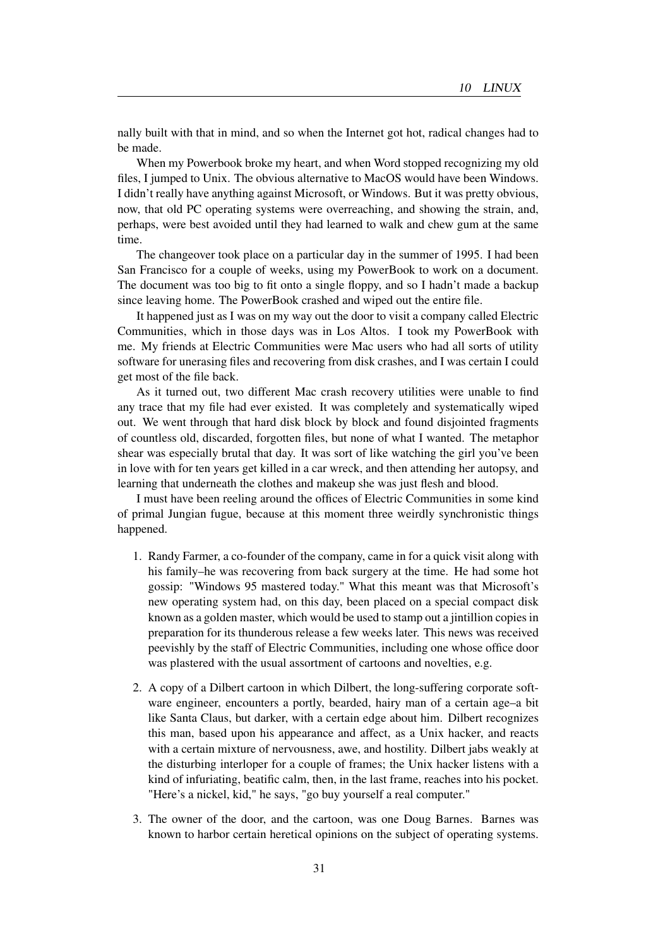nally built with that in mind, and so when the Internet got hot, radical changes had to be made.

When my Powerbook broke my heart, and when Word stopped recognizing my old files, I jumped to Unix. The obvious alternative to MacOS would have been Windows. I didn't really have anything against Microsoft, or Windows. But it was pretty obvious, now, that old PC operating systems were overreaching, and showing the strain, and, perhaps, were best avoided until they had learned to walk and chew gum at the same time.

The changeover took place on a particular day in the summer of 1995. I had been San Francisco for a couple of weeks, using my PowerBook to work on a document. The document was too big to fit onto a single floppy, and so I hadn't made a backup since leaving home. The PowerBook crashed and wiped out the entire file.

It happened just as I was on my way out the door to visit a company called Electric Communities, which in those days was in Los Altos. I took my PowerBook with me. My friends at Electric Communities were Mac users who had all sorts of utility software for unerasing files and recovering from disk crashes, and I was certain I could get most of the file back.

As it turned out, two different Mac crash recovery utilities were unable to find any trace that my file had ever existed. It was completely and systematically wiped out. We went through that hard disk block by block and found disjointed fragments of countless old, discarded, forgotten files, but none of what I wanted. The metaphor shear was especially brutal that day. It was sort of like watching the girl you've been in love with for ten years get killed in a car wreck, and then attending her autopsy, and learning that underneath the clothes and makeup she was just flesh and blood.

I must have been reeling around the offices of Electric Communities in some kind of primal Jungian fugue, because at this moment three weirdly synchronistic things happened.

- 1. Randy Farmer, a co-founder of the company, came in for a quick visit along with his family–he was recovering from back surgery at the time. He had some hot gossip: "Windows 95 mastered today." What this meant was that Microsoft's new operating system had, on this day, been placed on a special compact disk known as a golden master, which would be used to stamp out a jintillion copies in preparation for its thunderous release a few weeks later. This news was received peevishly by the staff of Electric Communities, including one whose office door was plastered with the usual assortment of cartoons and novelties, e.g.
- 2. A copy of a Dilbert cartoon in which Dilbert, the long-suffering corporate software engineer, encounters a portly, bearded, hairy man of a certain age–a bit like Santa Claus, but darker, with a certain edge about him. Dilbert recognizes this man, based upon his appearance and affect, as a Unix hacker, and reacts with a certain mixture of nervousness, awe, and hostility. Dilbert jabs weakly at the disturbing interloper for a couple of frames; the Unix hacker listens with a kind of infuriating, beatific calm, then, in the last frame, reaches into his pocket. "Here's a nickel, kid," he says, "go buy yourself a real computer."
- 3. The owner of the door, and the cartoon, was one Doug Barnes. Barnes was known to harbor certain heretical opinions on the subject of operating systems.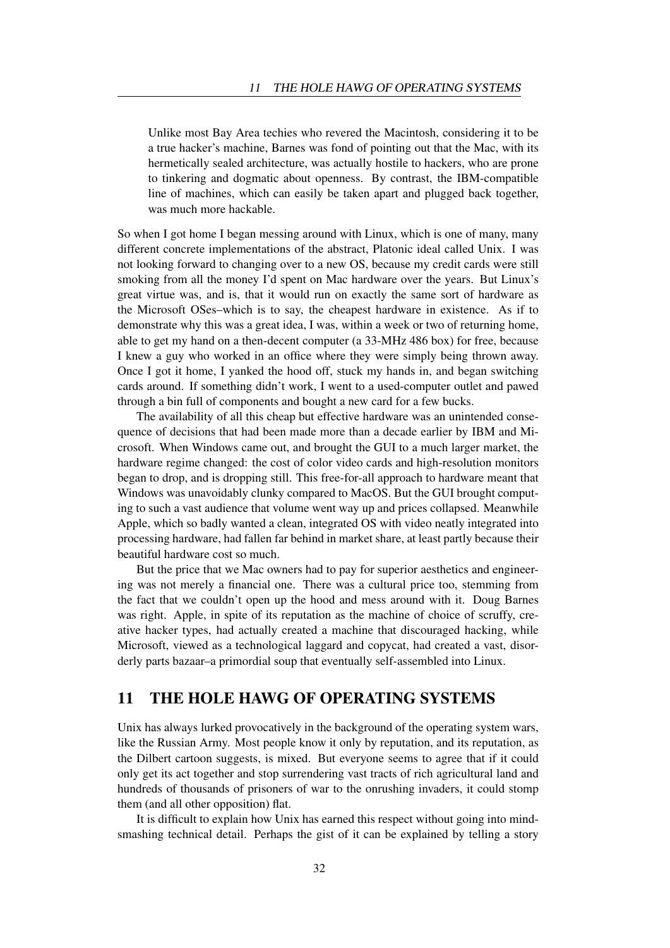Unlike most Bay Area techies who revered the Macintosh, considering it to be a true hacker's machine, Barnes was fond of pointing out that the Mac, with its hermetically sealed architecture, was actually hostile to hackers, who are prone to tinkering and dogmatic about openness. By contrast, the IBM-compatible line of machines, which can easily be taken apart and plugged back together, was much more hackable.

So when I got home I began messing around with Linux, which is one of many, many different concrete implementations of the abstract, Platonic ideal called Unix. I was not looking forward to changing over to a new OS, because my credit cards were still smoking from all the money I'd spent on Mac hardware over the years. But Linux's great virtue was, and is, that it would run on exactly the same sort of hardware as the Microsoft OSes–which is to say, the cheapest hardware in existence. As if to demonstrate why this was a great idea, I was, within a week or two of returning home, able to get my hand on a then-decent computer (a 33-MHz 486 box) for free, because I knew a guy who worked in an office where they were simply being thrown away. Once I got it home, I yanked the hood off, stuck my hands in, and began switching cards around. If something didn't work, I went to a used-computer outlet and pawed through a bin full of components and bought a new card for a few bucks.

The availability of all this cheap but effective hardware was an unintended consequence of decisions that had been made more than a decade earlier by IBM and Microsoft. When Windows came out, and brought the GUI to a much larger market, the hardware regime changed: the cost of color video cards and high-resolution monitors began to drop, and is dropping still. This free-for-all approach to hardware meant that Windows was unavoidably clunky compared to MacOS. But the GUI brought computing to such a vast audience that volume went way up and prices collapsed. Meanwhile Apple, which so badly wanted a clean, integrated OS with video neatly integrated into processing hardware, had fallen far behind in market share, at least partly because their beautiful hardware cost so much.

But the price that we Mac owners had to pay for superior aesthetics and engineering was not merely a financial one. There was a cultural price too, stemming from the fact that we couldn't open up the hood and mess around with it. Doug Barnes was right. Apple, in spite of its reputation as the machine of choice of scruffy, creative hacker types, had actually created a machine that discouraged hacking, while Microsoft, viewed as a technological laggard and copycat, had created a vast, disorderly parts bazaar–a primordial soup that eventually self-assembled into Linux.

## 11 THE HOLE HAWG OF OPERATING SYSTEMS

Unix has always lurked provocatively in the background of the operating system wars, like the Russian Army. Most people know it only by reputation, and its reputation, as the Dilbert cartoon suggests, is mixed. But everyone seems to agree that if it could only get its act together and stop surrendering vast tracts of rich agricultural land and hundreds of thousands of prisoners of war to the onrushing invaders, it could stomp them (and all other opposition) flat.

It is difficult to explain how Unix has earned this respect without going into mindsmashing technical detail. Perhaps the gist of it can be explained by telling a story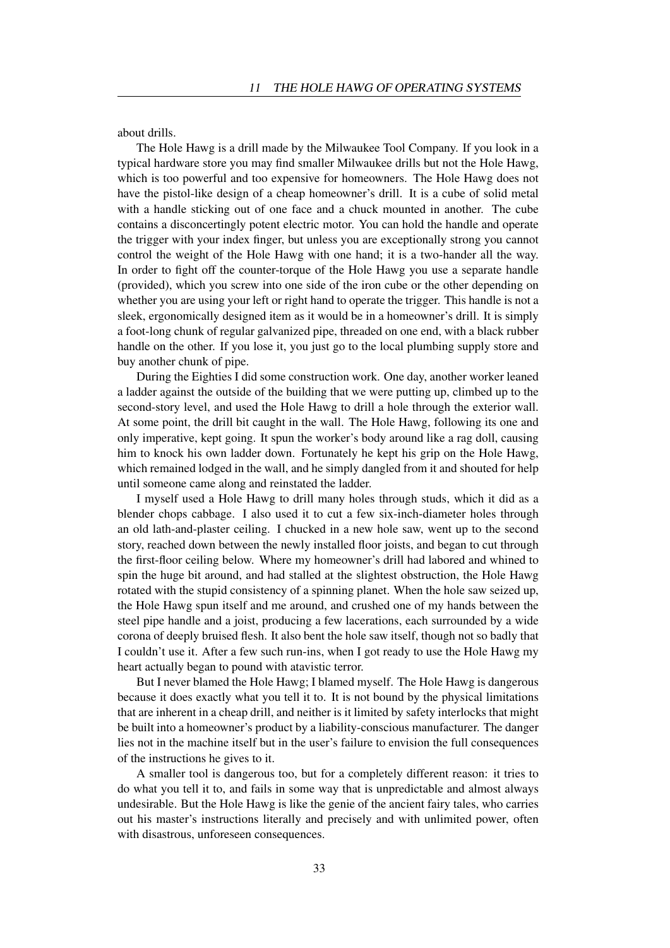about drills.

The Hole Hawg is a drill made by the Milwaukee Tool Company. If you look in a typical hardware store you may find smaller Milwaukee drills but not the Hole Hawg, which is too powerful and too expensive for homeowners. The Hole Hawg does not have the pistol-like design of a cheap homeowner's drill. It is a cube of solid metal with a handle sticking out of one face and a chuck mounted in another. The cube contains a disconcertingly potent electric motor. You can hold the handle and operate the trigger with your index finger, but unless you are exceptionally strong you cannot control the weight of the Hole Hawg with one hand; it is a two-hander all the way. In order to fight off the counter-torque of the Hole Hawg you use a separate handle (provided), which you screw into one side of the iron cube or the other depending on whether you are using your left or right hand to operate the trigger. This handle is not a sleek, ergonomically designed item as it would be in a homeowner's drill. It is simply a foot-long chunk of regular galvanized pipe, threaded on one end, with a black rubber handle on the other. If you lose it, you just go to the local plumbing supply store and buy another chunk of pipe.

During the Eighties I did some construction work. One day, another worker leaned a ladder against the outside of the building that we were putting up, climbed up to the second-story level, and used the Hole Hawg to drill a hole through the exterior wall. At some point, the drill bit caught in the wall. The Hole Hawg, following its one and only imperative, kept going. It spun the worker's body around like a rag doll, causing him to knock his own ladder down. Fortunately he kept his grip on the Hole Hawg, which remained lodged in the wall, and he simply dangled from it and shouted for help until someone came along and reinstated the ladder.

I myself used a Hole Hawg to drill many holes through studs, which it did as a blender chops cabbage. I also used it to cut a few six-inch-diameter holes through an old lath-and-plaster ceiling. I chucked in a new hole saw, went up to the second story, reached down between the newly installed floor joists, and began to cut through the first-floor ceiling below. Where my homeowner's drill had labored and whined to spin the huge bit around, and had stalled at the slightest obstruction, the Hole Hawg rotated with the stupid consistency of a spinning planet. When the hole saw seized up, the Hole Hawg spun itself and me around, and crushed one of my hands between the steel pipe handle and a joist, producing a few lacerations, each surrounded by a wide corona of deeply bruised flesh. It also bent the hole saw itself, though not so badly that I couldn't use it. After a few such run-ins, when I got ready to use the Hole Hawg my heart actually began to pound with atavistic terror.

But I never blamed the Hole Hawg; I blamed myself. The Hole Hawg is dangerous because it does exactly what you tell it to. It is not bound by the physical limitations that are inherent in a cheap drill, and neither is it limited by safety interlocks that might be built into a homeowner's product by a liability-conscious manufacturer. The danger lies not in the machine itself but in the user's failure to envision the full consequences of the instructions he gives to it.

A smaller tool is dangerous too, but for a completely different reason: it tries to do what you tell it to, and fails in some way that is unpredictable and almost always undesirable. But the Hole Hawg is like the genie of the ancient fairy tales, who carries out his master's instructions literally and precisely and with unlimited power, often with disastrous, unforeseen consequences.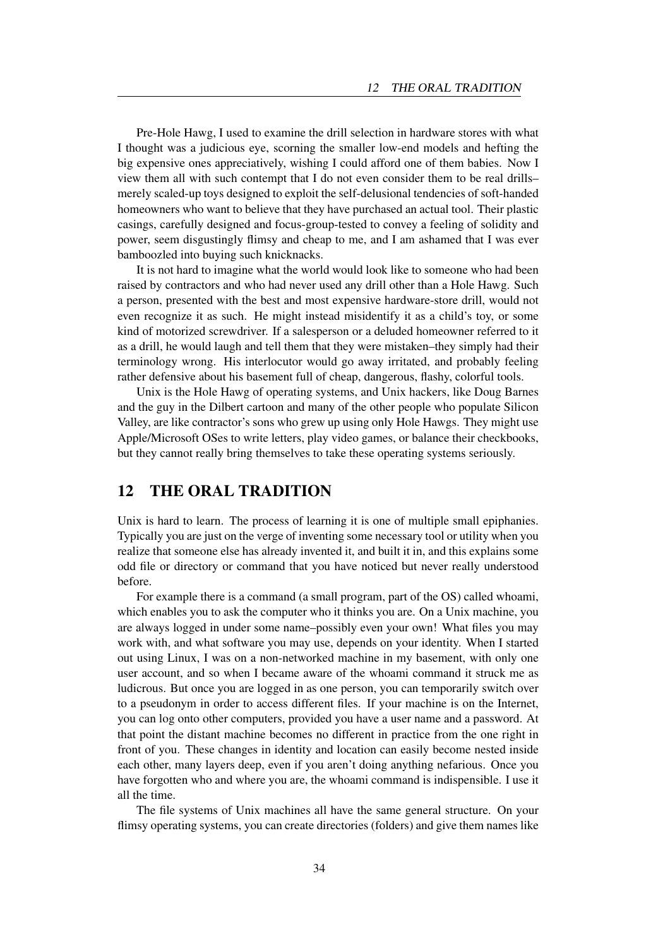Pre-Hole Hawg, I used to examine the drill selection in hardware stores with what I thought was a judicious eye, scorning the smaller low-end models and hefting the big expensive ones appreciatively, wishing I could afford one of them babies. Now I view them all with such contempt that I do not even consider them to be real drills– merely scaled-up toys designed to exploit the self-delusional tendencies of soft-handed homeowners who want to believe that they have purchased an actual tool. Their plastic casings, carefully designed and focus-group-tested to convey a feeling of solidity and power, seem disgustingly flimsy and cheap to me, and I am ashamed that I was ever bamboozled into buying such knicknacks.

It is not hard to imagine what the world would look like to someone who had been raised by contractors and who had never used any drill other than a Hole Hawg. Such a person, presented with the best and most expensive hardware-store drill, would not even recognize it as such. He might instead misidentify it as a child's toy, or some kind of motorized screwdriver. If a salesperson or a deluded homeowner referred to it as a drill, he would laugh and tell them that they were mistaken–they simply had their terminology wrong. His interlocutor would go away irritated, and probably feeling rather defensive about his basement full of cheap, dangerous, flashy, colorful tools.

Unix is the Hole Hawg of operating systems, and Unix hackers, like Doug Barnes and the guy in the Dilbert cartoon and many of the other people who populate Silicon Valley, are like contractor's sons who grew up using only Hole Hawgs. They might use Apple/Microsoft OSes to write letters, play video games, or balance their checkbooks, but they cannot really bring themselves to take these operating systems seriously.

### 12 THE ORAL TRADITION

Unix is hard to learn. The process of learning it is one of multiple small epiphanies. Typically you are just on the verge of inventing some necessary tool or utility when you realize that someone else has already invented it, and built it in, and this explains some odd file or directory or command that you have noticed but never really understood before.

For example there is a command (a small program, part of the OS) called whoami, which enables you to ask the computer who it thinks you are. On a Unix machine, you are always logged in under some name–possibly even your own! What files you may work with, and what software you may use, depends on your identity. When I started out using Linux, I was on a non-networked machine in my basement, with only one user account, and so when I became aware of the whoami command it struck me as ludicrous. But once you are logged in as one person, you can temporarily switch over to a pseudonym in order to access different files. If your machine is on the Internet, you can log onto other computers, provided you have a user name and a password. At that point the distant machine becomes no different in practice from the one right in front of you. These changes in identity and location can easily become nested inside each other, many layers deep, even if you aren't doing anything nefarious. Once you have forgotten who and where you are, the whoami command is indispensible. I use it all the time.

The file systems of Unix machines all have the same general structure. On your flimsy operating systems, you can create directories (folders) and give them names like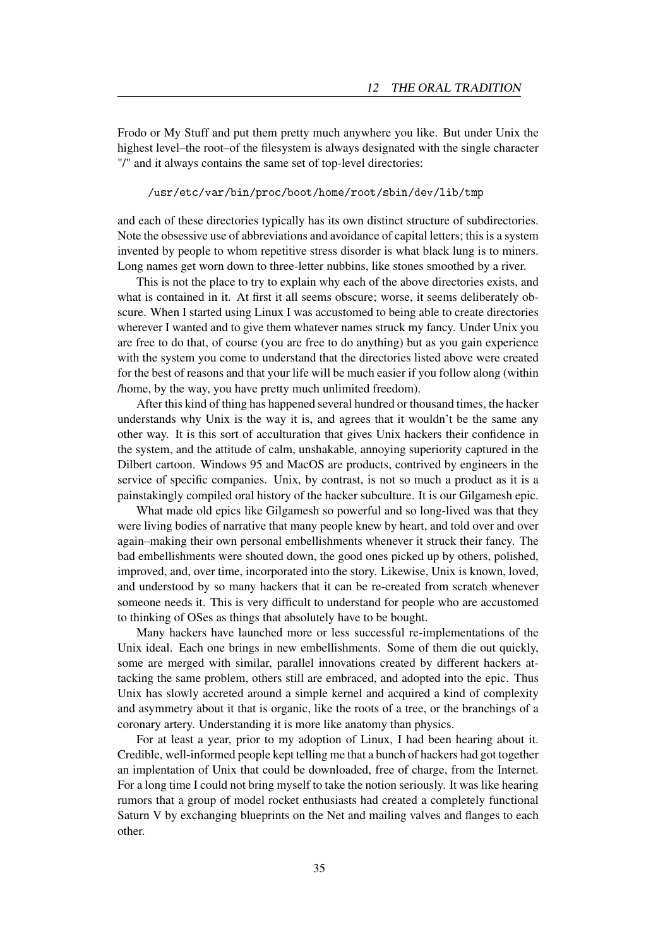Frodo or My Stuff and put them pretty much anywhere you like. But under Unix the highest level–the root–of the filesystem is always designated with the single character "/" and it always contains the same set of top-level directories:

#### /usr/etc/var/bin/proc/boot/home/root/sbin/dev/lib/tmp

and each of these directories typically has its own distinct structure of subdirectories. Note the obsessive use of abbreviations and avoidance of capital letters; this is a system invented by people to whom repetitive stress disorder is what black lung is to miners. Long names get worn down to three-letter nubbins, like stones smoothed by a river.

This is not the place to try to explain why each of the above directories exists, and what is contained in it. At first it all seems obscure; worse, it seems deliberately obscure. When I started using Linux I was accustomed to being able to create directories wherever I wanted and to give them whatever names struck my fancy. Under Unix you are free to do that, of course (you are free to do anything) but as you gain experience with the system you come to understand that the directories listed above were created for the best of reasons and that your life will be much easier if you follow along (within /home, by the way, you have pretty much unlimited freedom).

After this kind of thing has happened several hundred or thousand times, the hacker understands why Unix is the way it is, and agrees that it wouldn't be the same any other way. It is this sort of acculturation that gives Unix hackers their confidence in the system, and the attitude of calm, unshakable, annoying superiority captured in the Dilbert cartoon. Windows 95 and MacOS are products, contrived by engineers in the service of specific companies. Unix, by contrast, is not so much a product as it is a painstakingly compiled oral history of the hacker subculture. It is our Gilgamesh epic.

What made old epics like Gilgamesh so powerful and so long-lived was that they were living bodies of narrative that many people knew by heart, and told over and over again–making their own personal embellishments whenever it struck their fancy. The bad embellishments were shouted down, the good ones picked up by others, polished, improved, and, over time, incorporated into the story. Likewise, Unix is known, loved, and understood by so many hackers that it can be re-created from scratch whenever someone needs it. This is very difficult to understand for people who are accustomed to thinking of OSes as things that absolutely have to be bought.

Many hackers have launched more or less successful re-implementations of the Unix ideal. Each one brings in new embellishments. Some of them die out quickly, some are merged with similar, parallel innovations created by different hackers attacking the same problem, others still are embraced, and adopted into the epic. Thus Unix has slowly accreted around a simple kernel and acquired a kind of complexity and asymmetry about it that is organic, like the roots of a tree, or the branchings of a coronary artery. Understanding it is more like anatomy than physics.

For at least a year, prior to my adoption of Linux, I had been hearing about it. Credible, well-informed people kept telling me that a bunch of hackers had got together an implentation of Unix that could be downloaded, free of charge, from the Internet. For a long time I could not bring myself to take the notion seriously. It was like hearing rumors that a group of model rocket enthusiasts had created a completely functional Saturn V by exchanging blueprints on the Net and mailing valves and flanges to each other.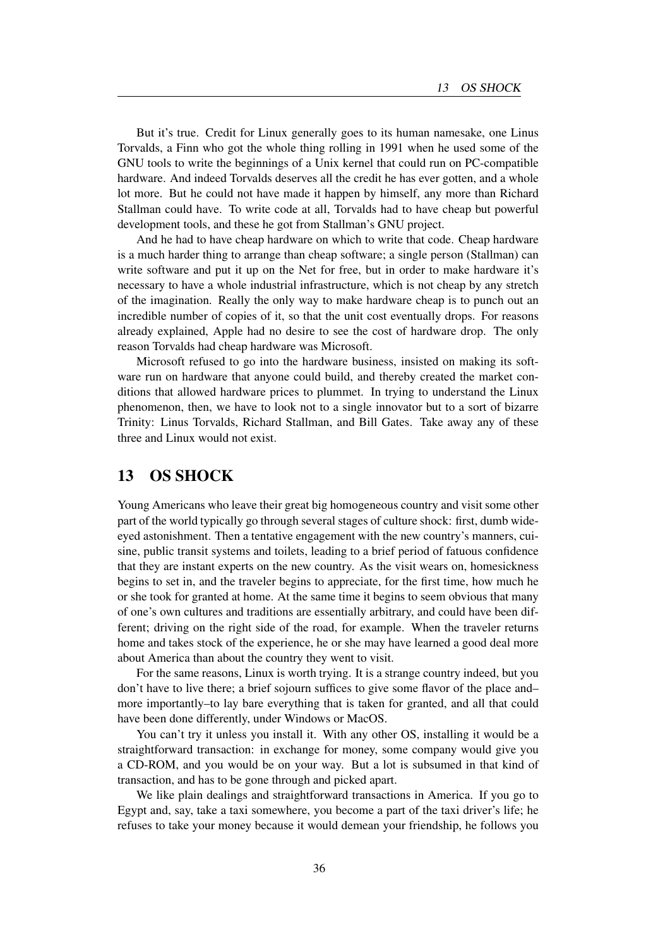But it's true. Credit for Linux generally goes to its human namesake, one Linus Torvalds, a Finn who got the whole thing rolling in 1991 when he used some of the GNU tools to write the beginnings of a Unix kernel that could run on PC-compatible hardware. And indeed Torvalds deserves all the credit he has ever gotten, and a whole lot more. But he could not have made it happen by himself, any more than Richard Stallman could have. To write code at all, Torvalds had to have cheap but powerful development tools, and these he got from Stallman's GNU project.

And he had to have cheap hardware on which to write that code. Cheap hardware is a much harder thing to arrange than cheap software; a single person (Stallman) can write software and put it up on the Net for free, but in order to make hardware it's necessary to have a whole industrial infrastructure, which is not cheap by any stretch of the imagination. Really the only way to make hardware cheap is to punch out an incredible number of copies of it, so that the unit cost eventually drops. For reasons already explained, Apple had no desire to see the cost of hardware drop. The only reason Torvalds had cheap hardware was Microsoft.

Microsoft refused to go into the hardware business, insisted on making its software run on hardware that anyone could build, and thereby created the market conditions that allowed hardware prices to plummet. In trying to understand the Linux phenomenon, then, we have to look not to a single innovator but to a sort of bizarre Trinity: Linus Torvalds, Richard Stallman, and Bill Gates. Take away any of these three and Linux would not exist.

## 13 OS SHOCK

Young Americans who leave their great big homogeneous country and visit some other part of the world typically go through several stages of culture shock: first, dumb wideeyed astonishment. Then a tentative engagement with the new country's manners, cuisine, public transit systems and toilets, leading to a brief period of fatuous confidence that they are instant experts on the new country. As the visit wears on, homesickness begins to set in, and the traveler begins to appreciate, for the first time, how much he or she took for granted at home. At the same time it begins to seem obvious that many of one's own cultures and traditions are essentially arbitrary, and could have been different; driving on the right side of the road, for example. When the traveler returns home and takes stock of the experience, he or she may have learned a good deal more about America than about the country they went to visit.

For the same reasons, Linux is worth trying. It is a strange country indeed, but you don't have to live there; a brief sojourn suffices to give some flavor of the place and– more importantly–to lay bare everything that is taken for granted, and all that could have been done differently, under Windows or MacOS.

You can't try it unless you install it. With any other OS, installing it would be a straightforward transaction: in exchange for money, some company would give you a CD-ROM, and you would be on your way. But a lot is subsumed in that kind of transaction, and has to be gone through and picked apart.

We like plain dealings and straightforward transactions in America. If you go to Egypt and, say, take a taxi somewhere, you become a part of the taxi driver's life; he refuses to take your money because it would demean your friendship, he follows you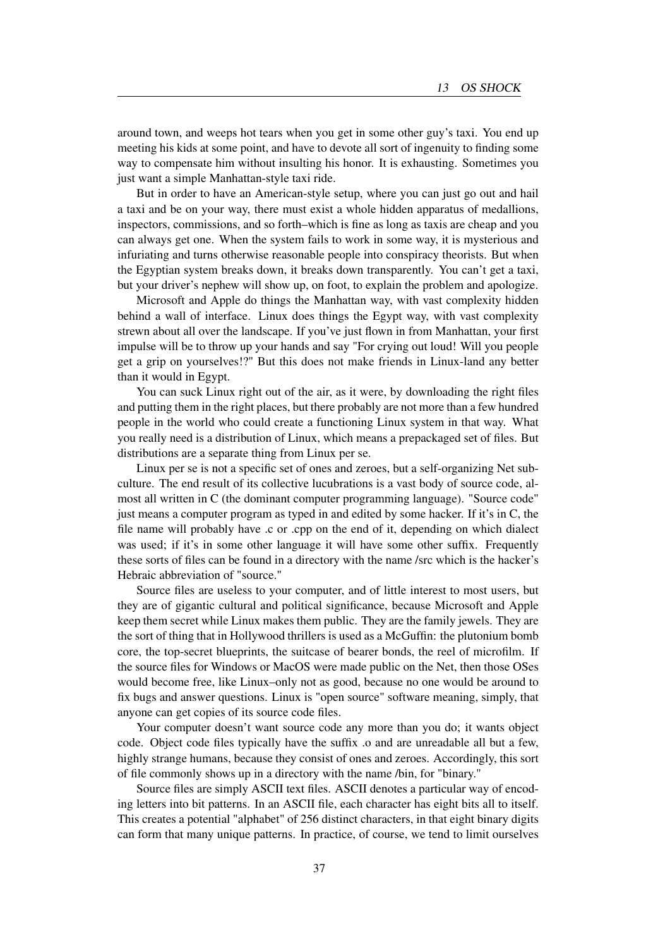around town, and weeps hot tears when you get in some other guy's taxi. You end up meeting his kids at some point, and have to devote all sort of ingenuity to finding some way to compensate him without insulting his honor. It is exhausting. Sometimes you just want a simple Manhattan-style taxi ride.

But in order to have an American-style setup, where you can just go out and hail a taxi and be on your way, there must exist a whole hidden apparatus of medallions, inspectors, commissions, and so forth–which is fine as long as taxis are cheap and you can always get one. When the system fails to work in some way, it is mysterious and infuriating and turns otherwise reasonable people into conspiracy theorists. But when the Egyptian system breaks down, it breaks down transparently. You can't get a taxi, but your driver's nephew will show up, on foot, to explain the problem and apologize.

Microsoft and Apple do things the Manhattan way, with vast complexity hidden behind a wall of interface. Linux does things the Egypt way, with vast complexity strewn about all over the landscape. If you've just flown in from Manhattan, your first impulse will be to throw up your hands and say "For crying out loud! Will you people get a grip on yourselves!?" But this does not make friends in Linux-land any better than it would in Egypt.

You can suck Linux right out of the air, as it were, by downloading the right files and putting them in the right places, but there probably are not more than a few hundred people in the world who could create a functioning Linux system in that way. What you really need is a distribution of Linux, which means a prepackaged set of files. But distributions are a separate thing from Linux per se.

Linux per se is not a specific set of ones and zeroes, but a self-organizing Net subculture. The end result of its collective lucubrations is a vast body of source code, almost all written in C (the dominant computer programming language). "Source code" just means a computer program as typed in and edited by some hacker. If it's in C, the file name will probably have .c or .cpp on the end of it, depending on which dialect was used; if it's in some other language it will have some other suffix. Frequently these sorts of files can be found in a directory with the name /src which is the hacker's Hebraic abbreviation of "source."

Source files are useless to your computer, and of little interest to most users, but they are of gigantic cultural and political significance, because Microsoft and Apple keep them secret while Linux makes them public. They are the family jewels. They are the sort of thing that in Hollywood thrillers is used as a McGuffin: the plutonium bomb core, the top-secret blueprints, the suitcase of bearer bonds, the reel of microfilm. If the source files for Windows or MacOS were made public on the Net, then those OSes would become free, like Linux–only not as good, because no one would be around to fix bugs and answer questions. Linux is "open source" software meaning, simply, that anyone can get copies of its source code files.

Your computer doesn't want source code any more than you do; it wants object code. Object code files typically have the suffix .o and are unreadable all but a few, highly strange humans, because they consist of ones and zeroes. Accordingly, this sort of file commonly shows up in a directory with the name /bin, for "binary."

Source files are simply ASCII text files. ASCII denotes a particular way of encoding letters into bit patterns. In an ASCII file, each character has eight bits all to itself. This creates a potential "alphabet" of 256 distinct characters, in that eight binary digits can form that many unique patterns. In practice, of course, we tend to limit ourselves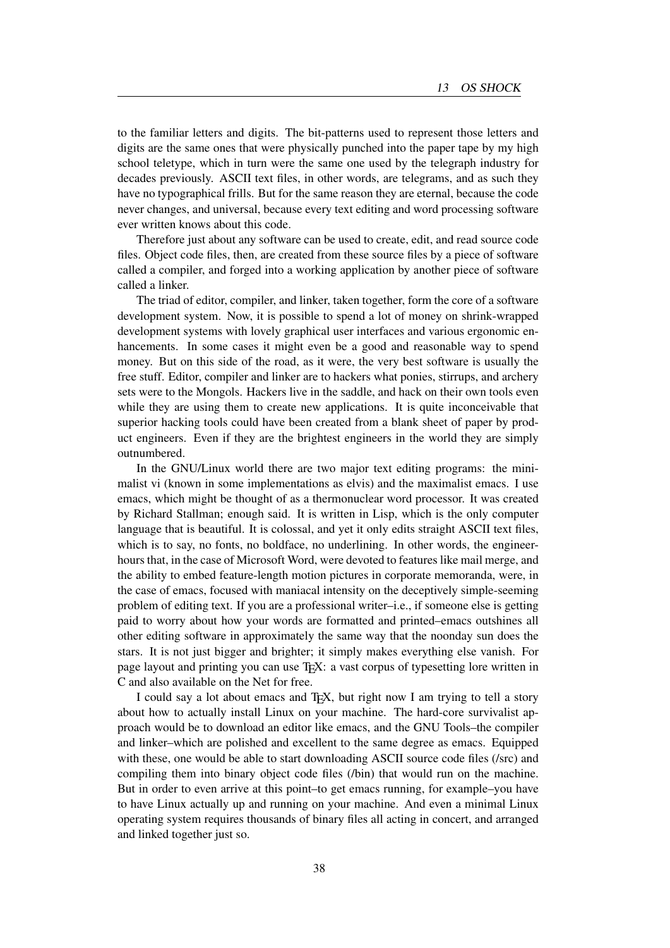to the familiar letters and digits. The bit-patterns used to represent those letters and digits are the same ones that were physically punched into the paper tape by my high school teletype, which in turn were the same one used by the telegraph industry for decades previously. ASCII text files, in other words, are telegrams, and as such they have no typographical frills. But for the same reason they are eternal, because the code never changes, and universal, because every text editing and word processing software ever written knows about this code.

Therefore just about any software can be used to create, edit, and read source code files. Object code files, then, are created from these source files by a piece of software called a compiler, and forged into a working application by another piece of software called a linker.

The triad of editor, compiler, and linker, taken together, form the core of a software development system. Now, it is possible to spend a lot of money on shrink-wrapped development systems with lovely graphical user interfaces and various ergonomic enhancements. In some cases it might even be a good and reasonable way to spend money. But on this side of the road, as it were, the very best software is usually the free stuff. Editor, compiler and linker are to hackers what ponies, stirrups, and archery sets were to the Mongols. Hackers live in the saddle, and hack on their own tools even while they are using them to create new applications. It is quite inconceivable that superior hacking tools could have been created from a blank sheet of paper by product engineers. Even if they are the brightest engineers in the world they are simply outnumbered.

In the GNU/Linux world there are two major text editing programs: the minimalist vi (known in some implementations as elvis) and the maximalist emacs. I use emacs, which might be thought of as a thermonuclear word processor. It was created by Richard Stallman; enough said. It is written in Lisp, which is the only computer language that is beautiful. It is colossal, and yet it only edits straight ASCII text files, which is to say, no fonts, no boldface, no underlining. In other words, the engineerhours that, in the case of Microsoft Word, were devoted to features like mail merge, and the ability to embed feature-length motion pictures in corporate memoranda, were, in the case of emacs, focused with maniacal intensity on the deceptively simple-seeming problem of editing text. If you are a professional writer–i.e., if someone else is getting paid to worry about how your words are formatted and printed–emacs outshines all other editing software in approximately the same way that the noonday sun does the stars. It is not just bigger and brighter; it simply makes everything else vanish. For page layout and printing you can use TEX: a vast corpus of typesetting lore written in C and also available on the Net for free.

I could say a lot about emacs and TEX, but right now I am trying to tell a story about how to actually install Linux on your machine. The hard-core survivalist approach would be to download an editor like emacs, and the GNU Tools–the compiler and linker–which are polished and excellent to the same degree as emacs. Equipped with these, one would be able to start downloading ASCII source code files (/src) and compiling them into binary object code files (/bin) that would run on the machine. But in order to even arrive at this point–to get emacs running, for example–you have to have Linux actually up and running on your machine. And even a minimal Linux operating system requires thousands of binary files all acting in concert, and arranged and linked together just so.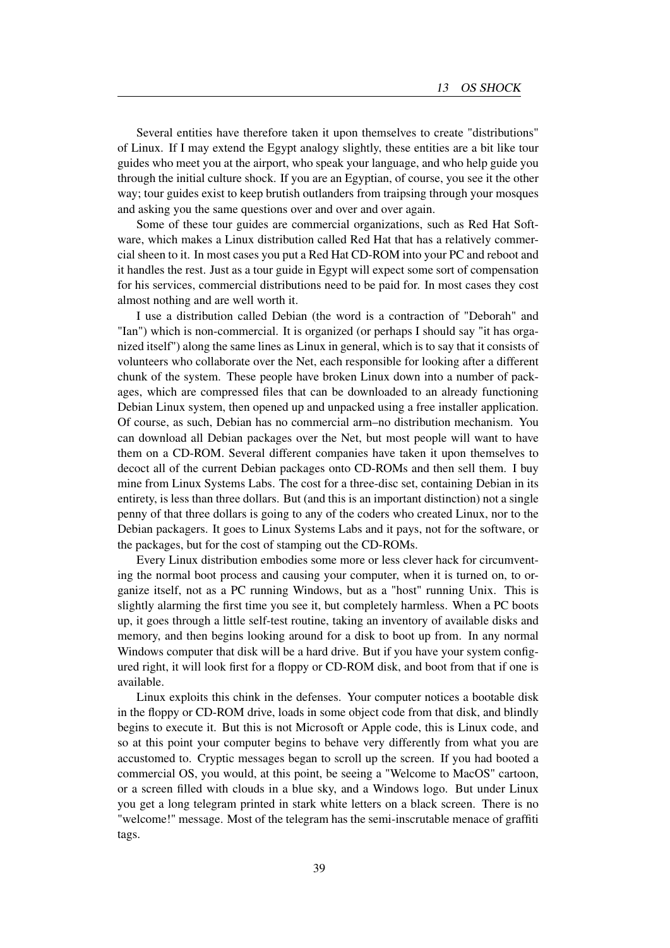Several entities have therefore taken it upon themselves to create "distributions" of Linux. If I may extend the Egypt analogy slightly, these entities are a bit like tour guides who meet you at the airport, who speak your language, and who help guide you through the initial culture shock. If you are an Egyptian, of course, you see it the other way; tour guides exist to keep brutish outlanders from traipsing through your mosques and asking you the same questions over and over and over again.

Some of these tour guides are commercial organizations, such as Red Hat Software, which makes a Linux distribution called Red Hat that has a relatively commercial sheen to it. In most cases you put a Red Hat CD-ROM into your PC and reboot and it handles the rest. Just as a tour guide in Egypt will expect some sort of compensation for his services, commercial distributions need to be paid for. In most cases they cost almost nothing and are well worth it.

I use a distribution called Debian (the word is a contraction of "Deborah" and "Ian") which is non-commercial. It is organized (or perhaps I should say "it has organized itself") along the same lines as Linux in general, which is to say that it consists of volunteers who collaborate over the Net, each responsible for looking after a different chunk of the system. These people have broken Linux down into a number of packages, which are compressed files that can be downloaded to an already functioning Debian Linux system, then opened up and unpacked using a free installer application. Of course, as such, Debian has no commercial arm–no distribution mechanism. You can download all Debian packages over the Net, but most people will want to have them on a CD-ROM. Several different companies have taken it upon themselves to decoct all of the current Debian packages onto CD-ROMs and then sell them. I buy mine from Linux Systems Labs. The cost for a three-disc set, containing Debian in its entirety, is less than three dollars. But (and this is an important distinction) not a single penny of that three dollars is going to any of the coders who created Linux, nor to the Debian packagers. It goes to Linux Systems Labs and it pays, not for the software, or the packages, but for the cost of stamping out the CD-ROMs.

Every Linux distribution embodies some more or less clever hack for circumventing the normal boot process and causing your computer, when it is turned on, to organize itself, not as a PC running Windows, but as a "host" running Unix. This is slightly alarming the first time you see it, but completely harmless. When a PC boots up, it goes through a little self-test routine, taking an inventory of available disks and memory, and then begins looking around for a disk to boot up from. In any normal Windows computer that disk will be a hard drive. But if you have your system configured right, it will look first for a floppy or CD-ROM disk, and boot from that if one is available.

Linux exploits this chink in the defenses. Your computer notices a bootable disk in the floppy or CD-ROM drive, loads in some object code from that disk, and blindly begins to execute it. But this is not Microsoft or Apple code, this is Linux code, and so at this point your computer begins to behave very differently from what you are accustomed to. Cryptic messages began to scroll up the screen. If you had booted a commercial OS, you would, at this point, be seeing a "Welcome to MacOS" cartoon, or a screen filled with clouds in a blue sky, and a Windows logo. But under Linux you get a long telegram printed in stark white letters on a black screen. There is no "welcome!" message. Most of the telegram has the semi-inscrutable menace of graffiti tags.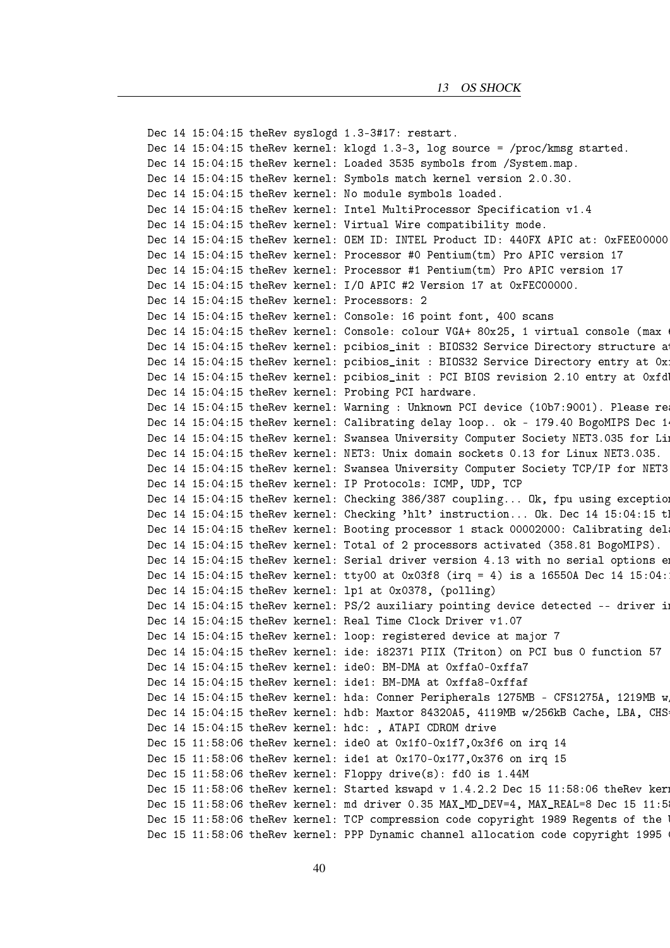```
Dec 14 15:04:15 theRev syslogd 1.3-3#17: restart.
Dec 14 15:04:15 theRev kernel: klogd 1.3-3, log source = /proc/kmsg started.
Dec 14 15:04:15 theRev kernel: Loaded 3535 symbols from /System.map.
Dec 14 15:04:15 theRev kernel: Symbols match kernel version 2.0.30.
Dec 14 15:04:15 theRev kernel: No module symbols loaded.
Dec 14 15:04:15 theRev kernel: Intel MultiProcessor Specification v1.4
Dec 14 15:04:15 theRev kernel: Virtual Wire compatibility mode.
Dec 14 15:04:15 theRev kernel: OEM ID: INTEL Product ID: 440FX APIC at: 0xFEE00000
Dec 14 15:04:15 theRev kernel: Processor #0 Pentium(tm) Pro APIC version 17
Dec 14 15:04:15 theRev kernel: Processor #1 Pentium(tm) Pro APIC version 17
Dec 14 15:04:15 theRev kernel: I/O APIC #2 Version 17 at 0xFEC00000.
Dec 14 15:04:15 theRev kernel: Processors: 2
Dec 14 15:04:15 theRev kernel: Console: 16 point font, 400 scans
Dec 14 15:04:15 theRev kernel: Console: colour VGA+ 80x25, 1 virtual console (max
Dec 14 15:04:15 theRev kernel: pcibios_init : BIOS32 Service Directory structure a
Dec 14 15:04:15 theRev kernel: pcibios_init : BIOS32 Service Directory entry at Ox
Dec 14 15:04:15 theRev kernel: pcibios_init : PCI BIOS revision 2.10 entry at Oxfd
Dec 14 15:04:15 theRev kernel: Probing PCI hardware.
Dec 14 15:04:15 theRev kernel: Warning : Unknown PCI device (10b7:9001). Please re
Dec 14 15:04:15 theRev kernel: Calibrating delay loop.. ok - 179.40 BogoMIPS Dec 1
Dec 14 15:04:15 theRev kernel: Swansea University Computer Society NET3.035 for Li
Dec 14 15:04:15 theRev kernel: NET3: Unix domain sockets 0.13 for Linux NET3.035.
Dec 14 15:04:15 theRev kernel: Swansea University Computer Society TCP/IP for NET3
Dec 14 15:04:15 theRev kernel: IP Protocols: ICMP, UDP, TCP
Dec 14 15:04:15 theRev kernel: Checking 386/387 coupling... Ok, fpu using exceptio
Dec 14 15:04:15 theRev kernel: Checking 'hlt' instruction... Ok. Dec 14 15:04:15 t
Dec 14 15:04:15 theRev kernel: Booting processor 1 stack 00002000: Calibrating del
Dec 14 15:04:15 theRev kernel: Total of 2 processors activated (358.81 BogoMIPS).
Dec 14 15:04:15 theRev kernel: Serial driver version 4.13 with no serial options e
Dec 14 15:04:15 theRev kernel: tty00 at 0x03f8 (irq = 4) is a 16550A Dec 14 15:04:
Dec 14 15:04:15 theRev kernel: lp1 at 0x0378, (polling)
Dec 14 15:04:15 theRev kernel: PS/2 auxiliary pointing device detected -- driver i
Dec 14 15:04:15 theRev kernel: Real Time Clock Driver v1.07
Dec 14 15:04:15 theRev kernel: loop: registered device at major 7
Dec 14 15:04:15 theRev kernel: ide: i82371 PIIX (Triton) on PCI bus 0 function 57
Dec 14 15:04:15 theRev kernel: ide0: BM-DMA at 0xffa0-0xffa7
Dec 14 15:04:15 theRev kernel: ide1: BM-DMA at 0xffa8-0xffaf
Dec 14 15:04:15 theRev kernel: hda: Conner Peripherals 1275MB - CFS1275A, 1219MB w
Dec 14 15:04:15 theRev kernel: hdb: Maxtor 84320A5, 4119MB w/256kB Cache, LBA, CHS
Dec 14 15:04:15 theRev kernel: hdc: , ATAPI CDROM drive
Dec 15 11:58:06 theRev kernel: ide0 at 0x1f0-0x1f7,0x3f6 on irq 14
Dec 15 11:58:06 theRev kernel: ide1 at 0x170-0x177,0x376 on irq 15
Dec 15 11:58:06 theRev kernel: Floppy drive(s): fdO is 1.44M
Dec 15 11:58:06 theRev kernel: Started kswapd v 1.4.2.2 Dec 15 11:58:06 theRev ker
Dec 15 11:58:06 theRev kernel: md driver 0.35 MAX_MD_DEV=4, MAX_REAL=8 Dec 15 11:5
Dec 15 11:58:06 theRev kernel: TCP compression code copyright 1989 Regents of the
Dec 15 11:58:06 theRev kernel: PPP Dynamic channel allocation code copyright 1995
```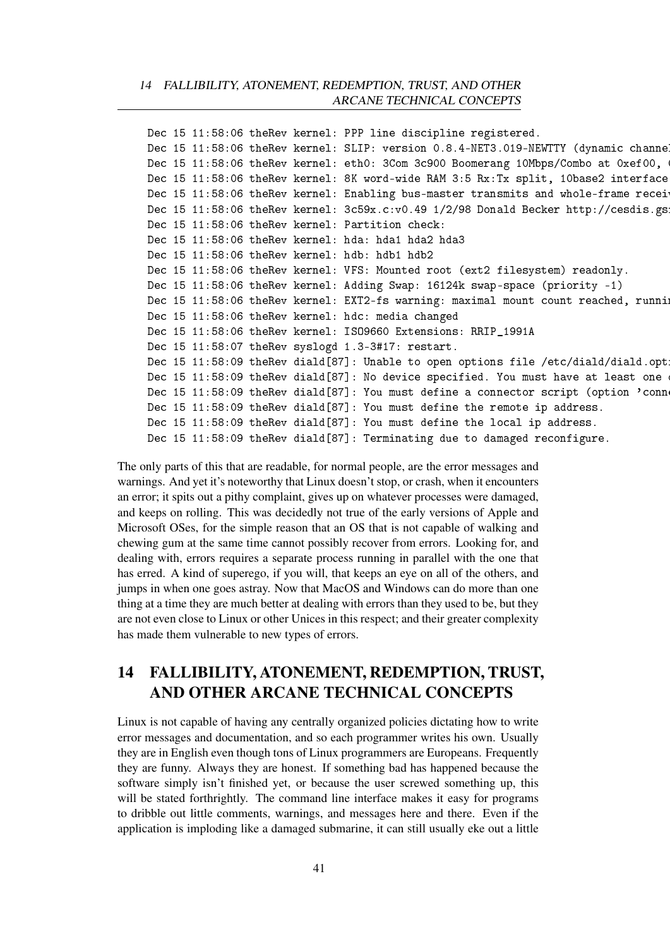#### 14 FALLIBILITY, ATONEMENT, REDEMPTION, TRUST, AND OTHER ARCANE TECHNICAL CONCEPTS

```
Dec 15 11:58:06 theRev kernel: PPP line discipline registered.
Dec 15 11:58:06 theRev kernel: SLIP: version 0.8.4-NET3.019-NEWTTY (dynamic channe
Dec 15 11:58:06 theRev kernel: eth0: 3Com 3c900 Boomerang 10Mbps/Combo at 0xef00,
Dec 15 11:58:06 theRev kernel: 8K word-wide RAM 3:5 Rx:Tx split, 10base2 interface
Dec 15 11:58:06 theRev kernel: Enabling bus-master transmits and whole-frame recei
Dec 15 11:58:06 theRev kernel: 3c59x.c:v0.49 1/2/98 Donald Becker http://cesdis.gs
Dec 15 11:58:06 theRev kernel: Partition check:
Dec 15 11:58:06 theRev kernel: hda: hda1 hda2 hda3
Dec 15 11:58:06 theRev kernel: hdb: hdb1 hdb2
Dec 15 11:58:06 theRev kernel: VFS: Mounted root (ext2 filesystem) readonly.
Dec 15 11:58:06 theRev kernel: Adding Swap: 16124k swap-space (priority -1)
Dec 15 11:58:06 theRev kernel: EXT2-fs warning: maximal mount count reached, runni
Dec 15 11:58:06 theRev kernel: hdc: media changed
Dec 15 11:58:06 theRev kernel: IS09660 Extensions: RRIP 1991A
Dec 15 11:58:07 theRev syslogd 1.3-3#17: restart.
Dec 15 11:58:09 theRev diald[87]: Unable to open options file /etc/diald/diald.opt
Dec 15 11:58:09 theRev diald[87]: No device specified. You must have at least one
Dec 15 11:58:09 theRev diald[87]: You must define a connector script (option 'conn
Dec 15 11:58:09 theRev diald[87]: You must define the remote ip address.
Dec 15 11:58:09 theRev diald[87]: You must define the local ip address.
Dec 15 11:58:09 theRev diald[87]: Terminating due to damaged reconfigure.
```
The only parts of this that are readable, for normal people, are the error messages and warnings. And yet it's noteworthy that Linux doesn't stop, or crash, when it encounters an error; it spits out a pithy complaint, gives up on whatever processes were damaged, and keeps on rolling. This was decidedly not true of the early versions of Apple and Microsoft OSes, for the simple reason that an OS that is not capable of walking and chewing gum at the same time cannot possibly recover from errors. Looking for, and dealing with, errors requires a separate process running in parallel with the one that has erred. A kind of superego, if you will, that keeps an eye on all of the others, and jumps in when one goes astray. Now that MacOS and Windows can do more than one thing at a time they are much better at dealing with errors than they used to be, but they are not even close to Linux or other Unices in this respect; and their greater complexity has made them vulnerable to new types of errors.

# 14 FALLIBILITY, ATONEMENT, REDEMPTION, TRUST, AND OTHER ARCANE TECHNICAL CONCEPTS

Linux is not capable of having any centrally organized policies dictating how to write error messages and documentation, and so each programmer writes his own. Usually they are in English even though tons of Linux programmers are Europeans. Frequently they are funny. Always they are honest. If something bad has happened because the software simply isn't finished yet, or because the user screwed something up, this will be stated forthrightly. The command line interface makes it easy for programs to dribble out little comments, warnings, and messages here and there. Even if the application is imploding like a damaged submarine, it can still usually eke out a little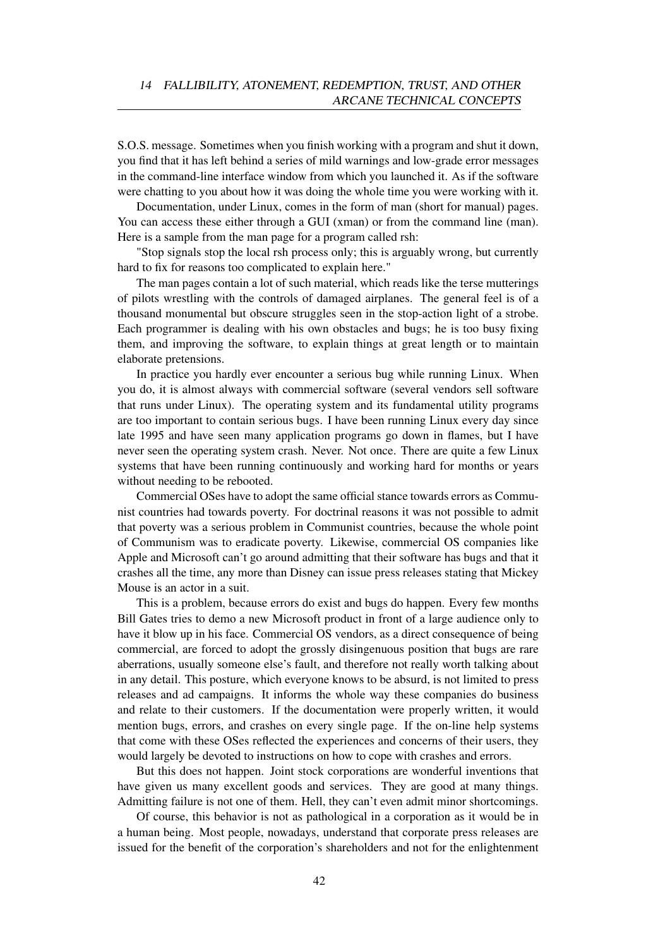S.O.S. message. Sometimes when you finish working with a program and shut it down, you find that it has left behind a series of mild warnings and low-grade error messages in the command-line interface window from which you launched it. As if the software were chatting to you about how it was doing the whole time you were working with it.

Documentation, under Linux, comes in the form of man (short for manual) pages. You can access these either through a GUI (xman) or from the command line (man). Here is a sample from the man page for a program called rsh:

"Stop signals stop the local rsh process only; this is arguably wrong, but currently hard to fix for reasons too complicated to explain here."

The man pages contain a lot of such material, which reads like the terse mutterings of pilots wrestling with the controls of damaged airplanes. The general feel is of a thousand monumental but obscure struggles seen in the stop-action light of a strobe. Each programmer is dealing with his own obstacles and bugs; he is too busy fixing them, and improving the software, to explain things at great length or to maintain elaborate pretensions.

In practice you hardly ever encounter a serious bug while running Linux. When you do, it is almost always with commercial software (several vendors sell software that runs under Linux). The operating system and its fundamental utility programs are too important to contain serious bugs. I have been running Linux every day since late 1995 and have seen many application programs go down in flames, but I have never seen the operating system crash. Never. Not once. There are quite a few Linux systems that have been running continuously and working hard for months or years without needing to be rebooted.

Commercial OSes have to adopt the same official stance towards errors as Communist countries had towards poverty. For doctrinal reasons it was not possible to admit that poverty was a serious problem in Communist countries, because the whole point of Communism was to eradicate poverty. Likewise, commercial OS companies like Apple and Microsoft can't go around admitting that their software has bugs and that it crashes all the time, any more than Disney can issue press releases stating that Mickey Mouse is an actor in a suit.

This is a problem, because errors do exist and bugs do happen. Every few months Bill Gates tries to demo a new Microsoft product in front of a large audience only to have it blow up in his face. Commercial OS vendors, as a direct consequence of being commercial, are forced to adopt the grossly disingenuous position that bugs are rare aberrations, usually someone else's fault, and therefore not really worth talking about in any detail. This posture, which everyone knows to be absurd, is not limited to press releases and ad campaigns. It informs the whole way these companies do business and relate to their customers. If the documentation were properly written, it would mention bugs, errors, and crashes on every single page. If the on-line help systems that come with these OSes reflected the experiences and concerns of their users, they would largely be devoted to instructions on how to cope with crashes and errors.

But this does not happen. Joint stock corporations are wonderful inventions that have given us many excellent goods and services. They are good at many things. Admitting failure is not one of them. Hell, they can't even admit minor shortcomings.

Of course, this behavior is not as pathological in a corporation as it would be in a human being. Most people, nowadays, understand that corporate press releases are issued for the benefit of the corporation's shareholders and not for the enlightenment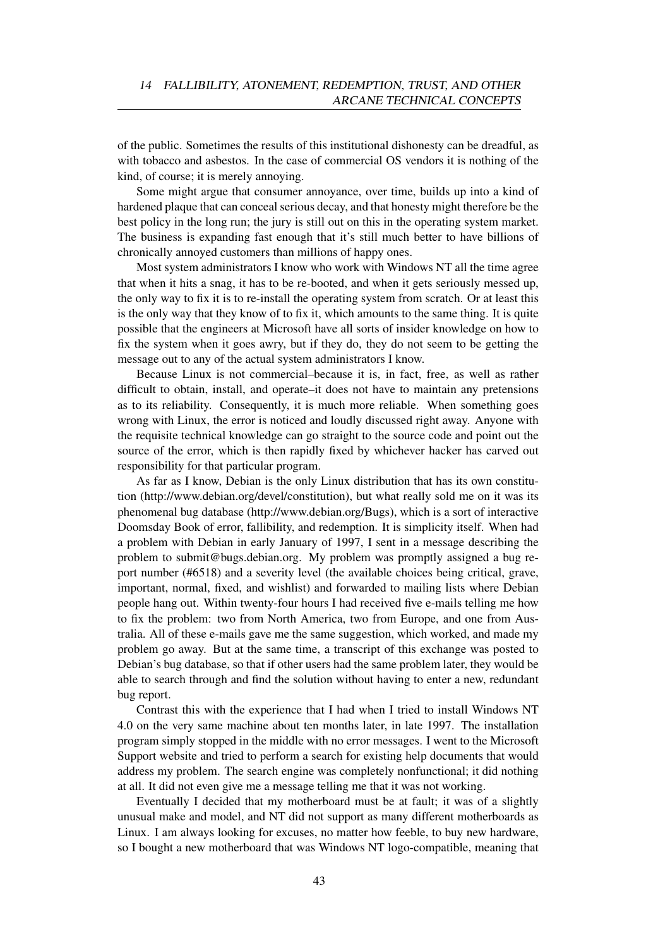of the public. Sometimes the results of this institutional dishonesty can be dreadful, as with tobacco and asbestos. In the case of commercial OS vendors it is nothing of the kind, of course; it is merely annoying.

Some might argue that consumer annoyance, over time, builds up into a kind of hardened plaque that can conceal serious decay, and that honesty might therefore be the best policy in the long run; the jury is still out on this in the operating system market. The business is expanding fast enough that it's still much better to have billions of chronically annoyed customers than millions of happy ones.

Most system administrators I know who work with Windows NT all the time agree that when it hits a snag, it has to be re-booted, and when it gets seriously messed up, the only way to fix it is to re-install the operating system from scratch. Or at least this is the only way that they know of to fix it, which amounts to the same thing. It is quite possible that the engineers at Microsoft have all sorts of insider knowledge on how to fix the system when it goes awry, but if they do, they do not seem to be getting the message out to any of the actual system administrators I know.

Because Linux is not commercial–because it is, in fact, free, as well as rather difficult to obtain, install, and operate–it does not have to maintain any pretensions as to its reliability. Consequently, it is much more reliable. When something goes wrong with Linux, the error is noticed and loudly discussed right away. Anyone with the requisite technical knowledge can go straight to the source code and point out the source of the error, which is then rapidly fixed by whichever hacker has carved out responsibility for that particular program.

As far as I know, Debian is the only Linux distribution that has its own constitution (http://www.debian.org/devel/constitution), but what really sold me on it was its phenomenal bug database (http://www.debian.org/Bugs), which is a sort of interactive Doomsday Book of error, fallibility, and redemption. It is simplicity itself. When had a problem with Debian in early January of 1997, I sent in a message describing the problem to submit@bugs.debian.org. My problem was promptly assigned a bug report number (#6518) and a severity level (the available choices being critical, grave, important, normal, fixed, and wishlist) and forwarded to mailing lists where Debian people hang out. Within twenty-four hours I had received five e-mails telling me how to fix the problem: two from North America, two from Europe, and one from Australia. All of these e-mails gave me the same suggestion, which worked, and made my problem go away. But at the same time, a transcript of this exchange was posted to Debian's bug database, so that if other users had the same problem later, they would be able to search through and find the solution without having to enter a new, redundant bug report.

Contrast this with the experience that I had when I tried to install Windows NT 4.0 on the very same machine about ten months later, in late 1997. The installation program simply stopped in the middle with no error messages. I went to the Microsoft Support website and tried to perform a search for existing help documents that would address my problem. The search engine was completely nonfunctional; it did nothing at all. It did not even give me a message telling me that it was not working.

Eventually I decided that my motherboard must be at fault; it was of a slightly unusual make and model, and NT did not support as many different motherboards as Linux. I am always looking for excuses, no matter how feeble, to buy new hardware, so I bought a new motherboard that was Windows NT logo-compatible, meaning that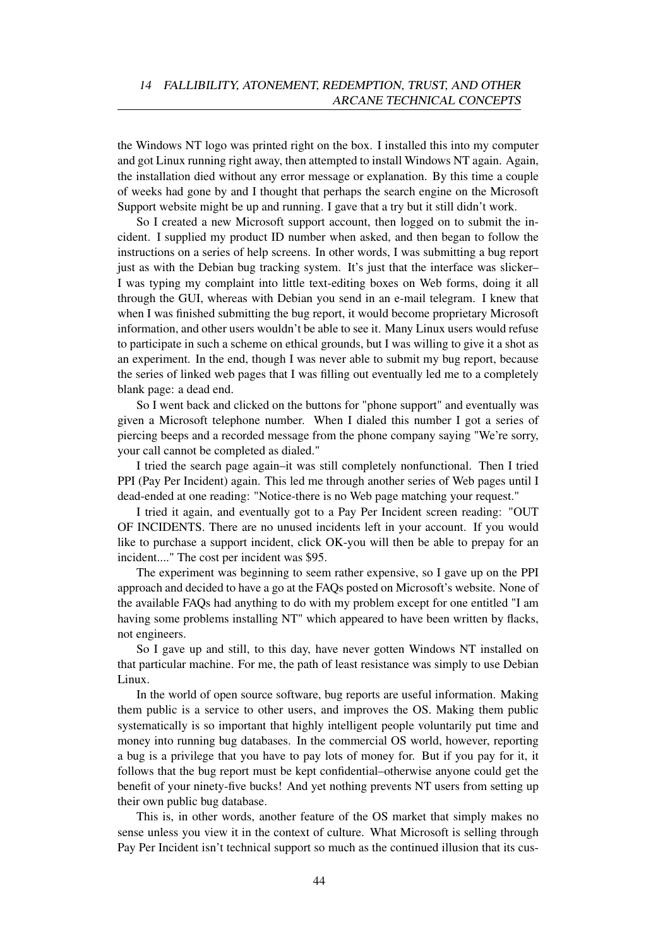the Windows NT logo was printed right on the box. I installed this into my computer and got Linux running right away, then attempted to install Windows NT again. Again, the installation died without any error message or explanation. By this time a couple of weeks had gone by and I thought that perhaps the search engine on the Microsoft Support website might be up and running. I gave that a try but it still didn't work.

So I created a new Microsoft support account, then logged on to submit the incident. I supplied my product ID number when asked, and then began to follow the instructions on a series of help screens. In other words, I was submitting a bug report just as with the Debian bug tracking system. It's just that the interface was slicker– I was typing my complaint into little text-editing boxes on Web forms, doing it all through the GUI, whereas with Debian you send in an e-mail telegram. I knew that when I was finished submitting the bug report, it would become proprietary Microsoft information, and other users wouldn't be able to see it. Many Linux users would refuse to participate in such a scheme on ethical grounds, but I was willing to give it a shot as an experiment. In the end, though I was never able to submit my bug report, because the series of linked web pages that I was filling out eventually led me to a completely blank page: a dead end.

So I went back and clicked on the buttons for "phone support" and eventually was given a Microsoft telephone number. When I dialed this number I got a series of piercing beeps and a recorded message from the phone company saying "We're sorry, your call cannot be completed as dialed."

I tried the search page again–it was still completely nonfunctional. Then I tried PPI (Pay Per Incident) again. This led me through another series of Web pages until I dead-ended at one reading: "Notice-there is no Web page matching your request."

I tried it again, and eventually got to a Pay Per Incident screen reading: "OUT OF INCIDENTS. There are no unused incidents left in your account. If you would like to purchase a support incident, click OK-you will then be able to prepay for an incident...." The cost per incident was \$95.

The experiment was beginning to seem rather expensive, so I gave up on the PPI approach and decided to have a go at the FAQs posted on Microsoft's website. None of the available FAQs had anything to do with my problem except for one entitled "I am having some problems installing NT" which appeared to have been written by flacks, not engineers.

So I gave up and still, to this day, have never gotten Windows NT installed on that particular machine. For me, the path of least resistance was simply to use Debian Linux.

In the world of open source software, bug reports are useful information. Making them public is a service to other users, and improves the OS. Making them public systematically is so important that highly intelligent people voluntarily put time and money into running bug databases. In the commercial OS world, however, reporting a bug is a privilege that you have to pay lots of money for. But if you pay for it, it follows that the bug report must be kept confidential–otherwise anyone could get the benefit of your ninety-five bucks! And yet nothing prevents NT users from setting up their own public bug database.

This is, in other words, another feature of the OS market that simply makes no sense unless you view it in the context of culture. What Microsoft is selling through Pay Per Incident isn't technical support so much as the continued illusion that its cus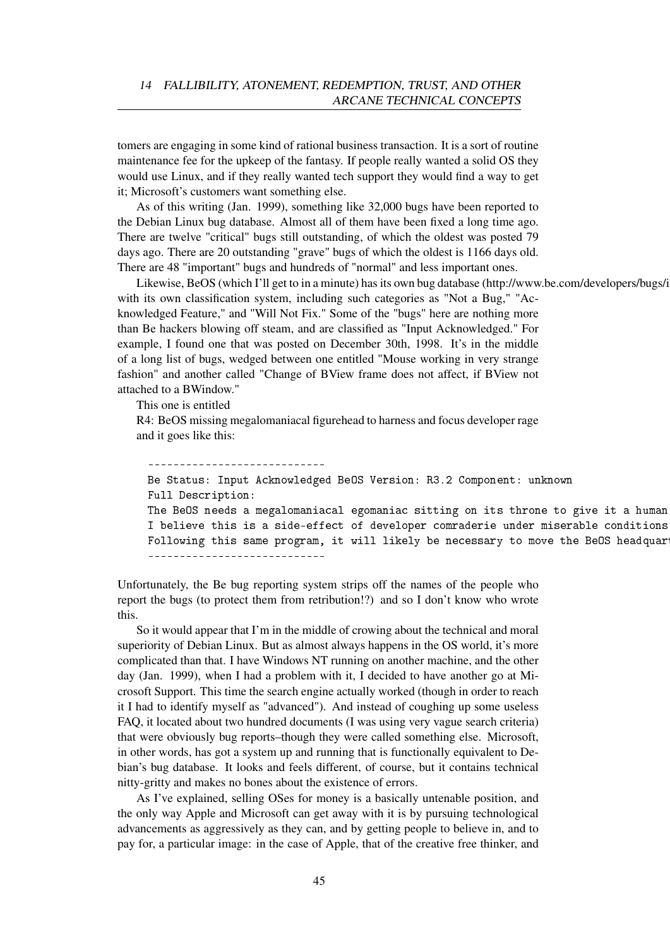tomers are engaging in some kind of rational business transaction. It is a sort of routine maintenance fee for the upkeep of the fantasy. If people really wanted a solid OS they would use Linux, and if they really wanted tech support they would find a way to get it; Microsoft's customers want something else.

As of this writing (Jan. 1999), something like 32,000 bugs have been reported to the Debian Linux bug database. Almost all of them have been fixed a long time ago. There are twelve "critical" bugs still outstanding, of which the oldest was posted 79 days ago. There are 20 outstanding "grave" bugs of which the oldest is 1166 days old. There are 48 "important" bugs and hundreds of "normal" and less important ones.

Likewise, BeOS (which I'll get to in a minute) has its own bug database (http://www.be.com/developers/bugs/i with its own classification system, including such categories as "Not a Bug," "Acknowledged Feature," and "Will Not Fix." Some of the "bugs" here are nothing more than Be hackers blowing off steam, and are classified as "Input Acknowledged." For example, I found one that was posted on December 30th, 1998. It's in the middle of a long list of bugs, wedged between one entitled "Mouse working in very strange fashion" and another called "Change of BView frame does not affect, if BView not attached to a BWindow."

This one is entitled

R4: BeOS missing megalomaniacal figurehead to harness and focus developer rage and it goes like this:

---------------------------- Be Status: Input Acknowledged BeOS Version: R3.2 Component: unknown Full Description: The BeOS needs a megalomaniacal egomaniac sitting on its throne to give it a human I believe this is a side-effect of developer comraderie under miserable conditions Following this same program, it will likely be necessary to move the BeOS headquar ----------------------------

Unfortunately, the Be bug reporting system strips off the names of the people who report the bugs (to protect them from retribution!?) and so I don't know who wrote this.

So it would appear that I'm in the middle of crowing about the technical and moral superiority of Debian Linux. But as almost always happens in the OS world, it's more complicated than that. I have Windows NT running on another machine, and the other day (Jan. 1999), when I had a problem with it, I decided to have another go at Microsoft Support. This time the search engine actually worked (though in order to reach it I had to identify myself as "advanced"). And instead of coughing up some useless FAQ, it located about two hundred documents (I was using very vague search criteria) that were obviously bug reports–though they were called something else. Microsoft, in other words, has got a system up and running that is functionally equivalent to Debian's bug database. It looks and feels different, of course, but it contains technical nitty-gritty and makes no bones about the existence of errors.

As I've explained, selling OSes for money is a basically untenable position, and the only way Apple and Microsoft can get away with it is by pursuing technological advancements as aggressively as they can, and by getting people to believe in, and to pay for, a particular image: in the case of Apple, that of the creative free thinker, and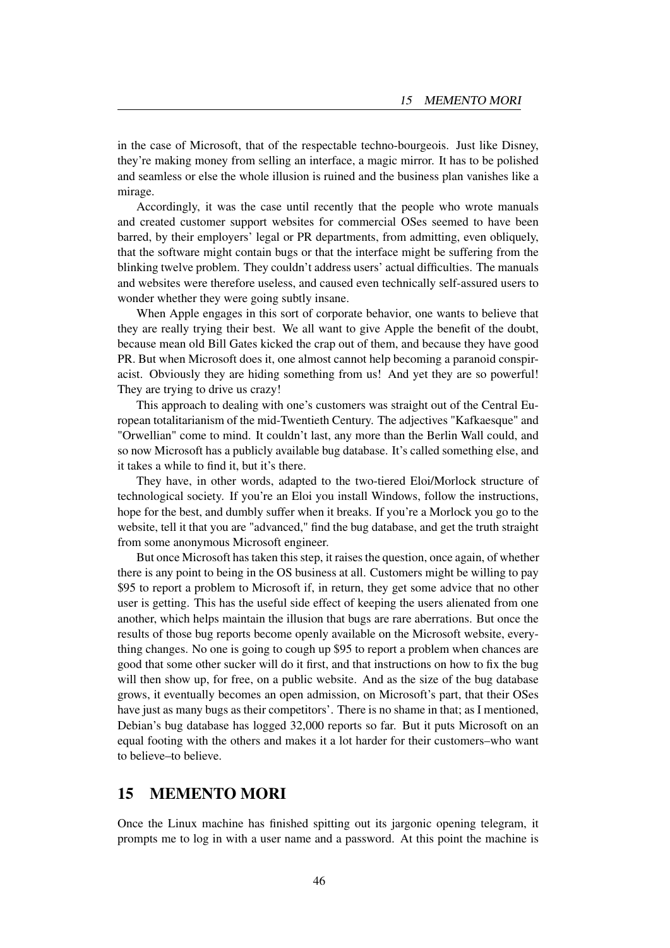in the case of Microsoft, that of the respectable techno-bourgeois. Just like Disney, they're making money from selling an interface, a magic mirror. It has to be polished and seamless or else the whole illusion is ruined and the business plan vanishes like a mirage.

Accordingly, it was the case until recently that the people who wrote manuals and created customer support websites for commercial OSes seemed to have been barred, by their employers' legal or PR departments, from admitting, even obliquely, that the software might contain bugs or that the interface might be suffering from the blinking twelve problem. They couldn't address users' actual difficulties. The manuals and websites were therefore useless, and caused even technically self-assured users to wonder whether they were going subtly insane.

When Apple engages in this sort of corporate behavior, one wants to believe that they are really trying their best. We all want to give Apple the benefit of the doubt, because mean old Bill Gates kicked the crap out of them, and because they have good PR. But when Microsoft does it, one almost cannot help becoming a paranoid conspiracist. Obviously they are hiding something from us! And yet they are so powerful! They are trying to drive us crazy!

This approach to dealing with one's customers was straight out of the Central European totalitarianism of the mid-Twentieth Century. The adjectives "Kafkaesque" and "Orwellian" come to mind. It couldn't last, any more than the Berlin Wall could, and so now Microsoft has a publicly available bug database. It's called something else, and it takes a while to find it, but it's there.

They have, in other words, adapted to the two-tiered Eloi/Morlock structure of technological society. If you're an Eloi you install Windows, follow the instructions, hope for the best, and dumbly suffer when it breaks. If you're a Morlock you go to the website, tell it that you are "advanced," find the bug database, and get the truth straight from some anonymous Microsoft engineer.

But once Microsoft has taken this step, it raises the question, once again, of whether there is any point to being in the OS business at all. Customers might be willing to pay \$95 to report a problem to Microsoft if, in return, they get some advice that no other user is getting. This has the useful side effect of keeping the users alienated from one another, which helps maintain the illusion that bugs are rare aberrations. But once the results of those bug reports become openly available on the Microsoft website, everything changes. No one is going to cough up \$95 to report a problem when chances are good that some other sucker will do it first, and that instructions on how to fix the bug will then show up, for free, on a public website. And as the size of the bug database grows, it eventually becomes an open admission, on Microsoft's part, that their OSes have just as many bugs as their competitors'. There is no shame in that; as I mentioned, Debian's bug database has logged 32,000 reports so far. But it puts Microsoft on an equal footing with the others and makes it a lot harder for their customers–who want to believe–to believe.

### 15 MEMENTO MORI

Once the Linux machine has finished spitting out its jargonic opening telegram, it prompts me to log in with a user name and a password. At this point the machine is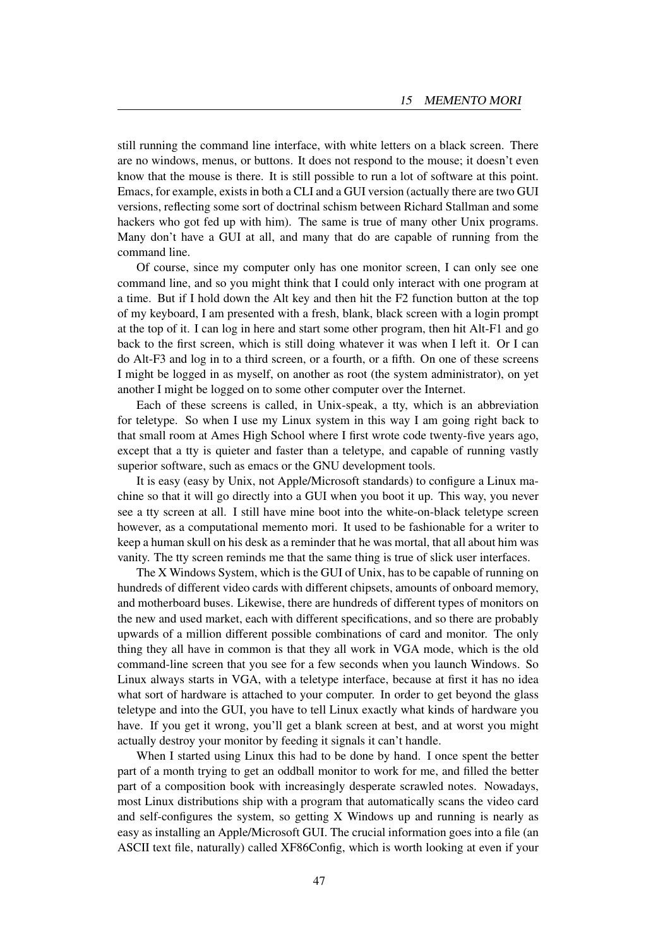still running the command line interface, with white letters on a black screen. There are no windows, menus, or buttons. It does not respond to the mouse; it doesn't even know that the mouse is there. It is still possible to run a lot of software at this point. Emacs, for example, exists in both a CLI and a GUI version (actually there are two GUI versions, reflecting some sort of doctrinal schism between Richard Stallman and some hackers who got fed up with him). The same is true of many other Unix programs. Many don't have a GUI at all, and many that do are capable of running from the command line.

Of course, since my computer only has one monitor screen, I can only see one command line, and so you might think that I could only interact with one program at a time. But if I hold down the Alt key and then hit the F2 function button at the top of my keyboard, I am presented with a fresh, blank, black screen with a login prompt at the top of it. I can log in here and start some other program, then hit Alt-F1 and go back to the first screen, which is still doing whatever it was when I left it. Or I can do Alt-F3 and log in to a third screen, or a fourth, or a fifth. On one of these screens I might be logged in as myself, on another as root (the system administrator), on yet another I might be logged on to some other computer over the Internet.

Each of these screens is called, in Unix-speak, a tty, which is an abbreviation for teletype. So when I use my Linux system in this way I am going right back to that small room at Ames High School where I first wrote code twenty-five years ago, except that a tty is quieter and faster than a teletype, and capable of running vastly superior software, such as emacs or the GNU development tools.

It is easy (easy by Unix, not Apple/Microsoft standards) to configure a Linux machine so that it will go directly into a GUI when you boot it up. This way, you never see a tty screen at all. I still have mine boot into the white-on-black teletype screen however, as a computational memento mori. It used to be fashionable for a writer to keep a human skull on his desk as a reminder that he was mortal, that all about him was vanity. The tty screen reminds me that the same thing is true of slick user interfaces.

The X Windows System, which is the GUI of Unix, has to be capable of running on hundreds of different video cards with different chipsets, amounts of onboard memory, and motherboard buses. Likewise, there are hundreds of different types of monitors on the new and used market, each with different specifications, and so there are probably upwards of a million different possible combinations of card and monitor. The only thing they all have in common is that they all work in VGA mode, which is the old command-line screen that you see for a few seconds when you launch Windows. So Linux always starts in VGA, with a teletype interface, because at first it has no idea what sort of hardware is attached to your computer. In order to get beyond the glass teletype and into the GUI, you have to tell Linux exactly what kinds of hardware you have. If you get it wrong, you'll get a blank screen at best, and at worst you might actually destroy your monitor by feeding it signals it can't handle.

When I started using Linux this had to be done by hand. I once spent the better part of a month trying to get an oddball monitor to work for me, and filled the better part of a composition book with increasingly desperate scrawled notes. Nowadays, most Linux distributions ship with a program that automatically scans the video card and self-configures the system, so getting X Windows up and running is nearly as easy as installing an Apple/Microsoft GUI. The crucial information goes into a file (an ASCII text file, naturally) called XF86Config, which is worth looking at even if your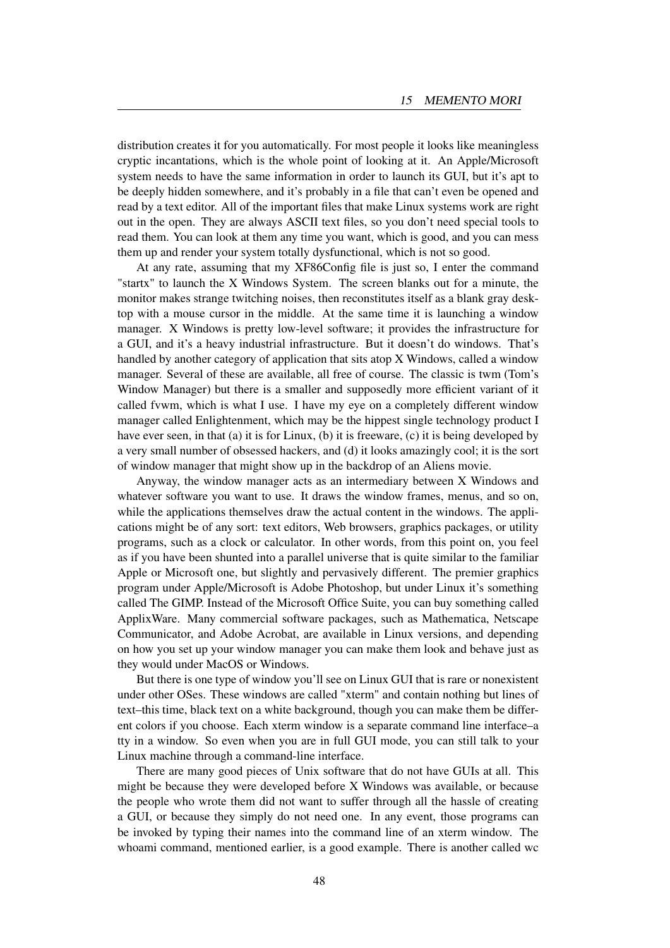distribution creates it for you automatically. For most people it looks like meaningless cryptic incantations, which is the whole point of looking at it. An Apple/Microsoft system needs to have the same information in order to launch its GUI, but it's apt to be deeply hidden somewhere, and it's probably in a file that can't even be opened and read by a text editor. All of the important files that make Linux systems work are right out in the open. They are always ASCII text files, so you don't need special tools to read them. You can look at them any time you want, which is good, and you can mess them up and render your system totally dysfunctional, which is not so good.

At any rate, assuming that my XF86Config file is just so, I enter the command "startx" to launch the X Windows System. The screen blanks out for a minute, the monitor makes strange twitching noises, then reconstitutes itself as a blank gray desktop with a mouse cursor in the middle. At the same time it is launching a window manager. X Windows is pretty low-level software; it provides the infrastructure for a GUI, and it's a heavy industrial infrastructure. But it doesn't do windows. That's handled by another category of application that sits atop X Windows, called a window manager. Several of these are available, all free of course. The classic is twm (Tom's Window Manager) but there is a smaller and supposedly more efficient variant of it called fvwm, which is what I use. I have my eye on a completely different window manager called Enlightenment, which may be the hippest single technology product I have ever seen, in that (a) it is for Linux, (b) it is freeware, (c) it is being developed by a very small number of obsessed hackers, and (d) it looks amazingly cool; it is the sort of window manager that might show up in the backdrop of an Aliens movie.

Anyway, the window manager acts as an intermediary between X Windows and whatever software you want to use. It draws the window frames, menus, and so on, while the applications themselves draw the actual content in the windows. The applications might be of any sort: text editors, Web browsers, graphics packages, or utility programs, such as a clock or calculator. In other words, from this point on, you feel as if you have been shunted into a parallel universe that is quite similar to the familiar Apple or Microsoft one, but slightly and pervasively different. The premier graphics program under Apple/Microsoft is Adobe Photoshop, but under Linux it's something called The GIMP. Instead of the Microsoft Office Suite, you can buy something called ApplixWare. Many commercial software packages, such as Mathematica, Netscape Communicator, and Adobe Acrobat, are available in Linux versions, and depending on how you set up your window manager you can make them look and behave just as they would under MacOS or Windows.

But there is one type of window you'll see on Linux GUI that is rare or nonexistent under other OSes. These windows are called "xterm" and contain nothing but lines of text–this time, black text on a white background, though you can make them be different colors if you choose. Each xterm window is a separate command line interface–a tty in a window. So even when you are in full GUI mode, you can still talk to your Linux machine through a command-line interface.

There are many good pieces of Unix software that do not have GUIs at all. This might be because they were developed before X Windows was available, or because the people who wrote them did not want to suffer through all the hassle of creating a GUI, or because they simply do not need one. In any event, those programs can be invoked by typing their names into the command line of an xterm window. The whoami command, mentioned earlier, is a good example. There is another called wc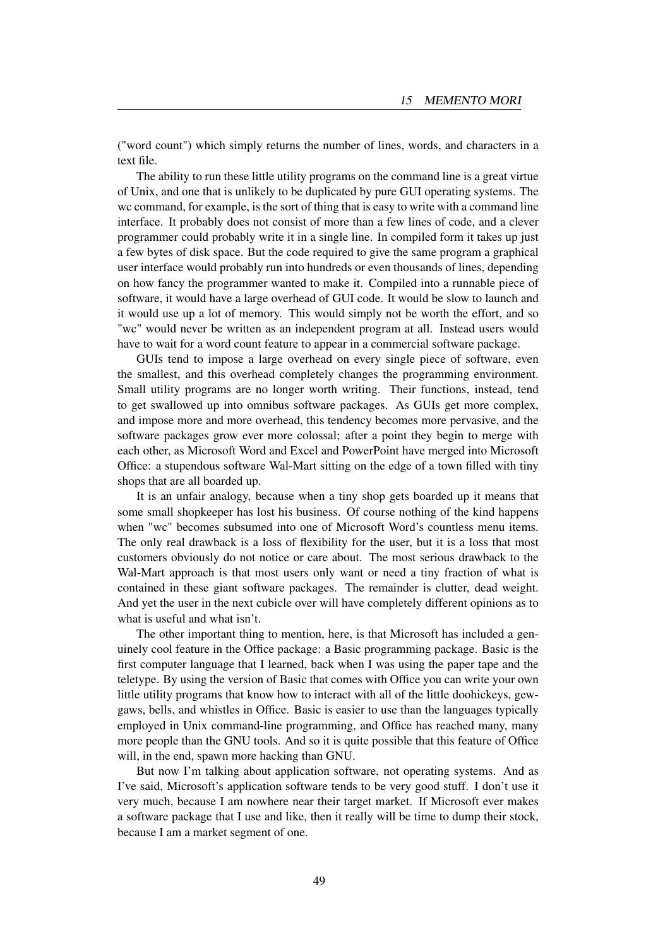("word count") which simply returns the number of lines, words, and characters in a text file.

The ability to run these little utility programs on the command line is a great virtue of Unix, and one that is unlikely to be duplicated by pure GUI operating systems. The wc command, for example, is the sort of thing that is easy to write with a command line interface. It probably does not consist of more than a few lines of code, and a clever programmer could probably write it in a single line. In compiled form it takes up just a few bytes of disk space. But the code required to give the same program a graphical user interface would probably run into hundreds or even thousands of lines, depending on how fancy the programmer wanted to make it. Compiled into a runnable piece of software, it would have a large overhead of GUI code. It would be slow to launch and it would use up a lot of memory. This would simply not be worth the effort, and so "wc" would never be written as an independent program at all. Instead users would have to wait for a word count feature to appear in a commercial software package.

GUIs tend to impose a large overhead on every single piece of software, even the smallest, and this overhead completely changes the programming environment. Small utility programs are no longer worth writing. Their functions, instead, tend to get swallowed up into omnibus software packages. As GUIs get more complex, and impose more and more overhead, this tendency becomes more pervasive, and the software packages grow ever more colossal; after a point they begin to merge with each other, as Microsoft Word and Excel and PowerPoint have merged into Microsoft Office: a stupendous software Wal-Mart sitting on the edge of a town filled with tiny shops that are all boarded up.

It is an unfair analogy, because when a tiny shop gets boarded up it means that some small shopkeeper has lost his business. Of course nothing of the kind happens when "wc" becomes subsumed into one of Microsoft Word's countless menu items. The only real drawback is a loss of flexibility for the user, but it is a loss that most customers obviously do not notice or care about. The most serious drawback to the Wal-Mart approach is that most users only want or need a tiny fraction of what is contained in these giant software packages. The remainder is clutter, dead weight. And yet the user in the next cubicle over will have completely different opinions as to what is useful and what isn't.

The other important thing to mention, here, is that Microsoft has included a genuinely cool feature in the Office package: a Basic programming package. Basic is the first computer language that I learned, back when I was using the paper tape and the teletype. By using the version of Basic that comes with Office you can write your own little utility programs that know how to interact with all of the little doohickeys, gewgaws, bells, and whistles in Office. Basic is easier to use than the languages typically employed in Unix command-line programming, and Office has reached many, many more people than the GNU tools. And so it is quite possible that this feature of Office will, in the end, spawn more hacking than GNU.

But now I'm talking about application software, not operating systems. And as I've said, Microsoft's application software tends to be very good stuff. I don't use it very much, because I am nowhere near their target market. If Microsoft ever makes a software package that I use and like, then it really will be time to dump their stock, because I am a market segment of one.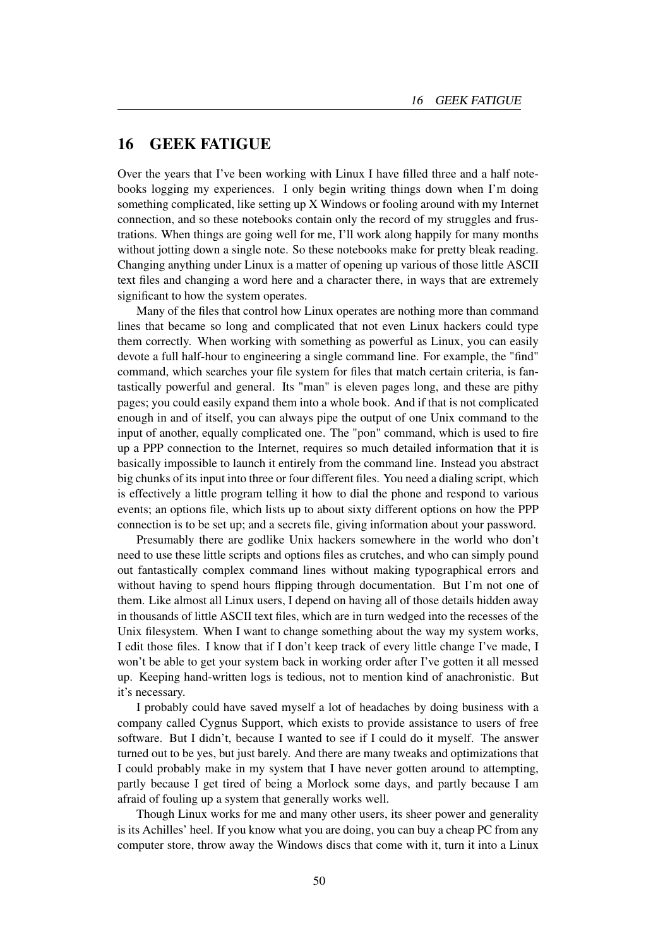## 16 GEEK FATIGUE

Over the years that I've been working with Linux I have filled three and a half notebooks logging my experiences. I only begin writing things down when I'm doing something complicated, like setting up X Windows or fooling around with my Internet connection, and so these notebooks contain only the record of my struggles and frustrations. When things are going well for me, I'll work along happily for many months without jotting down a single note. So these notebooks make for pretty bleak reading. Changing anything under Linux is a matter of opening up various of those little ASCII text files and changing a word here and a character there, in ways that are extremely significant to how the system operates.

Many of the files that control how Linux operates are nothing more than command lines that became so long and complicated that not even Linux hackers could type them correctly. When working with something as powerful as Linux, you can easily devote a full half-hour to engineering a single command line. For example, the "find" command, which searches your file system for files that match certain criteria, is fantastically powerful and general. Its "man" is eleven pages long, and these are pithy pages; you could easily expand them into a whole book. And if that is not complicated enough in and of itself, you can always pipe the output of one Unix command to the input of another, equally complicated one. The "pon" command, which is used to fire up a PPP connection to the Internet, requires so much detailed information that it is basically impossible to launch it entirely from the command line. Instead you abstract big chunks of its input into three or four different files. You need a dialing script, which is effectively a little program telling it how to dial the phone and respond to various events; an options file, which lists up to about sixty different options on how the PPP connection is to be set up; and a secrets file, giving information about your password.

Presumably there are godlike Unix hackers somewhere in the world who don't need to use these little scripts and options files as crutches, and who can simply pound out fantastically complex command lines without making typographical errors and without having to spend hours flipping through documentation. But I'm not one of them. Like almost all Linux users, I depend on having all of those details hidden away in thousands of little ASCII text files, which are in turn wedged into the recesses of the Unix filesystem. When I want to change something about the way my system works, I edit those files. I know that if I don't keep track of every little change I've made, I won't be able to get your system back in working order after I've gotten it all messed up. Keeping hand-written logs is tedious, not to mention kind of anachronistic. But it's necessary.

I probably could have saved myself a lot of headaches by doing business with a company called Cygnus Support, which exists to provide assistance to users of free software. But I didn't, because I wanted to see if I could do it myself. The answer turned out to be yes, but just barely. And there are many tweaks and optimizations that I could probably make in my system that I have never gotten around to attempting, partly because I get tired of being a Morlock some days, and partly because I am afraid of fouling up a system that generally works well.

Though Linux works for me and many other users, its sheer power and generality is its Achilles' heel. If you know what you are doing, you can buy a cheap PC from any computer store, throw away the Windows discs that come with it, turn it into a Linux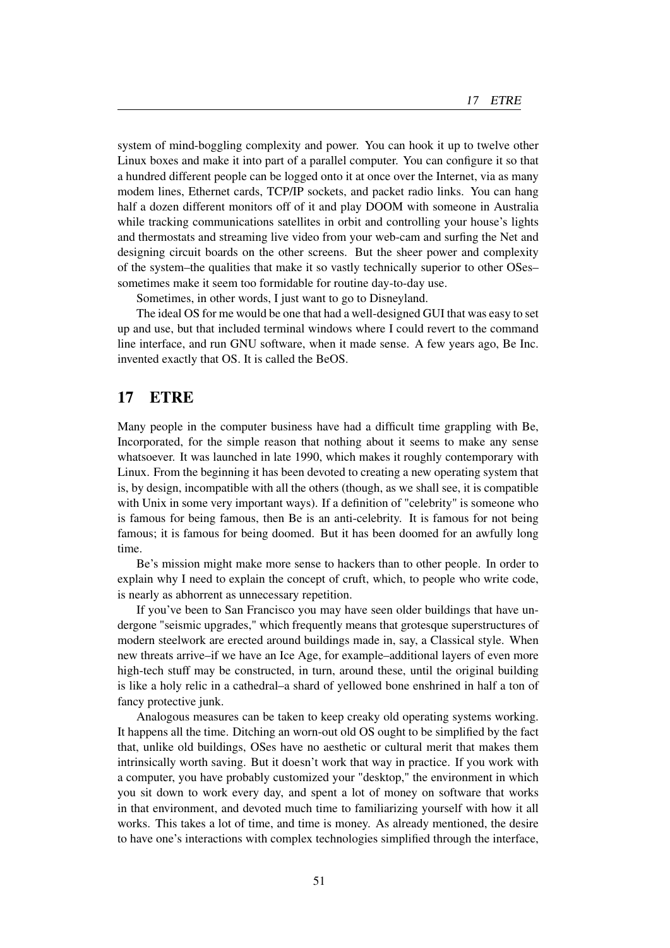system of mind-boggling complexity and power. You can hook it up to twelve other Linux boxes and make it into part of a parallel computer. You can configure it so that a hundred different people can be logged onto it at once over the Internet, via as many modem lines, Ethernet cards, TCP/IP sockets, and packet radio links. You can hang half a dozen different monitors off of it and play DOOM with someone in Australia while tracking communications satellites in orbit and controlling your house's lights and thermostats and streaming live video from your web-cam and surfing the Net and designing circuit boards on the other screens. But the sheer power and complexity of the system–the qualities that make it so vastly technically superior to other OSes– sometimes make it seem too formidable for routine day-to-day use.

Sometimes, in other words, I just want to go to Disneyland.

The ideal OS for me would be one that had a well-designed GUI that was easy to set up and use, but that included terminal windows where I could revert to the command line interface, and run GNU software, when it made sense. A few years ago, Be Inc. invented exactly that OS. It is called the BeOS.

### 17 ETRE

Many people in the computer business have had a difficult time grappling with Be, Incorporated, for the simple reason that nothing about it seems to make any sense whatsoever. It was launched in late 1990, which makes it roughly contemporary with Linux. From the beginning it has been devoted to creating a new operating system that is, by design, incompatible with all the others (though, as we shall see, it is compatible with Unix in some very important ways). If a definition of "celebrity" is someone who is famous for being famous, then Be is an anti-celebrity. It is famous for not being famous; it is famous for being doomed. But it has been doomed for an awfully long time.

Be's mission might make more sense to hackers than to other people. In order to explain why I need to explain the concept of cruft, which, to people who write code, is nearly as abhorrent as unnecessary repetition.

If you've been to San Francisco you may have seen older buildings that have undergone "seismic upgrades," which frequently means that grotesque superstructures of modern steelwork are erected around buildings made in, say, a Classical style. When new threats arrive–if we have an Ice Age, for example–additional layers of even more high-tech stuff may be constructed, in turn, around these, until the original building is like a holy relic in a cathedral–a shard of yellowed bone enshrined in half a ton of fancy protective junk.

Analogous measures can be taken to keep creaky old operating systems working. It happens all the time. Ditching an worn-out old OS ought to be simplified by the fact that, unlike old buildings, OSes have no aesthetic or cultural merit that makes them intrinsically worth saving. But it doesn't work that way in practice. If you work with a computer, you have probably customized your "desktop," the environment in which you sit down to work every day, and spent a lot of money on software that works in that environment, and devoted much time to familiarizing yourself with how it all works. This takes a lot of time, and time is money. As already mentioned, the desire to have one's interactions with complex technologies simplified through the interface,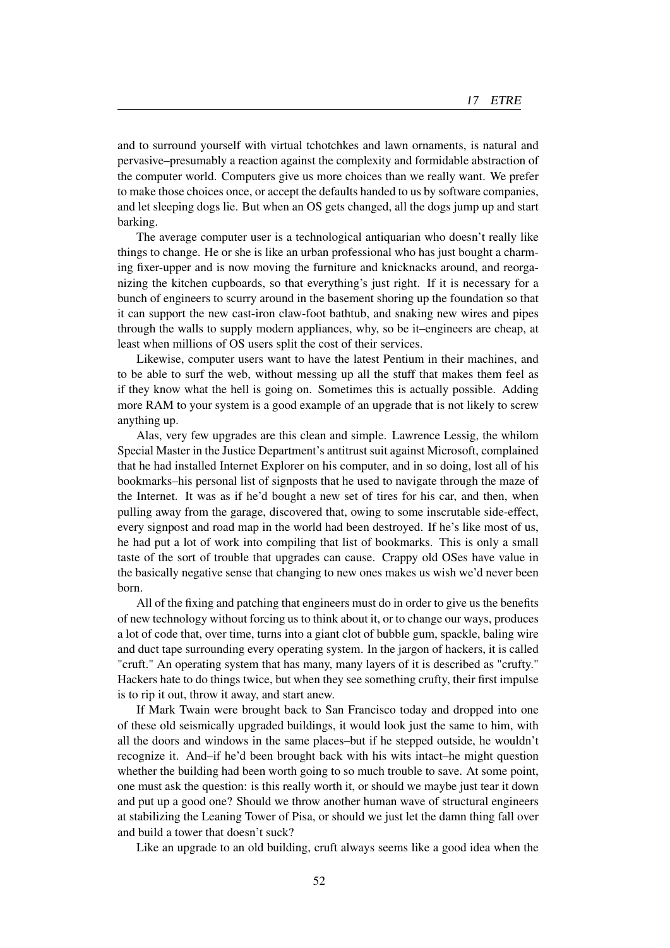and to surround yourself with virtual tchotchkes and lawn ornaments, is natural and pervasive–presumably a reaction against the complexity and formidable abstraction of the computer world. Computers give us more choices than we really want. We prefer to make those choices once, or accept the defaults handed to us by software companies, and let sleeping dogs lie. But when an OS gets changed, all the dogs jump up and start barking.

The average computer user is a technological antiquarian who doesn't really like things to change. He or she is like an urban professional who has just bought a charming fixer-upper and is now moving the furniture and knicknacks around, and reorganizing the kitchen cupboards, so that everything's just right. If it is necessary for a bunch of engineers to scurry around in the basement shoring up the foundation so that it can support the new cast-iron claw-foot bathtub, and snaking new wires and pipes through the walls to supply modern appliances, why, so be it–engineers are cheap, at least when millions of OS users split the cost of their services.

Likewise, computer users want to have the latest Pentium in their machines, and to be able to surf the web, without messing up all the stuff that makes them feel as if they know what the hell is going on. Sometimes this is actually possible. Adding more RAM to your system is a good example of an upgrade that is not likely to screw anything up.

Alas, very few upgrades are this clean and simple. Lawrence Lessig, the whilom Special Master in the Justice Department's antitrust suit against Microsoft, complained that he had installed Internet Explorer on his computer, and in so doing, lost all of his bookmarks–his personal list of signposts that he used to navigate through the maze of the Internet. It was as if he'd bought a new set of tires for his car, and then, when pulling away from the garage, discovered that, owing to some inscrutable side-effect, every signpost and road map in the world had been destroyed. If he's like most of us, he had put a lot of work into compiling that list of bookmarks. This is only a small taste of the sort of trouble that upgrades can cause. Crappy old OSes have value in the basically negative sense that changing to new ones makes us wish we'd never been born.

All of the fixing and patching that engineers must do in order to give us the benefits of new technology without forcing us to think about it, or to change our ways, produces a lot of code that, over time, turns into a giant clot of bubble gum, spackle, baling wire and duct tape surrounding every operating system. In the jargon of hackers, it is called "cruft." An operating system that has many, many layers of it is described as "crufty." Hackers hate to do things twice, but when they see something crufty, their first impulse is to rip it out, throw it away, and start anew.

If Mark Twain were brought back to San Francisco today and dropped into one of these old seismically upgraded buildings, it would look just the same to him, with all the doors and windows in the same places–but if he stepped outside, he wouldn't recognize it. And–if he'd been brought back with his wits intact–he might question whether the building had been worth going to so much trouble to save. At some point, one must ask the question: is this really worth it, or should we maybe just tear it down and put up a good one? Should we throw another human wave of structural engineers at stabilizing the Leaning Tower of Pisa, or should we just let the damn thing fall over and build a tower that doesn't suck?

Like an upgrade to an old building, cruft always seems like a good idea when the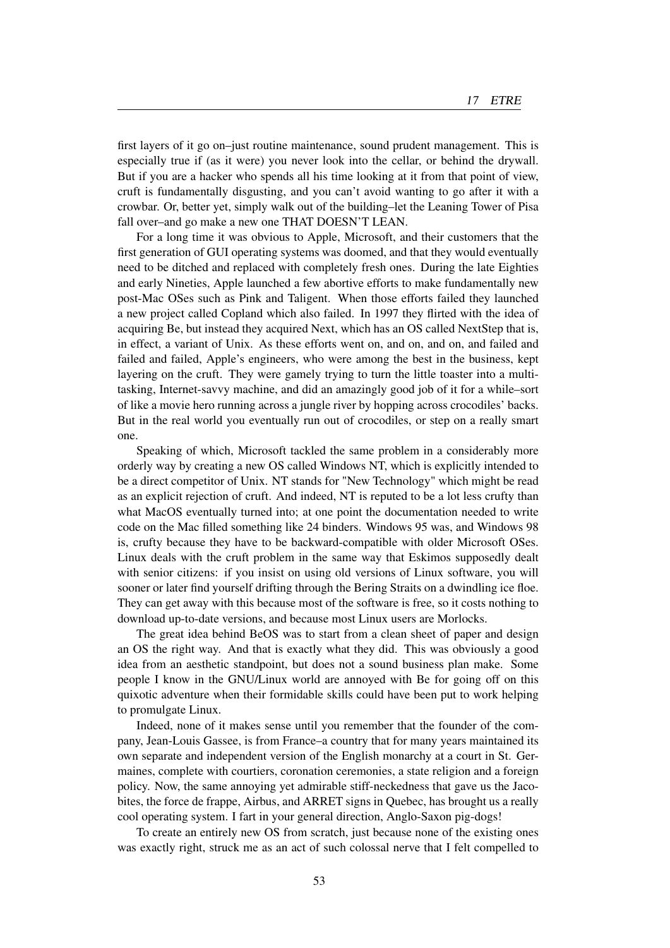first layers of it go on–just routine maintenance, sound prudent management. This is especially true if (as it were) you never look into the cellar, or behind the drywall. But if you are a hacker who spends all his time looking at it from that point of view, cruft is fundamentally disgusting, and you can't avoid wanting to go after it with a crowbar. Or, better yet, simply walk out of the building–let the Leaning Tower of Pisa fall over–and go make a new one THAT DOESN'T LEAN.

For a long time it was obvious to Apple, Microsoft, and their customers that the first generation of GUI operating systems was doomed, and that they would eventually need to be ditched and replaced with completely fresh ones. During the late Eighties and early Nineties, Apple launched a few abortive efforts to make fundamentally new post-Mac OSes such as Pink and Taligent. When those efforts failed they launched a new project called Copland which also failed. In 1997 they flirted with the idea of acquiring Be, but instead they acquired Next, which has an OS called NextStep that is, in effect, a variant of Unix. As these efforts went on, and on, and on, and failed and failed and failed, Apple's engineers, who were among the best in the business, kept layering on the cruft. They were gamely trying to turn the little toaster into a multitasking, Internet-savvy machine, and did an amazingly good job of it for a while–sort of like a movie hero running across a jungle river by hopping across crocodiles' backs. But in the real world you eventually run out of crocodiles, or step on a really smart one.

Speaking of which, Microsoft tackled the same problem in a considerably more orderly way by creating a new OS called Windows NT, which is explicitly intended to be a direct competitor of Unix. NT stands for "New Technology" which might be read as an explicit rejection of cruft. And indeed, NT is reputed to be a lot less crufty than what MacOS eventually turned into; at one point the documentation needed to write code on the Mac filled something like 24 binders. Windows 95 was, and Windows 98 is, crufty because they have to be backward-compatible with older Microsoft OSes. Linux deals with the cruft problem in the same way that Eskimos supposedly dealt with senior citizens: if you insist on using old versions of Linux software, you will sooner or later find yourself drifting through the Bering Straits on a dwindling ice floe. They can get away with this because most of the software is free, so it costs nothing to download up-to-date versions, and because most Linux users are Morlocks.

The great idea behind BeOS was to start from a clean sheet of paper and design an OS the right way. And that is exactly what they did. This was obviously a good idea from an aesthetic standpoint, but does not a sound business plan make. Some people I know in the GNU/Linux world are annoyed with Be for going off on this quixotic adventure when their formidable skills could have been put to work helping to promulgate Linux.

Indeed, none of it makes sense until you remember that the founder of the company, Jean-Louis Gassee, is from France–a country that for many years maintained its own separate and independent version of the English monarchy at a court in St. Germaines, complete with courtiers, coronation ceremonies, a state religion and a foreign policy. Now, the same annoying yet admirable stiff-neckedness that gave us the Jacobites, the force de frappe, Airbus, and ARRET signs in Quebec, has brought us a really cool operating system. I fart in your general direction, Anglo-Saxon pig-dogs!

To create an entirely new OS from scratch, just because none of the existing ones was exactly right, struck me as an act of such colossal nerve that I felt compelled to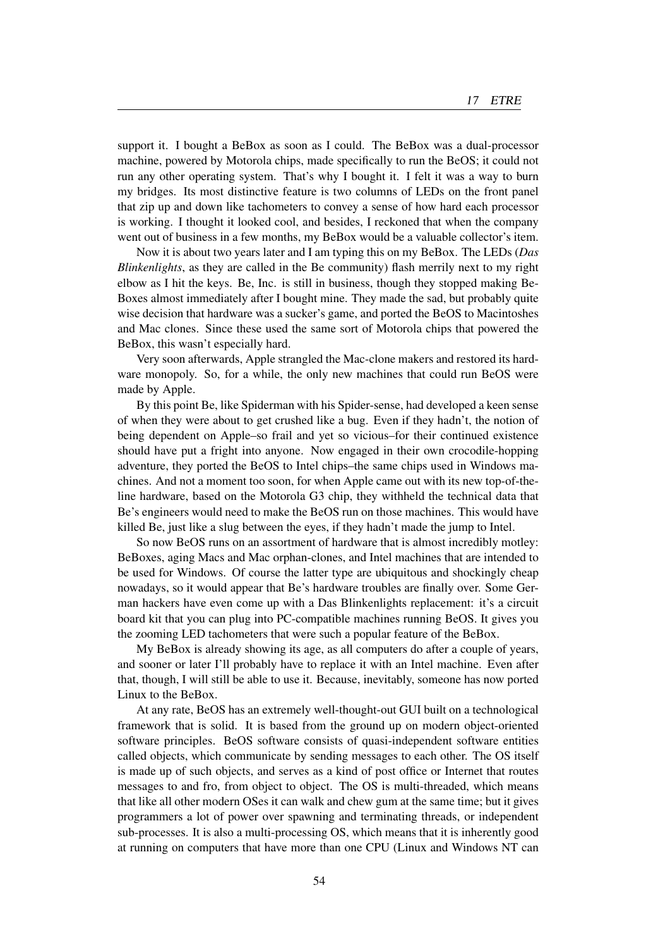support it. I bought a BeBox as soon as I could. The BeBox was a dual-processor machine, powered by Motorola chips, made specifically to run the BeOS; it could not run any other operating system. That's why I bought it. I felt it was a way to burn my bridges. Its most distinctive feature is two columns of LEDs on the front panel that zip up and down like tachometers to convey a sense of how hard each processor is working. I thought it looked cool, and besides, I reckoned that when the company went out of business in a few months, my BeBox would be a valuable collector's item.

Now it is about two years later and I am typing this on my BeBox. The LEDs (*Das Blinkenlights*, as they are called in the Be community) flash merrily next to my right elbow as I hit the keys. Be, Inc. is still in business, though they stopped making Be-Boxes almost immediately after I bought mine. They made the sad, but probably quite wise decision that hardware was a sucker's game, and ported the BeOS to Macintoshes and Mac clones. Since these used the same sort of Motorola chips that powered the BeBox, this wasn't especially hard.

Very soon afterwards, Apple strangled the Mac-clone makers and restored its hardware monopoly. So, for a while, the only new machines that could run BeOS were made by Apple.

By this point Be, like Spiderman with his Spider-sense, had developed a keen sense of when they were about to get crushed like a bug. Even if they hadn't, the notion of being dependent on Apple–so frail and yet so vicious–for their continued existence should have put a fright into anyone. Now engaged in their own crocodile-hopping adventure, they ported the BeOS to Intel chips–the same chips used in Windows machines. And not a moment too soon, for when Apple came out with its new top-of-theline hardware, based on the Motorola G3 chip, they withheld the technical data that Be's engineers would need to make the BeOS run on those machines. This would have killed Be, just like a slug between the eyes, if they hadn't made the jump to Intel.

So now BeOS runs on an assortment of hardware that is almost incredibly motley: BeBoxes, aging Macs and Mac orphan-clones, and Intel machines that are intended to be used for Windows. Of course the latter type are ubiquitous and shockingly cheap nowadays, so it would appear that Be's hardware troubles are finally over. Some German hackers have even come up with a Das Blinkenlights replacement: it's a circuit board kit that you can plug into PC-compatible machines running BeOS. It gives you the zooming LED tachometers that were such a popular feature of the BeBox.

My BeBox is already showing its age, as all computers do after a couple of years, and sooner or later I'll probably have to replace it with an Intel machine. Even after that, though, I will still be able to use it. Because, inevitably, someone has now ported Linux to the BeBox.

At any rate, BeOS has an extremely well-thought-out GUI built on a technological framework that is solid. It is based from the ground up on modern object-oriented software principles. BeOS software consists of quasi-independent software entities called objects, which communicate by sending messages to each other. The OS itself is made up of such objects, and serves as a kind of post office or Internet that routes messages to and fro, from object to object. The OS is multi-threaded, which means that like all other modern OSes it can walk and chew gum at the same time; but it gives programmers a lot of power over spawning and terminating threads, or independent sub-processes. It is also a multi-processing OS, which means that it is inherently good at running on computers that have more than one CPU (Linux and Windows NT can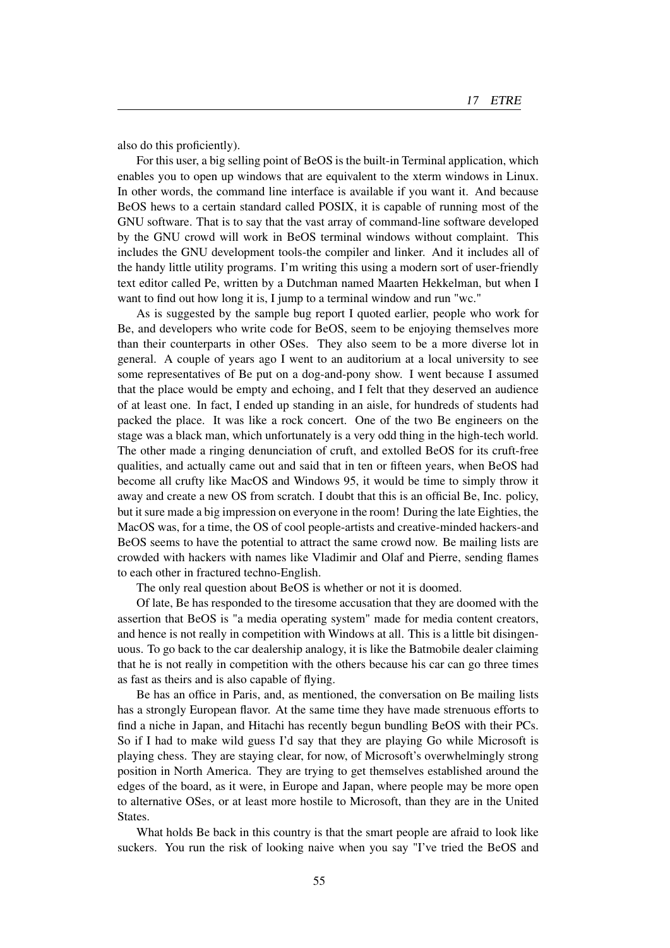also do this proficiently).

For this user, a big selling point of BeOS is the built-in Terminal application, which enables you to open up windows that are equivalent to the xterm windows in Linux. In other words, the command line interface is available if you want it. And because BeOS hews to a certain standard called POSIX, it is capable of running most of the GNU software. That is to say that the vast array of command-line software developed by the GNU crowd will work in BeOS terminal windows without complaint. This includes the GNU development tools-the compiler and linker. And it includes all of the handy little utility programs. I'm writing this using a modern sort of user-friendly text editor called Pe, written by a Dutchman named Maarten Hekkelman, but when I want to find out how long it is, I jump to a terminal window and run "wc."

As is suggested by the sample bug report I quoted earlier, people who work for Be, and developers who write code for BeOS, seem to be enjoying themselves more than their counterparts in other OSes. They also seem to be a more diverse lot in general. A couple of years ago I went to an auditorium at a local university to see some representatives of Be put on a dog-and-pony show. I went because I assumed that the place would be empty and echoing, and I felt that they deserved an audience of at least one. In fact, I ended up standing in an aisle, for hundreds of students had packed the place. It was like a rock concert. One of the two Be engineers on the stage was a black man, which unfortunately is a very odd thing in the high-tech world. The other made a ringing denunciation of cruft, and extolled BeOS for its cruft-free qualities, and actually came out and said that in ten or fifteen years, when BeOS had become all crufty like MacOS and Windows 95, it would be time to simply throw it away and create a new OS from scratch. I doubt that this is an official Be, Inc. policy, but it sure made a big impression on everyone in the room! During the late Eighties, the MacOS was, for a time, the OS of cool people-artists and creative-minded hackers-and BeOS seems to have the potential to attract the same crowd now. Be mailing lists are crowded with hackers with names like Vladimir and Olaf and Pierre, sending flames to each other in fractured techno-English.

The only real question about BeOS is whether or not it is doomed.

Of late, Be has responded to the tiresome accusation that they are doomed with the assertion that BeOS is "a media operating system" made for media content creators, and hence is not really in competition with Windows at all. This is a little bit disingenuous. To go back to the car dealership analogy, it is like the Batmobile dealer claiming that he is not really in competition with the others because his car can go three times as fast as theirs and is also capable of flying.

Be has an office in Paris, and, as mentioned, the conversation on Be mailing lists has a strongly European flavor. At the same time they have made strenuous efforts to find a niche in Japan, and Hitachi has recently begun bundling BeOS with their PCs. So if I had to make wild guess I'd say that they are playing Go while Microsoft is playing chess. They are staying clear, for now, of Microsoft's overwhelmingly strong position in North America. They are trying to get themselves established around the edges of the board, as it were, in Europe and Japan, where people may be more open to alternative OSes, or at least more hostile to Microsoft, than they are in the United States.

What holds Be back in this country is that the smart people are afraid to look like suckers. You run the risk of looking naive when you say "I've tried the BeOS and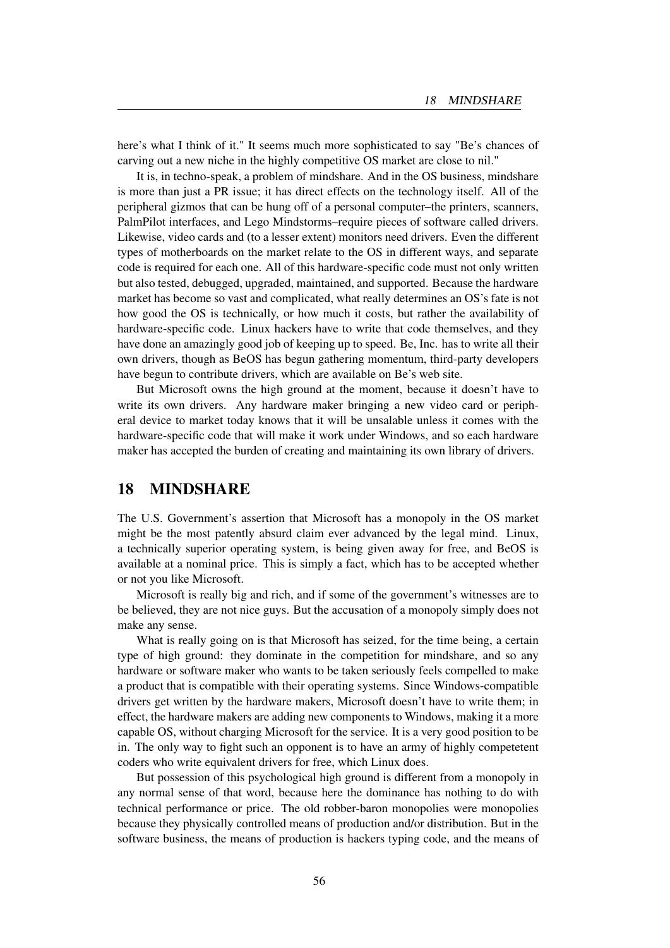here's what I think of it." It seems much more sophisticated to say "Be's chances of carving out a new niche in the highly competitive OS market are close to nil."

It is, in techno-speak, a problem of mindshare. And in the OS business, mindshare is more than just a PR issue; it has direct effects on the technology itself. All of the peripheral gizmos that can be hung off of a personal computer–the printers, scanners, PalmPilot interfaces, and Lego Mindstorms–require pieces of software called drivers. Likewise, video cards and (to a lesser extent) monitors need drivers. Even the different types of motherboards on the market relate to the OS in different ways, and separate code is required for each one. All of this hardware-specific code must not only written but also tested, debugged, upgraded, maintained, and supported. Because the hardware market has become so vast and complicated, what really determines an OS's fate is not how good the OS is technically, or how much it costs, but rather the availability of hardware-specific code. Linux hackers have to write that code themselves, and they have done an amazingly good job of keeping up to speed. Be, Inc. has to write all their own drivers, though as BeOS has begun gathering momentum, third-party developers have begun to contribute drivers, which are available on Be's web site.

But Microsoft owns the high ground at the moment, because it doesn't have to write its own drivers. Any hardware maker bringing a new video card or peripheral device to market today knows that it will be unsalable unless it comes with the hardware-specific code that will make it work under Windows, and so each hardware maker has accepted the burden of creating and maintaining its own library of drivers.

## 18 MINDSHARE

The U.S. Government's assertion that Microsoft has a monopoly in the OS market might be the most patently absurd claim ever advanced by the legal mind. Linux, a technically superior operating system, is being given away for free, and BeOS is available at a nominal price. This is simply a fact, which has to be accepted whether or not you like Microsoft.

Microsoft is really big and rich, and if some of the government's witnesses are to be believed, they are not nice guys. But the accusation of a monopoly simply does not make any sense.

What is really going on is that Microsoft has seized, for the time being, a certain type of high ground: they dominate in the competition for mindshare, and so any hardware or software maker who wants to be taken seriously feels compelled to make a product that is compatible with their operating systems. Since Windows-compatible drivers get written by the hardware makers, Microsoft doesn't have to write them; in effect, the hardware makers are adding new components to Windows, making it a more capable OS, without charging Microsoft for the service. It is a very good position to be in. The only way to fight such an opponent is to have an army of highly competetent coders who write equivalent drivers for free, which Linux does.

But possession of this psychological high ground is different from a monopoly in any normal sense of that word, because here the dominance has nothing to do with technical performance or price. The old robber-baron monopolies were monopolies because they physically controlled means of production and/or distribution. But in the software business, the means of production is hackers typing code, and the means of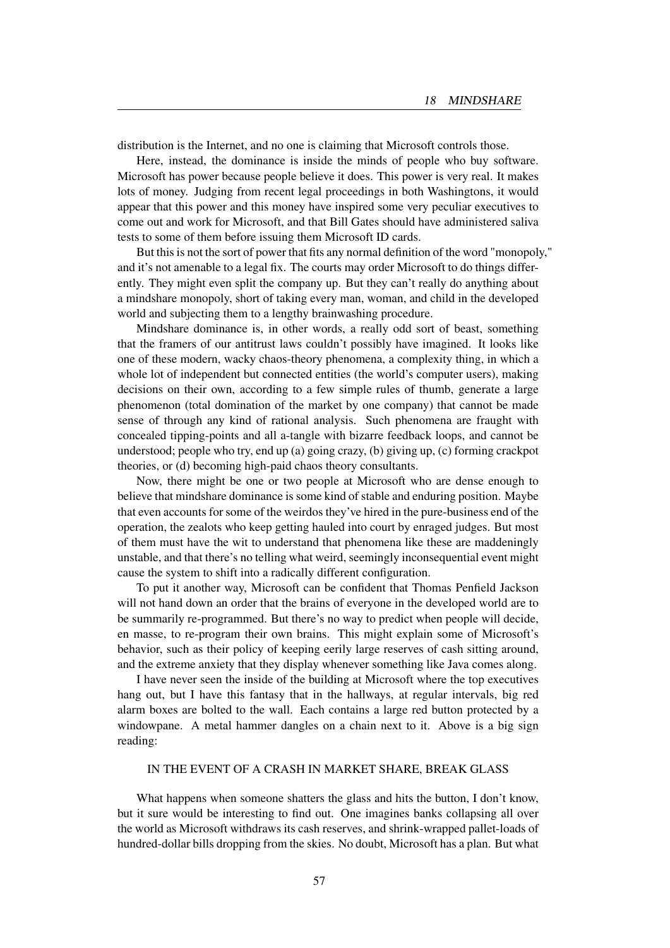distribution is the Internet, and no one is claiming that Microsoft controls those.

Here, instead, the dominance is inside the minds of people who buy software. Microsoft has power because people believe it does. This power is very real. It makes lots of money. Judging from recent legal proceedings in both Washingtons, it would appear that this power and this money have inspired some very peculiar executives to come out and work for Microsoft, and that Bill Gates should have administered saliva tests to some of them before issuing them Microsoft ID cards.

But this is not the sort of power that fits any normal definition of the word "monopoly," and it's not amenable to a legal fix. The courts may order Microsoft to do things differently. They might even split the company up. But they can't really do anything about a mindshare monopoly, short of taking every man, woman, and child in the developed world and subjecting them to a lengthy brainwashing procedure.

Mindshare dominance is, in other words, a really odd sort of beast, something that the framers of our antitrust laws couldn't possibly have imagined. It looks like one of these modern, wacky chaos-theory phenomena, a complexity thing, in which a whole lot of independent but connected entities (the world's computer users), making decisions on their own, according to a few simple rules of thumb, generate a large phenomenon (total domination of the market by one company) that cannot be made sense of through any kind of rational analysis. Such phenomena are fraught with concealed tipping-points and all a-tangle with bizarre feedback loops, and cannot be understood; people who try, end up (a) going crazy, (b) giving up, (c) forming crackpot theories, or (d) becoming high-paid chaos theory consultants.

Now, there might be one or two people at Microsoft who are dense enough to believe that mindshare dominance is some kind of stable and enduring position. Maybe that even accounts for some of the weirdos they've hired in the pure-business end of the operation, the zealots who keep getting hauled into court by enraged judges. But most of them must have the wit to understand that phenomena like these are maddeningly unstable, and that there's no telling what weird, seemingly inconsequential event might cause the system to shift into a radically different configuration.

To put it another way, Microsoft can be confident that Thomas Penfield Jackson will not hand down an order that the brains of everyone in the developed world are to be summarily re-programmed. But there's no way to predict when people will decide, en masse, to re-program their own brains. This might explain some of Microsoft's behavior, such as their policy of keeping eerily large reserves of cash sitting around, and the extreme anxiety that they display whenever something like Java comes along.

I have never seen the inside of the building at Microsoft where the top executives hang out, but I have this fantasy that in the hallways, at regular intervals, big red alarm boxes are bolted to the wall. Each contains a large red button protected by a windowpane. A metal hammer dangles on a chain next to it. Above is a big sign reading:

#### IN THE EVENT OF A CRASH IN MARKET SHARE, BREAK GLASS

What happens when someone shatters the glass and hits the button, I don't know, but it sure would be interesting to find out. One imagines banks collapsing all over the world as Microsoft withdraws its cash reserves, and shrink-wrapped pallet-loads of hundred-dollar bills dropping from the skies. No doubt, Microsoft has a plan. But what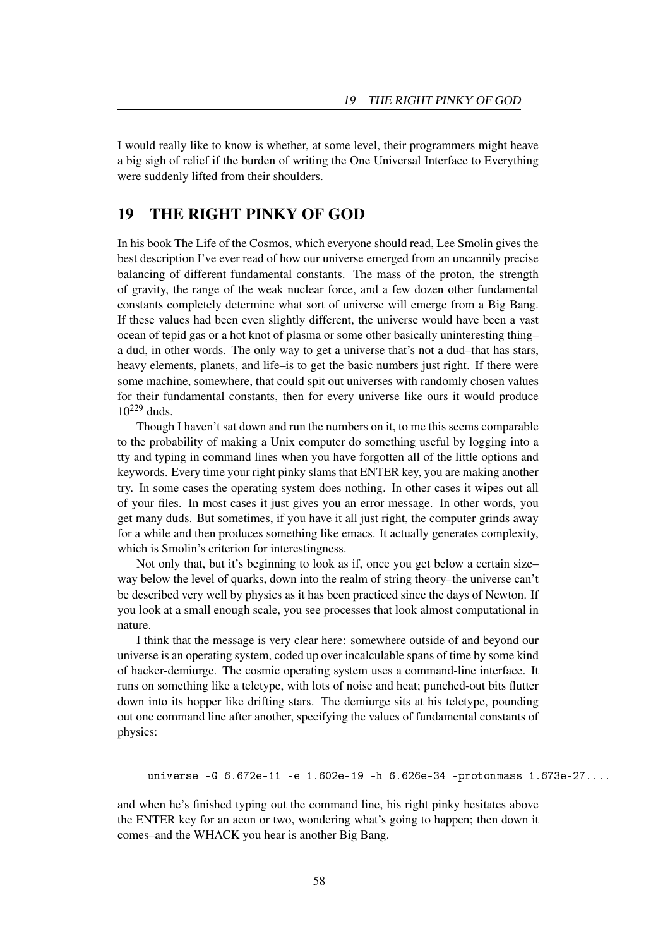I would really like to know is whether, at some level, their programmers might heave a big sigh of relief if the burden of writing the One Universal Interface to Everything were suddenly lifted from their shoulders.

## 19 THE RIGHT PINKY OF GOD

In his book The Life of the Cosmos, which everyone should read, Lee Smolin gives the best description I've ever read of how our universe emerged from an uncannily precise balancing of different fundamental constants. The mass of the proton, the strength of gravity, the range of the weak nuclear force, and a few dozen other fundamental constants completely determine what sort of universe will emerge from a Big Bang. If these values had been even slightly different, the universe would have been a vast ocean of tepid gas or a hot knot of plasma or some other basically uninteresting thing– a dud, in other words. The only way to get a universe that's not a dud–that has stars, heavy elements, planets, and life–is to get the basic numbers just right. If there were some machine, somewhere, that could spit out universes with randomly chosen values for their fundamental constants, then for every universe like ours it would produce  $10^{229}$  duds.

Though I haven't sat down and run the numbers on it, to me this seems comparable to the probability of making a Unix computer do something useful by logging into a tty and typing in command lines when you have forgotten all of the little options and keywords. Every time your right pinky slams that ENTER key, you are making another try. In some cases the operating system does nothing. In other cases it wipes out all of your files. In most cases it just gives you an error message. In other words, you get many duds. But sometimes, if you have it all just right, the computer grinds away for a while and then produces something like emacs. It actually generates complexity, which is Smolin's criterion for interestingness.

Not only that, but it's beginning to look as if, once you get below a certain size– way below the level of quarks, down into the realm of string theory–the universe can't be described very well by physics as it has been practiced since the days of Newton. If you look at a small enough scale, you see processes that look almost computational in nature.

I think that the message is very clear here: somewhere outside of and beyond our universe is an operating system, coded up over incalculable spans of time by some kind of hacker-demiurge. The cosmic operating system uses a command-line interface. It runs on something like a teletype, with lots of noise and heat; punched-out bits flutter down into its hopper like drifting stars. The demiurge sits at his teletype, pounding out one command line after another, specifying the values of fundamental constants of physics:

```
universe -G 6.672e-11 -e 1.602e-19 -h 6.626e-34 -protonmass 1.673e-27....
```
and when he's finished typing out the command line, his right pinky hesitates above the ENTER key for an aeon or two, wondering what's going to happen; then down it comes–and the WHACK you hear is another Big Bang.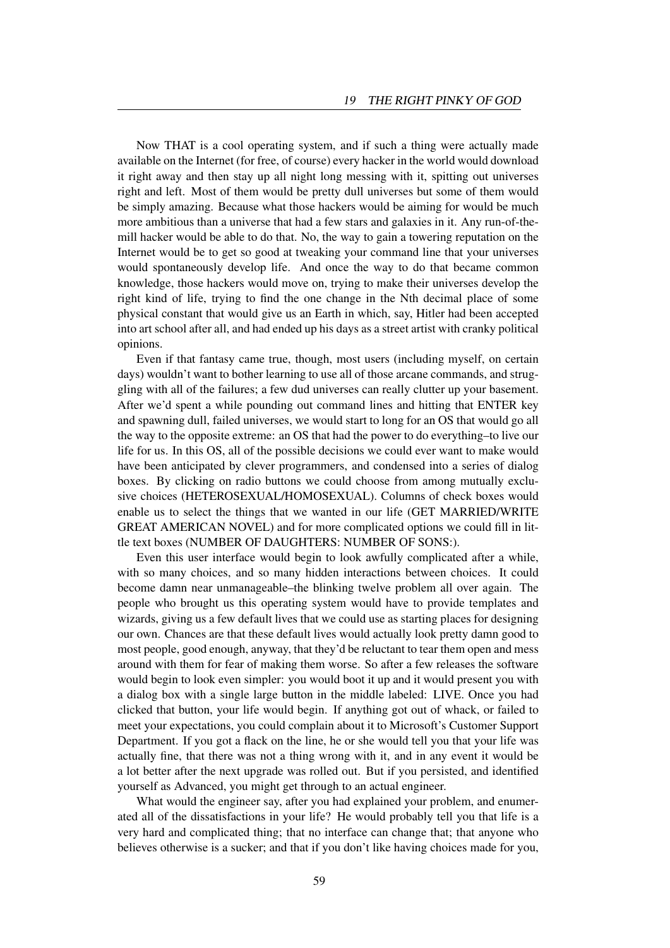Now THAT is a cool operating system, and if such a thing were actually made available on the Internet (for free, of course) every hacker in the world would download it right away and then stay up all night long messing with it, spitting out universes right and left. Most of them would be pretty dull universes but some of them would be simply amazing. Because what those hackers would be aiming for would be much more ambitious than a universe that had a few stars and galaxies in it. Any run-of-themill hacker would be able to do that. No, the way to gain a towering reputation on the Internet would be to get so good at tweaking your command line that your universes would spontaneously develop life. And once the way to do that became common knowledge, those hackers would move on, trying to make their universes develop the right kind of life, trying to find the one change in the Nth decimal place of some physical constant that would give us an Earth in which, say, Hitler had been accepted into art school after all, and had ended up his days as a street artist with cranky political opinions.

Even if that fantasy came true, though, most users (including myself, on certain days) wouldn't want to bother learning to use all of those arcane commands, and struggling with all of the failures; a few dud universes can really clutter up your basement. After we'd spent a while pounding out command lines and hitting that ENTER key and spawning dull, failed universes, we would start to long for an OS that would go all the way to the opposite extreme: an OS that had the power to do everything–to live our life for us. In this OS, all of the possible decisions we could ever want to make would have been anticipated by clever programmers, and condensed into a series of dialog boxes. By clicking on radio buttons we could choose from among mutually exclusive choices (HETEROSEXUAL/HOMOSEXUAL). Columns of check boxes would enable us to select the things that we wanted in our life (GET MARRIED/WRITE GREAT AMERICAN NOVEL) and for more complicated options we could fill in little text boxes (NUMBER OF DAUGHTERS: NUMBER OF SONS:).

Even this user interface would begin to look awfully complicated after a while, with so many choices, and so many hidden interactions between choices. It could become damn near unmanageable–the blinking twelve problem all over again. The people who brought us this operating system would have to provide templates and wizards, giving us a few default lives that we could use as starting places for designing our own. Chances are that these default lives would actually look pretty damn good to most people, good enough, anyway, that they'd be reluctant to tear them open and mess around with them for fear of making them worse. So after a few releases the software would begin to look even simpler: you would boot it up and it would present you with a dialog box with a single large button in the middle labeled: LIVE. Once you had clicked that button, your life would begin. If anything got out of whack, or failed to meet your expectations, you could complain about it to Microsoft's Customer Support Department. If you got a flack on the line, he or she would tell you that your life was actually fine, that there was not a thing wrong with it, and in any event it would be a lot better after the next upgrade was rolled out. But if you persisted, and identified yourself as Advanced, you might get through to an actual engineer.

What would the engineer say, after you had explained your problem, and enumerated all of the dissatisfactions in your life? He would probably tell you that life is a very hard and complicated thing; that no interface can change that; that anyone who believes otherwise is a sucker; and that if you don't like having choices made for you,